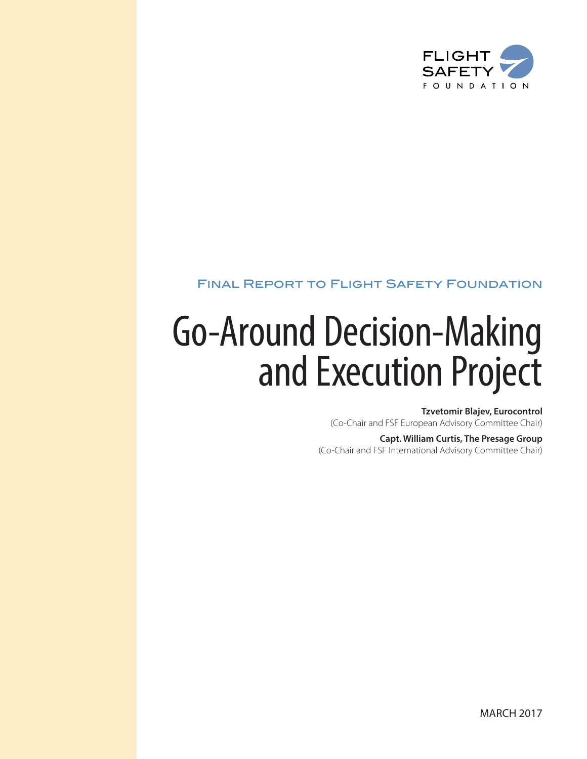

## Final Report to Flight Safety Foundation

# Go-Around Decision-Making and Execution Project

**Tzvetomir Blajev, Eurocontrol** (Co-Chair and FSF European Advisory Committee Chair)

**Capt. William Curtis, The Presage Group** (Co-Chair and FSF International Advisory Committee Chair)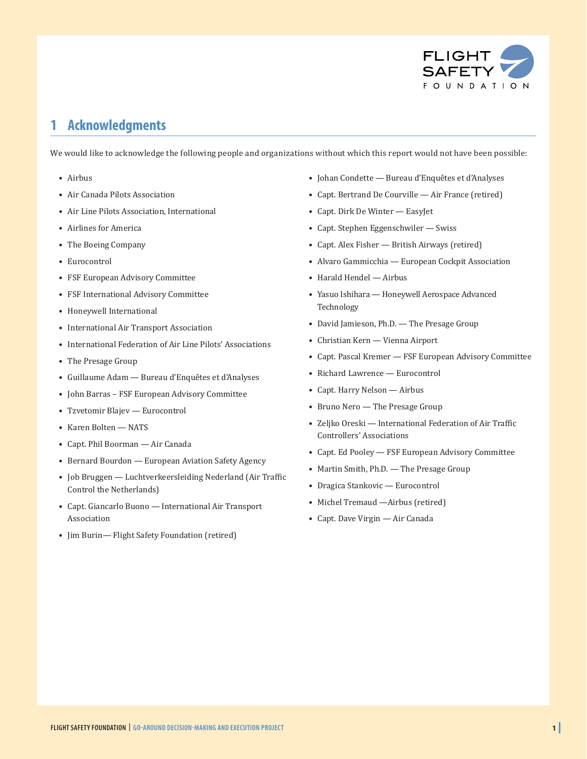

## **1 Acknowledgments**

We would like to acknowledge the following people and organizations without which this report would not have been possible:

- Airbus
- Air Canada Pilots Association
- Air Line Pilots Association, International
- Airlines for America
- The Boeing Company
- Eurocontrol
- FSF European Advisory Committee
- FSF International Advisory Committee
- Honeywell International
- International Air Transport Association
- International Federation of Air Line Pilots' Associations
- The Presage Group
- Guillaume Adam Bureau d'Enquêtes et d'Analyses
- John Barras FSF European Advisory Committee
- Tzvetomir Blajev Eurocontrol
- Karen Bolten NATS
- Capt. Phil Boorman Air Canada
- Bernard Bourdon European Aviation Safety Agency
- Job Bruggen Luchtverkeersleiding Nederland (Air Traffic Control the Netherlands)
- Capt. Giancarlo Buono International Air Transport Association
- Jim Burin— Flight Safety Foundation (retired)
- Johan Condette Bureau d'Enquêtes et d'Analyses
- Capt. Bertrand De Courville Air France (retired)
- Capt. Dirk De Winter EasyJet
- Capt. Stephen Eggenschwiler Swiss
- Capt. Alex Fisher British Airways (retired)
- Alvaro Gammicchia European Cockpit Association
- Harald Hendel Airbus
- Yasuo Ishihara Honeywell Aerospace Advanced Technology
- David Jamieson, Ph.D. The Presage Group
- Christian Kern Vienna Airport
- Capt. Pascal Kremer FSF European Advisory Committee
- Richard Lawrence Eurocontrol
- Capt. Harry Nelson Airbus
- Bruno Nero The Presage Group
- Zeljko Oreski International Federation of Air Traffic Controllers' Associations
- Capt. Ed Pooley FSF European Advisory Committee
- Martin Smith, Ph.D. The Presage Group
- Dragica Stankovic Eurocontrol
- Michel Tremaud —Airbus (retired)
- Capt. Dave Virgin Air Canada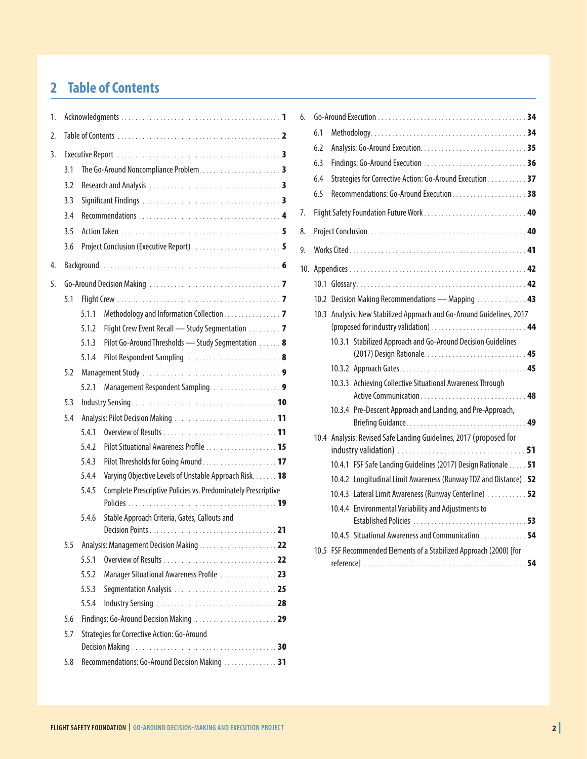## **2 Table of Contents**

| 1. |                                                       |       |                                                               |  |  |  |  |  |  |
|----|-------------------------------------------------------|-------|---------------------------------------------------------------|--|--|--|--|--|--|
| 2. |                                                       |       |                                                               |  |  |  |  |  |  |
| 3. |                                                       |       |                                                               |  |  |  |  |  |  |
|    | 3.1                                                   |       |                                                               |  |  |  |  |  |  |
|    | 3.2                                                   |       |                                                               |  |  |  |  |  |  |
|    | 3.3                                                   |       |                                                               |  |  |  |  |  |  |
|    | 3.4                                                   |       |                                                               |  |  |  |  |  |  |
|    | 3.5                                                   |       |                                                               |  |  |  |  |  |  |
|    | 3.6                                                   |       |                                                               |  |  |  |  |  |  |
| 4. |                                                       |       |                                                               |  |  |  |  |  |  |
| 5. |                                                       |       |                                                               |  |  |  |  |  |  |
|    | 5.1                                                   |       |                                                               |  |  |  |  |  |  |
|    |                                                       | 5.1.1 | Methodology and Information Collection 7                      |  |  |  |  |  |  |
|    |                                                       | 5.1.2 | Flight Crew Event Recall - Study Segmentation 7               |  |  |  |  |  |  |
|    |                                                       | 5.1.3 | Pilot Go-Around Thresholds - Study Segmentation 8             |  |  |  |  |  |  |
|    |                                                       | 5.1.4 |                                                               |  |  |  |  |  |  |
|    | 5.2                                                   |       |                                                               |  |  |  |  |  |  |
|    |                                                       | 5.2.1 |                                                               |  |  |  |  |  |  |
|    | 5.3                                                   |       |                                                               |  |  |  |  |  |  |
|    | 5.4                                                   |       |                                                               |  |  |  |  |  |  |
|    |                                                       | 5.4.1 |                                                               |  |  |  |  |  |  |
|    |                                                       | 5.4.2 |                                                               |  |  |  |  |  |  |
|    |                                                       | 5.4.3 |                                                               |  |  |  |  |  |  |
|    |                                                       | 5.4.4 | Varying Objective Levels of Unstable Approach Risk. 18        |  |  |  |  |  |  |
|    |                                                       | 5.4.5 | Complete Prescriptive Policies vs. Predominately Prescriptive |  |  |  |  |  |  |
|    |                                                       | 5.4.6 | Stable Approach Criteria, Gates, Callouts and                 |  |  |  |  |  |  |
|    |                                                       |       |                                                               |  |  |  |  |  |  |
|    | 5.5                                                   |       |                                                               |  |  |  |  |  |  |
|    |                                                       | 5.5.1 |                                                               |  |  |  |  |  |  |
|    |                                                       | 5.5.2 | Manager Situational Awareness Profile. 23                     |  |  |  |  |  |  |
|    |                                                       | 5.5.3 |                                                               |  |  |  |  |  |  |
|    |                                                       | 5.5.4 |                                                               |  |  |  |  |  |  |
|    | 5.6                                                   |       |                                                               |  |  |  |  |  |  |
|    | 5.7                                                   |       | Strategies for Corrective Action: Go-Around                   |  |  |  |  |  |  |
|    |                                                       |       |                                                               |  |  |  |  |  |  |
|    | 5.8<br>Recommendations: Go-Around Decision Making  31 |       |                                                               |  |  |  |  |  |  |

| 6.  |     |                                                                       |  |
|-----|-----|-----------------------------------------------------------------------|--|
|     | 6.1 |                                                                       |  |
|     | 6.2 |                                                                       |  |
|     | 6.3 |                                                                       |  |
|     | 6.4 | Strategies for Corrective Action: Go-Around Execution 37              |  |
|     | 6.5 |                                                                       |  |
| 7.  |     | Flight Safety Foundation Future Work 40                               |  |
| 8.  |     |                                                                       |  |
| 9.  |     |                                                                       |  |
| 10. |     |                                                                       |  |
|     |     |                                                                       |  |
|     |     | 10.2 Decision Making Recommendations - Mapping  43                    |  |
|     |     | 10.3 Analysis: New Stabilized Approach and Go-Around Guidelines, 2017 |  |
|     |     |                                                                       |  |
|     |     | 10.3.1 Stabilized Approach and Go-Around Decision Guidelines          |  |
|     |     |                                                                       |  |
|     |     | 10.3.3 Achieving Collective Situational Awareness Through             |  |
|     |     | 10.3.4 Pre-Descent Approach and Landing, and Pre-Approach,            |  |
|     |     | 10.4 Analysis: Revised Safe Landing Guidelines, 2017 (proposed for    |  |
|     |     | 10.4.1 FSF Safe Landing Guidelines (2017) Design Rationale 51         |  |
|     |     | 10.4.2 Longitudinal Limit Awareness (Runway TDZ and Distance) . 52    |  |
|     |     | 10.4.3 Lateral Limit Awareness (Runway Centerline)  52                |  |
|     |     | 10.4.4 Environmental Variability and Adjustments to                   |  |
|     |     | 10.4.5 Situational Awareness and Communication 54                     |  |
|     |     | 10.5 FSF Recommended Elements of a Stabilized Approach (2000) [for    |  |
|     |     |                                                                       |  |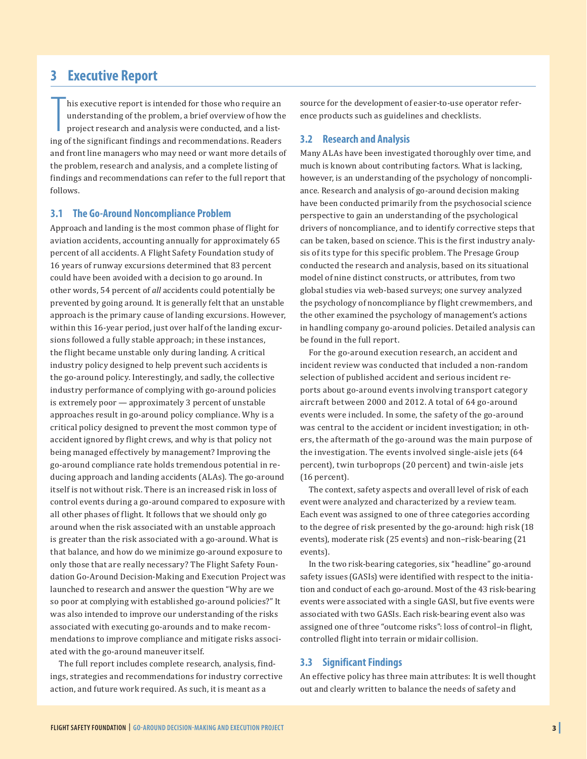## **3 Executive Report**

his executive report is intended for those who require an understanding of the problem, a brief overview of how the project research and analysis were conducted, and a listing of the significant findings and recommendation his executive report is intended for those who require an understanding of the problem, a brief overview of how the project research and analysis were conducted, and a listand front line managers who may need or want more details of the problem, research and analysis, and a complete listing of findings and recommendations can refer to the full report that follows.

#### **3.1 The Go-Around Noncompliance Problem**

Approach and landing is the most common phase of flight for aviation accidents, accounting annually for approximately 65 percent of all accidents. A Flight Safety Foundation study of 16 years of runway excursions determined that 83 percent could have been avoided with a decision to go around. In other words, 54 percent of *all* accidents could potentially be prevented by going around. It is generally felt that an unstable approach is the primary cause of landing excursions. However, within this 16-year period, just over half of the landing excursions followed a fully stable approach; in these instances, the flight became unstable only during landing. A critical industry policy designed to help prevent such accidents is the go-around policy. Interestingly, and sadly, the collective industry performance of complying with go-around policies is extremely poor — approximately 3 percent of unstable approaches result in go-around policy compliance. Why is a critical policy designed to prevent the most common type of accident ignored by flight crews, and why is that policy not being managed effectively by management? Improving the go-around compliance rate holds tremendous potential in reducing approach and landing accidents (ALAs). The go-around itself is not without risk. There is an increased risk in loss of control events during a go-around compared to exposure with all other phases of flight. It follows that we should only go around when the risk associated with an unstable approach is greater than the risk associated with a go-around. What is that balance, and how do we minimize go-around exposure to only those that are really necessary? The Flight Safety Foundation Go-Around Decision-Making and Execution Project was launched to research and answer the question "Why are we so poor at complying with established go-around policies?" It was also intended to improve our understanding of the risks associated with executing go-arounds and to make recommendations to improve compliance and mitigate risks associated with the go-around maneuver itself.

The full report includes complete research, analysis, findings, strategies and recommendations for industry corrective action, and future work required. As such, it is meant as a

source for the development of easier-to-use operator reference products such as guidelines and checklists.

#### **3.2 Research and Analysis**

Many ALAs have been investigated thoroughly over time, and much is known about contributing factors. What is lacking, however, is an understanding of the psychology of noncompliance. Research and analysis of go-around decision making have been conducted primarily from the psychosocial science perspective to gain an understanding of the psychological drivers of noncompliance, and to identify corrective steps that can be taken, based on science. This is the first industry analysis of its type for this specific problem. The Presage Group conducted the research and analysis, based on its situational model of nine distinct constructs, or attributes, from two global studies via web-based surveys; one survey analyzed the psychology of noncompliance by flight crewmembers, and the other examined the psychology of management's actions in handling company go-around policies. Detailed analysis can be found in the full report.

For the go-around execution research, an accident and incident review was conducted that included a non-random selection of published accident and serious incident reports about go-around events involving transport category aircraft between 2000 and 2012. A total of 64 go-around events were included. In some, the safety of the go-around was central to the accident or incident investigation; in others, the aftermath of the go-around was the main purpose of the investigation. The events involved single-aisle jets (64 percent), twin turboprops (20 percent) and twin-aisle jets (16 percent).

The context, safety aspects and overall level of risk of each event were analyzed and characterized by a review team. Each event was assigned to one of three categories according to the degree of risk presented by the go-around: high risk (18 events), moderate risk (25 events) and non–risk-bearing (21 events).

In the two risk-bearing categories, six "headline" go-around safety issues (GASIs) were identified with respect to the initiation and conduct of each go-around. Most of the 43 risk-bearing events were associated with a single GASI, but five events were associated with two GASIs. Each risk-bearing event also was assigned one of three "outcome risks": loss of control–in flight, controlled flight into terrain or midair collision.

#### **3.3 Significant Findings**

An effective policy has three main attributes: It is well thought out and clearly written to balance the needs of safety and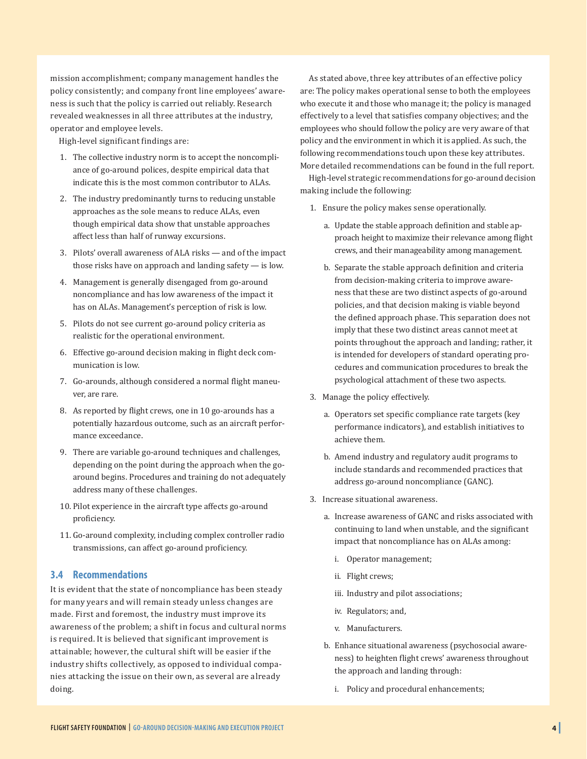mission accomplishment; company management handles the policy consistently; and company front line employees' awareness is such that the policy is carried out reliably. Research revealed weaknesses in all three attributes at the industry, operator and employee levels.

High-level significant findings are:

- 1. The collective industry norm is to accept the noncompliance of go-around polices, despite empirical data that indicate this is the most common contributor to ALAs.
- 2. The industry predominantly turns to reducing unstable approaches as the sole means to reduce ALAs, even though empirical data show that unstable approaches affect less than half of runway excursions.
- 3. Pilots' overall awareness of ALA risks and of the impact those risks have on approach and landing safety — is low.
- 4. Management is generally disengaged from go-around noncompliance and has low awareness of the impact it has on ALAs. Management's perception of risk is low.
- 5. Pilots do not see current go-around policy criteria as realistic for the operational environment.
- 6. Effective go-around decision making in flight deck communication is low.
- 7. Go-arounds, although considered a normal flight maneuver, are rare.
- 8. As reported by flight crews, one in 10 go-arounds has a potentially hazardous outcome, such as an aircraft performance exceedance.
- 9. There are variable go-around techniques and challenges, depending on the point during the approach when the goaround begins. Procedures and training do not adequately address many of these challenges.
- 10. Pilot experience in the aircraft type affects go-around proficiency.
- 11. Go-around complexity, including complex controller radio transmissions, can affect go-around proficiency.

#### **3.4 Recommendations**

It is evident that the state of noncompliance has been steady for many years and will remain steady unless changes are made. First and foremost, the industry must improve its awareness of the problem; a shift in focus and cultural norms is required. It is believed that significant improvement is attainable; however, the cultural shift will be easier if the industry shifts collectively, as opposed to individual companies attacking the issue on their own, as several are already doing.

As stated above, three key attributes of an effective policy are: The policy makes operational sense to both the employees who execute it and those who manage it; the policy is managed effectively to a level that satisfies company objectives; and the employees who should follow the policy are very aware of that policy and the environment in which it is applied. As such, the following recommendations touch upon these key attributes. More detailed recommendations can be found in the full report.

High-level strategic recommendations for go-around decision making include the following:

- 1. Ensure the policy makes sense operationally.
	- a. Update the stable approach definition and stable approach height to maximize their relevance among flight crews, and their manageability among management.
	- b. Separate the stable approach definition and criteria from decision-making criteria to improve awareness that these are two distinct aspects of go-around policies, and that decision making is viable beyond the defined approach phase. This separation does not imply that these two distinct areas cannot meet at points throughout the approach and landing; rather, it is intended for developers of standard operating procedures and communication procedures to break the psychological attachment of these two aspects.
- 3. Manage the policy effectively.
	- a. Operators set specific compliance rate targets (key performance indicators), and establish initiatives to achieve them.
	- b. Amend industry and regulatory audit programs to include standards and recommended practices that address go-around noncompliance (GANC).
- 3. Increase situational awareness.
	- a. Increase awareness of GANC and risks associated with continuing to land when unstable, and the significant impact that noncompliance has on ALAs among:
		- i. Operator management;
		- ii. Flight crews;
		- iii. Industry and pilot associations;
		- iv. Regulators; and,
		- v. Manufacturers.
	- b. Enhance situational awareness (psychosocial awareness) to heighten flight crews' awareness throughout the approach and landing through:
		- i. Policy and procedural enhancements;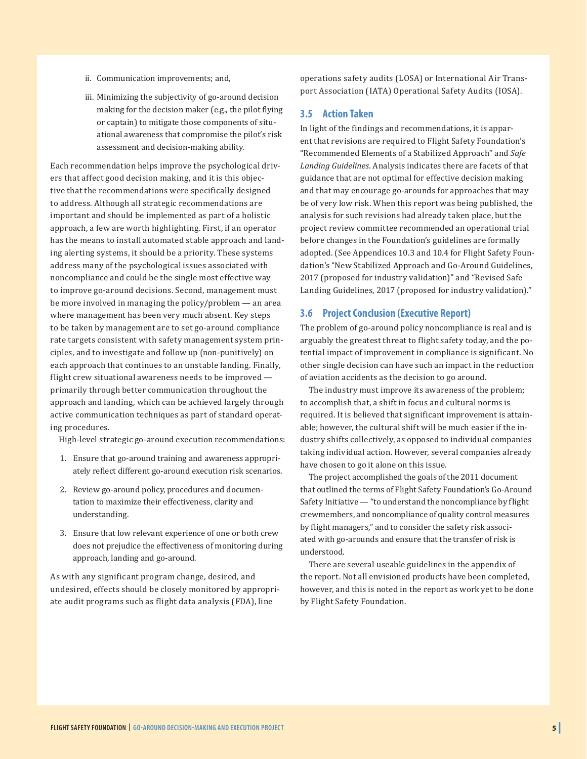iii. Minimizing the subjectivity of go-around decision making for the decision maker (e.g., the pilot flying or captain) to mitigate those components of situational awareness that compromise the pilot's risk assessment and decision-making ability.

Each recommendation helps improve the psychological drivers that affect good decision making, and it is this objective that the recommendations were specifically designed to address. Although all strategic recommendations are important and should be implemented as part of a holistic approach, a few are worth highlighting. First, if an operator has the means to install automated stable approach and landing alerting systems, it should be a priority. These systems address many of the psychological issues associated with noncompliance and could be the single most effective way to improve go-around decisions. Second, management must be more involved in managing the policy/problem — an area where management has been very much absent. Key steps to be taken by management are to set go-around compliance rate targets consistent with safety management system principles, and to investigate and follow up (non-punitively) on each approach that continues to an unstable landing. Finally, flight crew situational awareness needs to be improved primarily through better communication throughout the approach and landing, which can be achieved largely through active communication techniques as part of standard operating procedures.

High-level strategic go-around execution recommendations:

- 1. Ensure that go-around training and awareness appropriately reflect different go-around execution risk scenarios.
- 2. Review go-around policy, procedures and documentation to maximize their effectiveness, clarity and understanding.
- 3. Ensure that low relevant experience of one or both crew does not prejudice the effectiveness of monitoring during approach, landing and go-around.

As with any significant program change, desired, and undesired, effects should be closely monitored by appropriate audit programs such as flight data analysis (FDA), line

operations safety audits (LOSA) or International Air Transport Association (IATA) Operational Safety Audits (IOSA).

#### **3.5 Action Taken**

In light of the findings and recommendations, it is apparent that revisions are required to Flight Safety Foundation's "Recommended Elements of a Stabilized Approach" and *Safe Landing Guidelines*. Analysis indicates there are facets of that guidance that are not optimal for effective decision making and that may encourage go-arounds for approaches that may be of very low risk. When this report was being published, the analysis for such revisions had already taken place, but the project review committee recommended an operational trial before changes in the Foundation's guidelines are formally adopted. (See Appendices 10.3 and 10.4 for Flight Safety Foundation's "New Stabilized Approach and Go-Around Guidelines, 2017 (proposed for industry validation)" and "Revised Safe Landing Guidelines, 2017 (proposed for industry validation)."

#### **3.6 Project Conclusion (Executive Report)**

The problem of go-around policy noncompliance is real and is arguably the greatest threat to flight safety today, and the potential impact of improvement in compliance is significant. No other single decision can have such an impact in the reduction of aviation accidents as the decision to go around.

The industry must improve its awareness of the problem; to accomplish that, a shift in focus and cultural norms is required. It is believed that significant improvement is attainable; however, the cultural shift will be much easier if the industry shifts collectively, as opposed to individual companies taking individual action. However, several companies already have chosen to go it alone on this issue.

The project accomplished the goals of the 2011 document that outlined the terms of Flight Safety Foundation's Go-Around Safety Initiative — "to understand the noncompliance by flight crewmembers, and noncompliance of quality control measures by flight managers," and to consider the safety risk associated with go-arounds and ensure that the transfer of risk is understood.

There are several useable guidelines in the appendix of the report. Not all envisioned products have been completed, however, and this is noted in the report as work yet to be done by Flight Safety Foundation.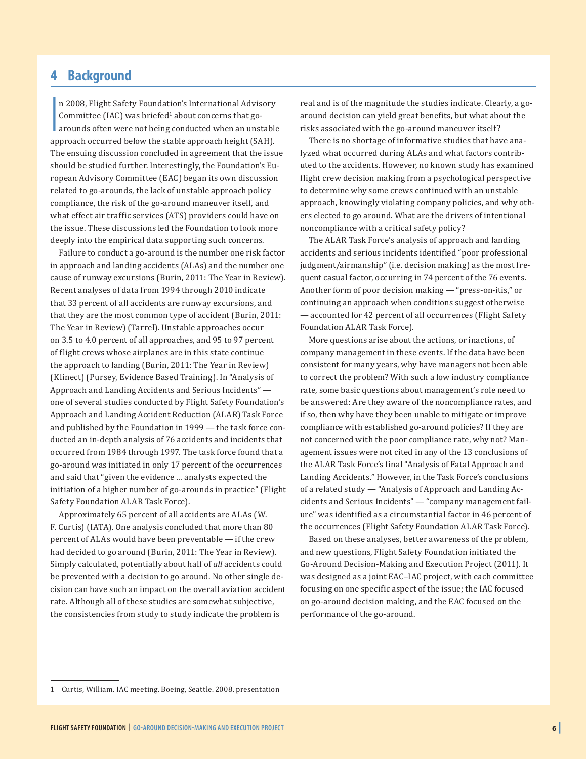## **4 Background**

|<br>|<br>|<br>| n 2008, Flight Safety Foundation's International Advisory Committee (IAC) was briefed<sup>1</sup> about concerns that goarounds often were not being conducted when an unstable approach occurred below the stable approach height (SAH). The ensuing discussion concluded in agreement that the issue should be studied further. Interestingly, the Foundation's European Advisory Committee (EAC) began its own discussion related to go-arounds, the lack of unstable approach policy compliance, the risk of the go-around maneuver itself, and what effect air traffic services (ATS) providers could have on the issue. These discussions led the Foundation to look more deeply into the empirical data supporting such concerns.

Failure to conduct a go-around is the number one risk factor in approach and landing accidents (ALAs) and the number one cause of runway excursions (Burin, 2011: The Year in Review). Recent analyses of data from 1994 through 2010 indicate that 33 percent of all accidents are runway excursions, and that they are the most common type of accident (Burin, 2011: The Year in Review) (Tarrel). Unstable approaches occur on 3.5 to 4.0 percent of all approaches, and 95 to 97 percent of flight crews whose airplanes are in this state continue the approach to landing (Burin, 2011: The Year in Review) (Klinect) (Pursey, Evidence Based Training). In "Analysis of Approach and Landing Accidents and Serious Incidents" one of several studies conducted by Flight Safety Foundation's Approach and Landing Accident Reduction (ALAR) Task Force and published by the Foundation in 1999 — the task force conducted an in-depth analysis of 76 accidents and incidents that occurred from 1984 through 1997. The task force found that a go-around was initiated in only 17 percent of the occurrences and said that "given the evidence … analysts expected the initiation of a higher number of go-arounds in practice" (Flight Safety Foundation ALAR Task Force).

Approximately 65 percent of all accidents are ALAs (W. F. Curtis) (IATA). One analysis concluded that more than 80 percent of ALAs would have been preventable — if the crew had decided to go around (Burin, 2011: The Year in Review). Simply calculated, potentially about half of *all* accidents could be prevented with a decision to go around. No other single decision can have such an impact on the overall aviation accident rate. Although all of these studies are somewhat subjective, the consistencies from study to study indicate the problem is

real and is of the magnitude the studies indicate. Clearly, a goaround decision can yield great benefits, but what about the risks associated with the go-around maneuver itself?

There is no shortage of informative studies that have analyzed what occurred during ALAs and what factors contributed to the accidents. However, no known study has examined flight crew decision making from a psychological perspective to determine why some crews continued with an unstable approach, knowingly violating company policies, and why others elected to go around. What are the drivers of intentional noncompliance with a critical safety policy?

The ALAR Task Force's analysis of approach and landing accidents and serious incidents identified "poor professional judgment/airmanship" (i.e. decision making) as the most frequent casual factor, occurring in 74 percent of the 76 events. Another form of poor decision making — "press-on-itis," or continuing an approach when conditions suggest otherwise — accounted for 42 percent of all occurrences (Flight Safety Foundation ALAR Task Force).

More questions arise about the actions, or inactions, of company management in these events. If the data have been consistent for many years, why have managers not been able to correct the problem? With such a low industry compliance rate, some basic questions about management's role need to be answered: Are they aware of the noncompliance rates, and if so, then why have they been unable to mitigate or improve compliance with established go-around policies? If they are not concerned with the poor compliance rate, why not? Management issues were not cited in any of the 13 conclusions of the ALAR Task Force's final "Analysis of Fatal Approach and Landing Accidents." However, in the Task Force's conclusions of a related study — "Analysis of Approach and Landing Accidents and Serious Incidents" — "company management failure" was identified as a circumstantial factor in 46 percent of the occurrences (Flight Safety Foundation ALAR Task Force).

Based on these analyses, better awareness of the problem, and new questions, Flight Safety Foundation initiated the Go-Around Decision-Making and Execution Project (2011). It was designed as a joint EAC–IAC project, with each committee focusing on one specific aspect of the issue; the IAC focused on go-around decision making, and the EAC focused on the performance of the go-around.

<sup>1</sup> Curtis, William. IAC meeting. Boeing, Seattle. 2008. presentation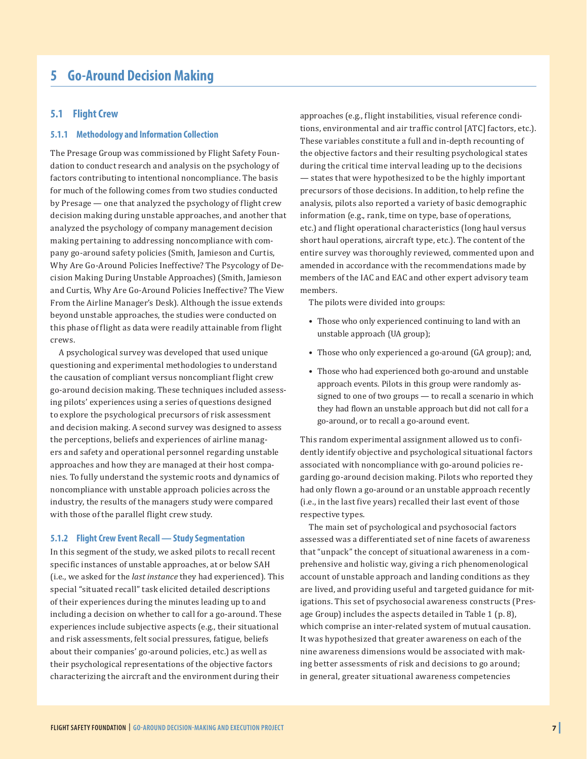## **5 Go-Around Decision Making**

#### **5.1 Flight Crew**

#### **5.1.1 Methodology and Information Collection**

The Presage Group was commissioned by Flight Safety Foundation to conduct research and analysis on the psychology of factors contributing to intentional noncompliance. The basis for much of the following comes from two studies conducted by Presage — one that analyzed the psychology of flight crew decision making during unstable approaches, and another that analyzed the psychology of company management decision making pertaining to addressing noncompliance with company go-around safety policies (Smith, Jamieson and Curtis, Why Are Go-Around Policies Ineffective? The Psycology of Decision Making During Unstable Approaches) (Smith, Jamieson and Curtis, Why Are Go-Around Policies Ineffective? The View From the Airline Manager's Desk). Although the issue extends beyond unstable approaches, the studies were conducted on this phase of flight as data were readily attainable from flight crews.

A psychological survey was developed that used unique questioning and experimental methodologies to understand the causation of compliant versus noncompliant flight crew go-around decision making. These techniques included assessing pilots' experiences using a series of questions designed to explore the psychological precursors of risk assessment and decision making. A second survey was designed to assess the perceptions, beliefs and experiences of airline managers and safety and operational personnel regarding unstable approaches and how they are managed at their host companies. To fully understand the systemic roots and dynamics of noncompliance with unstable approach policies across the industry, the results of the managers study were compared with those of the parallel flight crew study.

#### **5.1.2 Flight Crew Event Recall — Study Segmentation**

In this segment of the study, we asked pilots to recall recent specific instances of unstable approaches, at or below SAH (i.e., we asked for the *last instance* they had experienced). This special "situated recall" task elicited detailed descriptions of their experiences during the minutes leading up to and including a decision on whether to call for a go-around. These experiences include subjective aspects (e.g., their situational and risk assessments, felt social pressures, fatigue, beliefs about their companies' go-around policies, etc.) as well as their psychological representations of the objective factors characterizing the aircraft and the environment during their

approaches (e.g., flight instabilities, visual reference conditions, environmental and air traffic control [ATC] factors, etc.). These variables constitute a full and in-depth recounting of the objective factors and their resulting psychological states during the critical time interval leading up to the decisions — states that were hypothesized to be the highly important precursors of those decisions. In addition, to help refine the analysis, pilots also reported a variety of basic demographic information (e.g., rank, time on type, base of operations, etc.) and flight operational characteristics (long haul versus short haul operations, aircraft type, etc.). The content of the entire survey was thoroughly reviewed, commented upon and amended in accordance with the recommendations made by members of the IAC and EAC and other expert advisory team members.

The pilots were divided into groups:

- Those who only experienced continuing to land with an unstable approach (UA group);
- Those who only experienced a go-around (GA group); and,
- Those who had experienced both go-around and unstable approach events. Pilots in this group were randomly assigned to one of two groups — to recall a scenario in which they had flown an unstable approach but did not call for a go-around, or to recall a go-around event.

This random experimental assignment allowed us to confidently identify objective and psychological situational factors associated with noncompliance with go-around policies regarding go-around decision making. Pilots who reported they had only flown a go-around or an unstable approach recently (i.e., in the last five years) recalled their last event of those respective types.

The main set of psychological and psychosocial factors assessed was a differentiated set of nine facets of awareness that "unpack" the concept of situational awareness in a comprehensive and holistic way, giving a rich phenomenological account of unstable approach and landing conditions as they are lived, and providing useful and targeted guidance for mitigations. This set of psychosocial awareness constructs (Presage Group) includes the aspects detailed in Table 1 (p. 8), which comprise an inter-related system of mutual causation. It was hypothesized that greater awareness on each of the nine awareness dimensions would be associated with making better assessments of risk and decisions to go around; in general, greater situational awareness competencies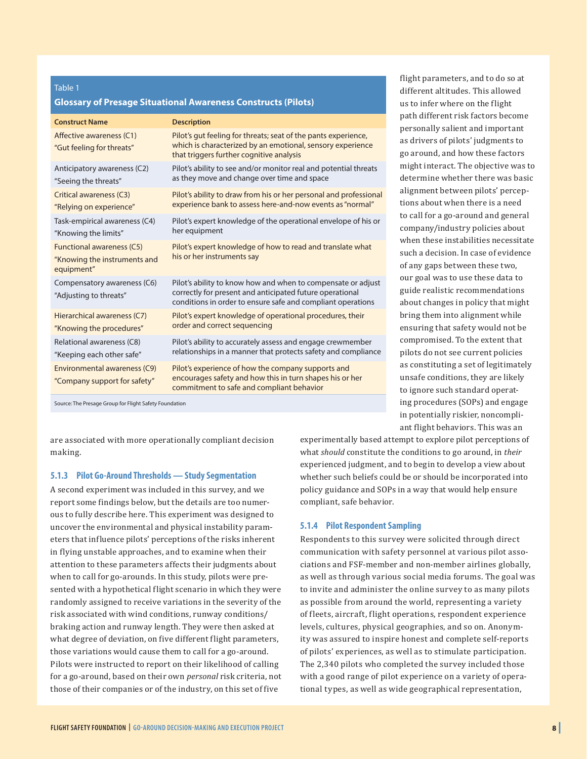#### **Glossary of Presage Situational Awareness Constructs (Pilots)**

| <b>Description</b>                                                                                                                                                                      |
|-----------------------------------------------------------------------------------------------------------------------------------------------------------------------------------------|
| Pilot's gut feeling for threats; seat of the pants experience,<br>which is characterized by an emotional, sensory experience<br>that triggers further cognitive analysis                |
| Pilot's ability to see and/or monitor real and potential threats<br>as they move and change over time and space                                                                         |
| Pilot's ability to draw from his or her personal and professional<br>experience bank to assess here-and-now events as "normal"                                                          |
| Pilot's expert knowledge of the operational envelope of his or<br>her equipment                                                                                                         |
| Pilot's expert knowledge of how to read and translate what<br>his or her instruments say                                                                                                |
| Pilot's ability to know how and when to compensate or adjust<br>correctly for present and anticipated future operational<br>conditions in order to ensure safe and compliant operations |
| Pilot's expert knowledge of operational procedures, their<br>order and correct sequencing                                                                                               |
| Pilot's ability to accurately assess and engage crewmember<br>relationships in a manner that protects safety and compliance                                                             |
| Pilot's experience of how the company supports and<br>encourages safety and how this in turn shapes his or her<br>commitment to safe and compliant behavior                             |
|                                                                                                                                                                                         |

Source: The Presage Group for Flight Safety Foundation

are associated with more operationally compliant decision making.

#### **5.1.3 Pilot Go-Around Thresholds — Study Segmentation**

A second experiment was included in this survey, and we report some findings below, but the details are too numerous to fully describe here. This experiment was designed to uncover the environmental and physical instability parameters that influence pilots' perceptions of the risks inherent in flying unstable approaches, and to examine when their attention to these parameters affects their judgments about when to call for go-arounds. In this study, pilots were presented with a hypothetical flight scenario in which they were randomly assigned to receive variations in the severity of the risk associated with wind conditions, runway conditions/ braking action and runway length. They were then asked at what degree of deviation, on five different flight parameters, those variations would cause them to call for a go-around. Pilots were instructed to report on their likelihood of calling for a go-around, based on their own *personal* risk criteria, not those of their companies or of the industry, on this set of five

flight parameters, and to do so at different altitudes. This allowed us to infer where on the flight path different risk factors become personally salient and important as drivers of pilots' judgments to go around, and how these factors might interact. The objective was to determine whether there was basic alignment between pilots' perceptions about when there is a need to call for a go-around and general company/industry policies about when these instabilities necessitate such a decision. In case of evidence of any gaps between these two, our goal was to use these data to guide realistic recommendations about changes in policy that might bring them into alignment while ensuring that safety would not be compromised. To the extent that pilots do not see current policies as constituting a set of legitimately unsafe conditions, they are likely to ignore such standard operating procedures (SOPs) and engage in potentially riskier, noncompliant flight behaviors. This was an

experimentally based attempt to explore pilot perceptions of what *should* constitute the conditions to go around, in *their* experienced judgment, and to begin to develop a view about whether such beliefs could be or should be incorporated into policy guidance and SOPs in a way that would help ensure compliant, safe behavior.

#### **5.1.4 Pilot Respondent Sampling**

Respondents to this survey were solicited through direct communication with safety personnel at various pilot associations and FSF-member and non-member airlines globally, as well as through various social media forums. The goal was to invite and administer the online survey to as many pilots as possible from around the world, representing a variety of fleets, aircraft, flight operations, respondent experience levels, cultures, physical geographies, and so on. Anonymity was assured to inspire honest and complete self-reports of pilots' experiences, as well as to stimulate participation. The 2,340 pilots who completed the survey included those with a good range of pilot experience on a variety of operational types, as well as wide geographical representation,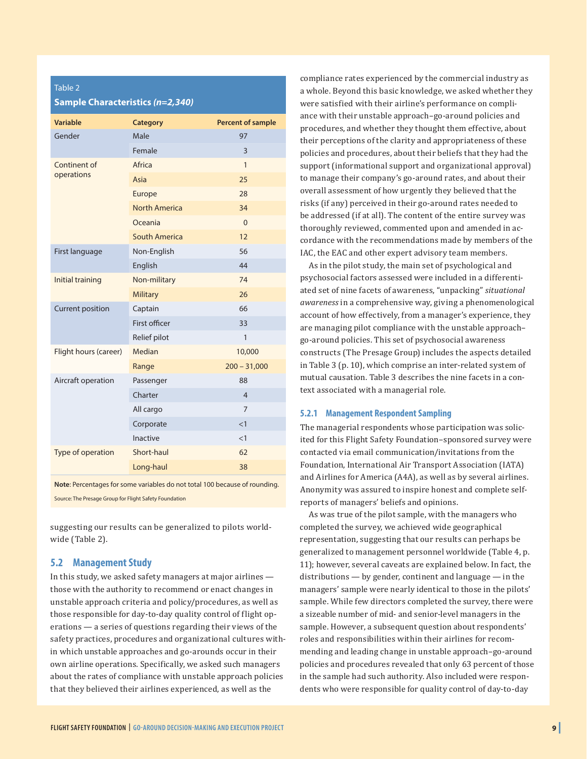#### Table 2 **Sample Characteristics** *(n=2,340)*

| <b>Variable</b>         | <b>Category</b>      | <b>Percent of sample</b> |
|-------------------------|----------------------|--------------------------|
| Gender                  | Male                 | 97                       |
|                         | Female               | $\overline{3}$           |
| Continent of            | Africa               | $\mathbf{1}$             |
| operations              | Asia                 | 25                       |
|                         | Europe               | 28                       |
|                         | <b>North America</b> | 34                       |
|                         | Oceania              | $\overline{0}$           |
|                         | South America        | 12                       |
| First language          | Non-English          | 56                       |
|                         | English              | 44                       |
| Initial training        | Non-military         | 74                       |
|                         | <b>Military</b>      | 26                       |
| <b>Current position</b> | Captain              | 66                       |
|                         | First officer        | 33                       |
|                         | Relief pilot         | 1                        |
| Flight hours (career)   | Median               | 10,000                   |
|                         | Range                | $200 - 31,000$           |
| Aircraft operation      | Passenger            | 88                       |
|                         | Charter              | $\overline{4}$           |
|                         | All cargo            | $\overline{7}$           |
|                         | Corporate            | <1                       |
|                         | Inactive             | <1                       |
| Type of operation       | Short-haul           | 62                       |
|                         | Long-haul            | 38                       |
|                         |                      |                          |

**Note**: Percentages for some variables do not total 100 because of rounding. Source: The Presage Group for Flight Safety Foundation

suggesting our results can be generalized to pilots worldwide (Table 2).

#### **5.2 Management Study**

In this study, we asked safety managers at major airlines those with the authority to recommend or enact changes in unstable approach criteria and policy/procedures, as well as those responsible for day-to-day quality control of flight operations — a series of questions regarding their views of the safety practices, procedures and organizational cultures within which unstable approaches and go-arounds occur in their own airline operations. Specifically, we asked such managers about the rates of compliance with unstable approach policies that they believed their airlines experienced, as well as the

compliance rates experienced by the commercial industry as a whole. Beyond this basic knowledge, we asked whether they were satisfied with their airline's performance on compliance with their unstable approach–go-around policies and procedures, and whether they thought them effective, about their perceptions of the clarity and appropriateness of these policies and procedures, about their beliefs that they had the support (informational support and organizational approval) to manage their company's go-around rates, and about their overall assessment of how urgently they believed that the risks (if any) perceived in their go-around rates needed to be addressed (if at all). The content of the entire survey was thoroughly reviewed, commented upon and amended in accordance with the recommendations made by members of the IAC, the EAC and other expert advisory team members.

As in the pilot study, the main set of psychological and psychosocial factors assessed were included in a differentiated set of nine facets of awareness, "unpacking" *situational awareness* in a comprehensive way, giving a phenomenological account of how effectively, from a manager's experience, they are managing pilot compliance with the unstable approach– go-around policies. This set of psychosocial awareness constructs (The Presage Group) includes the aspects detailed in Table 3 (p. 10), which comprise an inter-related system of mutual causation. Table 3 describes the nine facets in a context associated with a managerial role.

#### **5.2.1 Management Respondent Sampling**

The managerial respondents whose participation was solicited for this Flight Safety Foundation–sponsored survey were contacted via email communication/invitations from the Foundation, International Air Transport Association (IATA) and Airlines for America (A4A), as well as by several airlines. Anonymity was assured to inspire honest and complete selfreports of managers' beliefs and opinions.

As was true of the pilot sample, with the managers who completed the survey, we achieved wide geographical representation, suggesting that our results can perhaps be generalized to management personnel worldwide (Table 4, p. 11); however, several caveats are explained below. In fact, the distributions — by gender, continent and language — in the managers' sample were nearly identical to those in the pilots' sample. While few directors completed the survey, there were a sizeable number of mid- and senior-level managers in the sample. However, a subsequent question about respondents' roles and responsibilities within their airlines for recommending and leading change in unstable approach–go-around policies and procedures revealed that only 63 percent of those in the sample had such authority. Also included were respondents who were responsible for quality control of day-to-day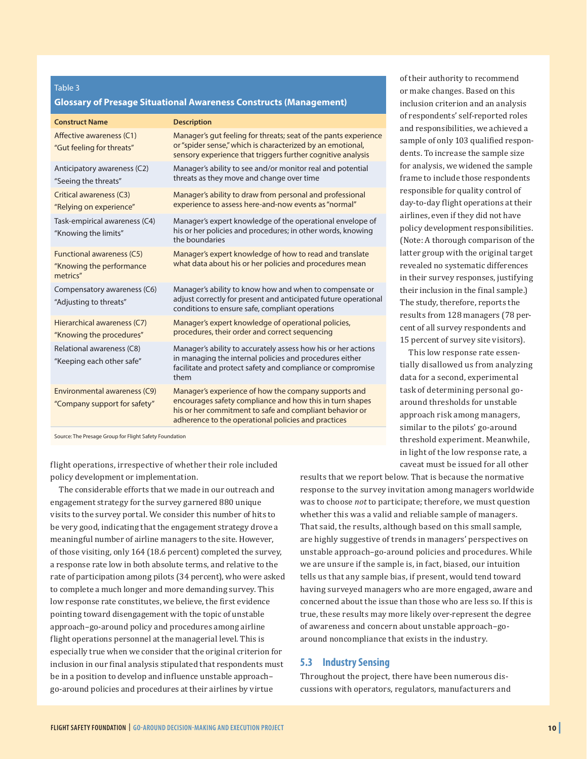#### **Glossary of Presage Situational Awareness Constructs (Management)**

| <b>Construct Name</b>                                                    | <b>Description</b>                                                                                                                                                                                                                 |
|--------------------------------------------------------------------------|------------------------------------------------------------------------------------------------------------------------------------------------------------------------------------------------------------------------------------|
| Affective awareness (C1)<br>"Gut feeling for threats"                    | Manager's gut feeling for threats; seat of the pants experience<br>or "spider sense," which is characterized by an emotional,<br>sensory experience that triggers further cognitive analysis                                       |
| Anticipatory awareness (C2)<br>"Seeing the threats"                      | Manager's ability to see and/or monitor real and potential<br>threats as they move and change over time                                                                                                                            |
| <b>Critical awareness (C3)</b><br>"Relying on experience"                | Manager's ability to draw from personal and professional<br>experience to assess here-and-now events as "normal"                                                                                                                   |
| Task-empirical awareness (C4)<br>"Knowing the limits"                    | Manager's expert knowledge of the operational envelope of<br>his or her policies and procedures; in other words, knowing<br>the boundaries                                                                                         |
| <b>Functional awareness (C5)</b><br>"Knowing the performance<br>metrics" | Manager's expert knowledge of how to read and translate<br>what data about his or her policies and procedures mean                                                                                                                 |
| Compensatory awareness (C6)<br>"Adjusting to threats"                    | Manager's ability to know how and when to compensate or<br>adjust correctly for present and anticipated future operational<br>conditions to ensure safe, compliant operations                                                      |
| Hierarchical awareness (C7)<br>"Knowing the procedures"                  | Manager's expert knowledge of operational policies,<br>procedures, their order and correct sequencing                                                                                                                              |
| Relational awareness (C8)<br>"Keeping each other safe"                   | Manager's ability to accurately assess how his or her actions<br>in managing the internal policies and procedures either<br>facilitate and protect safety and compliance or compromise<br>them                                     |
| Environmental awareness (C9)<br>"Company support for safety"             | Manager's experience of how the company supports and<br>encourages safety compliance and how this in turn shapes<br>his or her commitment to safe and compliant behavior or<br>adherence to the operational policies and practices |

Source: The Presage Group for Flight Safety Foundation

flight operations, irrespective of whether their role included policy development or implementation.

The considerable efforts that we made in our outreach and engagement strategy for the survey garnered 880 unique visits to the survey portal. We consider this number of hits to be very good, indicating that the engagement strategy drove a meaningful number of airline managers to the site. However, of those visiting, only 164 (18.6 percent) completed the survey, a response rate low in both absolute terms, and relative to the rate of participation among pilots (34 percent), who were asked to complete a much longer and more demanding survey. This low response rate constitutes, we believe, the first evidence pointing toward disengagement with the topic of unstable approach–go-around policy and procedures among airline flight operations personnel at the managerial level. This is especially true when we consider that the original criterion for inclusion in our final analysis stipulated that respondents must be in a position to develop and influence unstable approach– go-around policies and procedures at their airlines by virtue

of their authority to recommend or make changes. Based on this inclusion criterion and an analysis of respondents' self-reported roles and responsibilities, we achieved a sample of only 103 qualified respondents. To increase the sample size for analysis, we widened the sample frame to include those respondents responsible for quality control of day-to-day flight operations at their airlines, even if they did not have policy development responsibilities. (Note: A thorough comparison of the latter group with the original target revealed no systematic differences in their survey responses, justifying their inclusion in the final sample.) The study, therefore, reports the results from 128 managers (78 percent of all survey respondents and 15 percent of survey site visitors).

This low response rate essentially disallowed us from analyzing data for a second, experimental task of determining personal goaround thresholds for unstable approach risk among managers, similar to the pilots' go-around threshold experiment. Meanwhile, in light of the low response rate, a caveat must be issued for all other

results that we report below. That is because the normative response to the survey invitation among managers worldwide was to choose *not* to participate; therefore, we must question whether this was a valid and reliable sample of managers. That said, the results, although based on this small sample, are highly suggestive of trends in managers' perspectives on unstable approach–go-around policies and procedures. While we are unsure if the sample is, in fact, biased, our intuition tells us that any sample bias, if present, would tend toward having surveyed managers who are more engaged, aware and concerned about the issue than those who are less so. If this is true, these results may more likely over-represent the degree of awareness and concern about unstable approach–goaround noncompliance that exists in the industry.

#### **5.3 Industry Sensing**

Throughout the project, there have been numerous discussions with operators, regulators, manufacturers and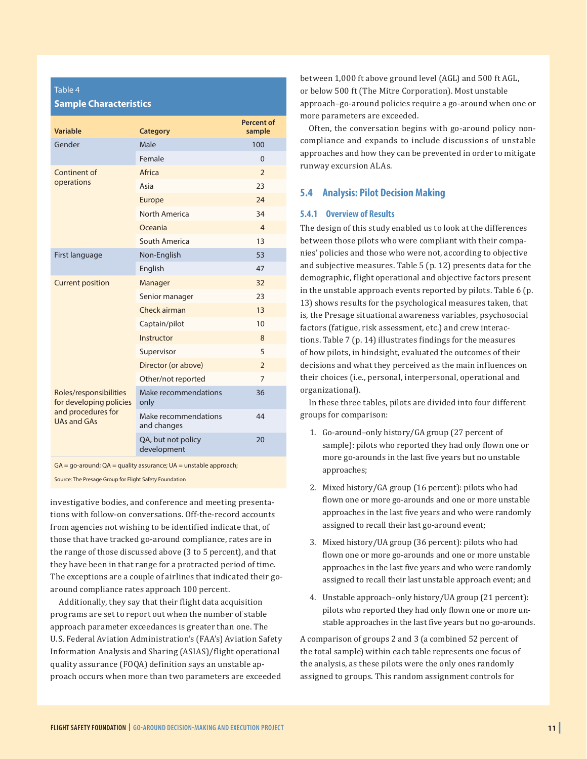| <b>Sample Characteristics</b>                     |                                     |                             |  |  |  |
|---------------------------------------------------|-------------------------------------|-----------------------------|--|--|--|
| Variable                                          | <b>Category</b>                     | <b>Percent of</b><br>sample |  |  |  |
| Gender                                            | Male                                | 100                         |  |  |  |
|                                                   | Female                              | $\overline{0}$              |  |  |  |
| Continent of                                      | Africa                              | $\overline{2}$              |  |  |  |
| operations                                        | Asia                                | 23                          |  |  |  |
|                                                   | Europe                              | 24                          |  |  |  |
|                                                   | North America                       | 34                          |  |  |  |
|                                                   | Oceania                             | $\overline{4}$              |  |  |  |
|                                                   | <b>South America</b>                | 13                          |  |  |  |
| First language                                    | Non-English                         | 53                          |  |  |  |
|                                                   | English                             | 47                          |  |  |  |
| <b>Current position</b>                           | Manager                             | 32                          |  |  |  |
|                                                   | Senior manager                      | 23                          |  |  |  |
|                                                   | Check airman                        | 13                          |  |  |  |
|                                                   | Captain/pilot                       | 10                          |  |  |  |
|                                                   | Instructor                          | 8                           |  |  |  |
|                                                   | Supervisor                          | 5                           |  |  |  |
|                                                   | Director (or above)                 | $\overline{2}$              |  |  |  |
|                                                   | Other/not reported                  | 7                           |  |  |  |
| Roles/responsibilities<br>for developing policies | Make recommendations<br>only        | 36                          |  |  |  |
| and procedures for<br><b>UAs and GAs</b>          | Make recommendations<br>and changes | 44                          |  |  |  |
|                                                   | QA, but not policy<br>development   | 20                          |  |  |  |

 $GA = go-around$ ;  $QA = quality$  assurance;  $UA =$  unstable approach;

Source: The Presage Group for Flight Safety Foundation

Table 4

investigative bodies, and conference and meeting presentations with follow-on conversations. Off-the-record accounts from agencies not wishing to be identified indicate that, of those that have tracked go-around compliance, rates are in the range of those discussed above (3 to 5 percent), and that they have been in that range for a protracted period of time. The exceptions are a couple of airlines that indicated their goaround compliance rates approach 100 percent.

Additionally, they say that their flight data acquisition programs are set to report out when the number of stable approach parameter exceedances is greater than one. The U.S. Federal Aviation Administration's (FAA's) Aviation Safety Information Analysis and Sharing (ASIAS)/flight operational quality assurance (FOQA) definition says an unstable approach occurs when more than two parameters are exceeded

between 1,000 ft above ground level (AGL) and 500 ft AGL, or below 500 ft (The Mitre Corporation). Most unstable approach–go-around policies require a go-around when one or more parameters are exceeded.

Often, the conversation begins with go-around policy noncompliance and expands to include discussions of unstable approaches and how they can be prevented in order to mitigate runway excursion ALAs.

#### **5.4 Analysis: Pilot Decision Making**

#### **5.4.1 Overview of Results**

The design of this study enabled us to look at the differences between those pilots who were compliant with their companies' policies and those who were not, according to objective and subjective measures. Table 5 (p. 12) presents data for the demographic, flight operational and objective factors present in the unstable approach events reported by pilots. Table 6 (p. 13) shows results for the psychological measures taken, that is, the Presage situational awareness variables, psychosocial factors (fatigue, risk assessment, etc.) and crew interactions. Table 7 (p. 14) illustrates findings for the measures of how pilots, in hindsight, evaluated the outcomes of their decisions and what they perceived as the main influences on their choices (i.e., personal, interpersonal, operational and organizational).

In these three tables, pilots are divided into four different groups for comparison:

- 1. Go-around–only history/GA group (27 percent of sample): pilots who reported they had only flown one or more go-arounds in the last five years but no unstable approaches;
- 2. Mixed history/GA group (16 percent): pilots who had flown one or more go-arounds and one or more unstable approaches in the last five years and who were randomly assigned to recall their last go-around event;
- 3. Mixed history/UA group (36 percent): pilots who had flown one or more go-arounds and one or more unstable approaches in the last five years and who were randomly assigned to recall their last unstable approach event; and
- 4. Unstable approach–only history/UA group (21 percent): pilots who reported they had only flown one or more unstable approaches in the last five years but no go-arounds.

A comparison of groups 2 and 3 (a combined 52 percent of the total sample) within each table represents one focus of the analysis, as these pilots were the only ones randomly assigned to groups. This random assignment controls for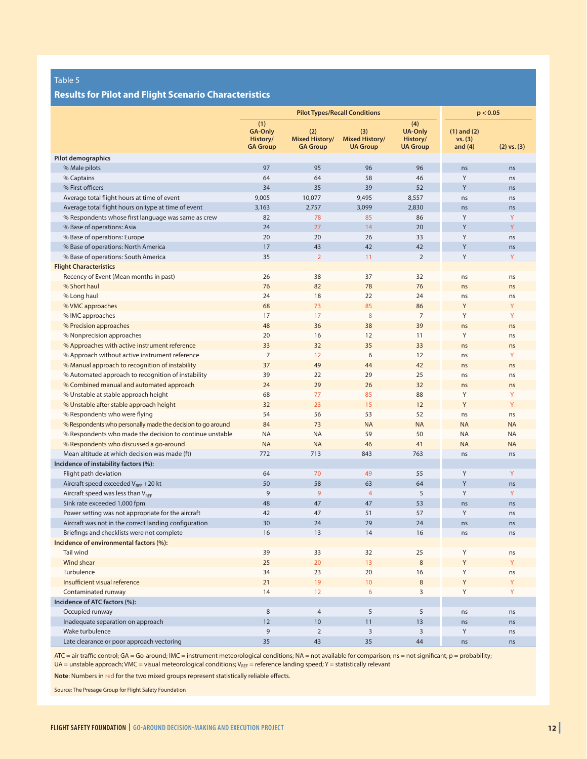#### **Results for Pilot and Flight Scenario Characteristics**

|                                                             |                                                      | <b>Pilot Types/Recall Conditions</b>            | p < 0.05                                        |                                                      |                                         |                 |
|-------------------------------------------------------------|------------------------------------------------------|-------------------------------------------------|-------------------------------------------------|------------------------------------------------------|-----------------------------------------|-----------------|
|                                                             | (1)<br><b>GA-Only</b><br>History/<br><b>GA Group</b> | (2)<br><b>Mixed History/</b><br><b>GA Group</b> | (3)<br><b>Mixed History/</b><br><b>UA Group</b> | (4)<br><b>UA-Only</b><br>History/<br><b>UA Group</b> | $(1)$ and $(2)$<br>vs. (3)<br>and $(4)$ | $(2)$ vs. $(3)$ |
| Pilot demographics                                          |                                                      |                                                 |                                                 |                                                      |                                         |                 |
| % Male pilots                                               | 97                                                   | 95                                              | 96                                              | 96                                                   | ns                                      | ns              |
| % Captains                                                  | 64                                                   | 64                                              | 58                                              | 46                                                   | Y                                       | ns              |
| % First officers                                            | 34                                                   | 35                                              | 39                                              | 52                                                   | Y                                       | ns              |
| Average total flight hours at time of event                 | 9,005                                                | 10,077                                          | 9,495                                           | 8,557                                                | ns                                      | ns              |
| Average total flight hours on type at time of event         | 3,163                                                | 2,757                                           | 3,099                                           | 2,830                                                | ns                                      | ns              |
| % Respondents whose first language was same as crew         | 82                                                   | 78                                              | 85                                              | 86                                                   | Y                                       | Y               |
| % Base of operations: Asia                                  | 24                                                   | 27                                              | 14                                              | 20                                                   | Y                                       | Y               |
| % Base of operations: Europe                                | 20                                                   | 20                                              | 26                                              | 33                                                   | Y                                       | ns              |
| % Base of operations: North America                         | 17                                                   | 43                                              | 42                                              | 42                                                   | Υ                                       | ns              |
| % Base of operations: South America                         | 35                                                   | $\overline{2}$                                  | 11                                              | 2                                                    | Y                                       | Y               |
| <b>Flight Characteristics</b>                               |                                                      |                                                 |                                                 |                                                      |                                         |                 |
| Recency of Event (Mean months in past)                      | 26                                                   | 38                                              | 37                                              | 32                                                   | ns                                      | ns              |
| % Short haul                                                | 76                                                   | 82                                              | 78                                              | 76                                                   | ns                                      | ns              |
| % Long haul                                                 | 24                                                   | 18                                              | 22                                              | 24                                                   | ns                                      | ns              |
| % VMC approaches                                            | 68                                                   | 73                                              | 85                                              | 86                                                   | Y                                       | Υ               |
| % IMC approaches                                            | 17                                                   | 17                                              | 8                                               | $\overline{7}$                                       | Y                                       | Y               |
| % Precision approaches                                      | 48                                                   | 36                                              | 38                                              | 39                                                   | ns                                      | ns              |
| % Nonprecision approaches                                   | 20                                                   | 16                                              | 12                                              | 11                                                   | Y                                       | ns              |
| % Approaches with active instrument reference               | 33                                                   | 32                                              | 35                                              | 33                                                   | ns                                      | ns              |
| % Approach without active instrument reference              | $\overline{7}$                                       | 12                                              | 6                                               | 12                                                   | ns                                      | Y               |
| % Manual approach to recognition of instability             | 37                                                   | 49                                              | 44                                              | 42                                                   | ns                                      | ns              |
| % Automated approach to recognition of instability          | 39                                                   | 22                                              | 29                                              | 25                                                   | ns                                      | ns              |
| % Combined manual and automated approach                    | 24                                                   | 29                                              | 26                                              | 32                                                   | ns                                      | ns              |
| % Unstable at stable approach height                        | 68                                                   | 77                                              | 85                                              | 88                                                   | Y                                       | Y               |
| % Unstable after stable approach height                     | 32                                                   | 23                                              | 15                                              | 12                                                   | Y                                       | Y               |
| % Respondents who were flying                               | 54                                                   | 56                                              | 53                                              | 52                                                   | ns                                      | ns              |
| % Respondents who personally made the decision to go around | 84                                                   | 73                                              | <b>NA</b>                                       | <b>NA</b>                                            | <b>NA</b>                               | <b>NA</b>       |
| % Respondents who made the decision to continue unstable    | <b>NA</b>                                            | <b>NA</b>                                       | 59                                              | 50                                                   | <b>NA</b>                               | <b>NA</b>       |
| % Respondents who discussed a go-around                     | <b>NA</b>                                            | <b>NA</b>                                       | 46                                              | 41                                                   | <b>NA</b>                               | <b>NA</b>       |
| Mean altitude at which decision was made (ft)               | 772                                                  | 713                                             | 843                                             | 763                                                  | ns                                      | ns              |
| Incidence of instability factors (%):                       |                                                      |                                                 |                                                 |                                                      |                                         |                 |
| Flight path deviation                                       | 64                                                   | 70                                              | 49                                              | 55                                                   | Υ                                       | Y               |
| Aircraft speed exceeded $V_{\text{REF}}$ +20 kt             | 50                                                   | 58                                              | 63                                              | 64                                                   | Y                                       | ns              |
| Aircraft speed was less than $V_{RFF}$                      | 9                                                    | $\overline{9}$                                  | $\overline{4}$                                  | 5                                                    | Y                                       | Y               |
| Sink rate exceeded 1,000 fpm                                | 48                                                   | 47                                              | 47                                              | 53                                                   | ns                                      | ns              |
| Power setting was not appropriate for the aircraft          | 42                                                   | 47                                              | 51                                              | 57                                                   | Y                                       | ns              |
| Aircraft was not in the correct landing configuration       | 30                                                   | 24                                              | 29                                              | 24                                                   | ns                                      | ns              |
| Briefings and checklists were not complete                  | 16                                                   | 13                                              | 14                                              | 16                                                   | ns                                      | ns              |
| Incidence of environmental factors (%):                     |                                                      |                                                 |                                                 |                                                      |                                         |                 |
| <b>Tail wind</b>                                            | 39                                                   | 33                                              | 32                                              | 25                                                   | Υ                                       | ns              |
| Wind shear                                                  | 25                                                   | 20                                              | 13                                              | $\,8\,$                                              | Y                                       | Y               |
| Turbulence                                                  | 34                                                   | 23                                              | 20                                              | 16                                                   | Y                                       | ns              |
| Insufficient visual reference                               | 21                                                   | 19                                              | 10                                              | 8                                                    | Y                                       | Y               |
| Contaminated runway                                         | 14                                                   | 12 <sup>°</sup>                                 | 6                                               | 3                                                    | Y                                       | Y               |
| Incidence of ATC factors (%):                               |                                                      |                                                 |                                                 |                                                      |                                         |                 |
| Occupied runway                                             | 8                                                    | $\overline{4}$                                  | 5                                               | 5                                                    | ns                                      | ns              |
| Inadequate separation on approach                           | 12                                                   | 10                                              | 11                                              | 13                                                   | ns                                      | ns              |
| Wake turbulence                                             | 9                                                    | $\overline{2}$                                  | $\overline{3}$                                  | 3                                                    | Y                                       | ns              |
| Late clearance or poor approach vectoring                   | 35                                                   | 43                                              | 35                                              | 44                                                   | ns                                      | ns              |

ATC = air traffic control; GA = Go-around; IMC = instrument meteorological conditions; NA = not available for comparison; ns = not significant; p = probability;  $UA =$  unstable approach; VMC = visual meteorological conditions;  $V_{REF}$  = reference landing speed; Y = statistically relevant

**Note**: Numbers in red for the two mixed groups represent statistically reliable effects.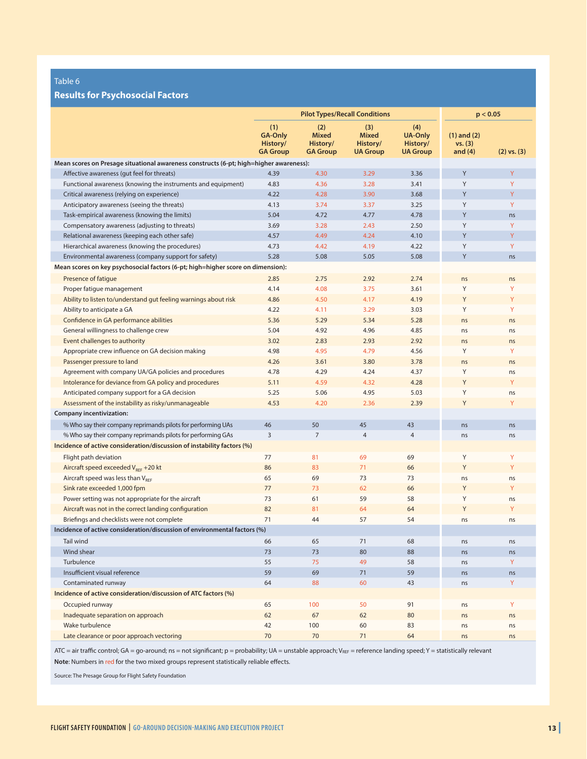#### **Results for Psychosocial Factors**

|                                                                                        | <b>Pilot Types/Recall Conditions</b>                 |                                                    |                                                    |                                                      | p < 0.05                                |                 |
|----------------------------------------------------------------------------------------|------------------------------------------------------|----------------------------------------------------|----------------------------------------------------|------------------------------------------------------|-----------------------------------------|-----------------|
|                                                                                        | (1)<br><b>GA-Only</b><br>History/<br><b>GA Group</b> | (2)<br><b>Mixed</b><br>History/<br><b>GA Group</b> | (3)<br><b>Mixed</b><br>History/<br><b>UA Group</b> | (4)<br><b>UA-Only</b><br>History/<br><b>UA Group</b> | $(1)$ and $(2)$<br>vs. (3)<br>and $(4)$ | $(2)$ vs. $(3)$ |
| Mean scores on Presage situational awareness constructs (6-pt; high=higher awareness): |                                                      |                                                    |                                                    |                                                      |                                         |                 |
| Affective awareness (gut feel for threats)                                             | 4.39                                                 | 4.30                                               | 3.29                                               | 3.36                                                 | Υ                                       | Y               |
| Functional awareness (knowing the instruments and equipment)                           | 4.83                                                 | 4.36                                               | 3.28                                               | 3.41                                                 | Y                                       | Y               |
| Critical awareness (relying on experience)                                             | 4.22                                                 | 4.28                                               | 3.90                                               | 3.68                                                 | Y                                       | Y               |
| Anticipatory awareness (seeing the threats)                                            | 4.13                                                 | 3.74                                               | 3.37                                               | 3.25                                                 | Y                                       | Y               |
| Task-empirical awareness (knowing the limits)                                          | 5.04                                                 | 4.72                                               | 4.77                                               | 4.78                                                 | Υ                                       | ns              |
| Compensatory awareness (adjusting to threats)                                          | 3.69                                                 | 3.28                                               | 2.43                                               | 2.50                                                 | Y                                       | Y               |
| Relational awareness (keeping each other safe)                                         | 4.57                                                 | 4.49                                               | 4.24                                               | 4.10                                                 | Y                                       | Y               |
| Hierarchical awareness (knowing the procedures)                                        | 4.73                                                 | 4.42                                               | 4.19                                               | 4.22                                                 | Y                                       | Y               |
| Environmental awareness (company support for safety)                                   | 5.28                                                 | 5.08                                               | 5.05                                               | 5.08                                                 | Υ                                       | ns              |
| Mean scores on key psychosocial factors (6-pt; high=higher score on dimension):        |                                                      |                                                    |                                                    |                                                      |                                         |                 |
| Presence of fatigue                                                                    | 2.85                                                 | 2.75                                               | 2.92                                               | 2.74                                                 | ns                                      | ns              |
| Proper fatigue management                                                              | 4.14                                                 | 4.08                                               | 3.75                                               | 3.61                                                 | Y                                       | Y               |
| Ability to listen to/understand gut feeling warnings about risk                        | 4.86                                                 | 4.50                                               | 4.17                                               | 4.19                                                 | Y                                       | Y               |
| Ability to anticipate a GA                                                             | 4.22                                                 | 4.11                                               | 3.29                                               | 3.03                                                 | Y                                       | Y               |
| Confidence in GA performance abilities                                                 | 5.36                                                 | 5.29                                               | 5.34                                               | 5.28                                                 | ns                                      | ns              |
| General willingness to challenge crew                                                  | 5.04                                                 | 4.92                                               | 4.96                                               | 4.85                                                 | ns                                      | ns              |
| Event challenges to authority                                                          | 3.02                                                 | 2.83                                               | 2.93                                               | 2.92                                                 | ns                                      | ns              |
| Appropriate crew influence on GA decision making                                       | 4.98                                                 | 4.95                                               | 4.79                                               | 4.56                                                 | Y                                       | Y               |
| Passenger pressure to land                                                             | 4.26                                                 | 3.61                                               | 3.80                                               | 3.78                                                 | ns                                      | ns              |
| Agreement with company UA/GA policies and procedures                                   | 4.78                                                 | 4.29                                               | 4.24                                               | 4.37                                                 | Y                                       | ns              |
| Intolerance for deviance from GA policy and procedures                                 | 5.11                                                 | 4.59                                               | 4.32                                               | 4.28                                                 | Υ                                       | Y               |
| Anticipated company support for a GA decision                                          | 5.25                                                 | 5.06                                               | 4.95                                               | 5.03                                                 | Y                                       | ns              |
| Assessment of the instability as risky/unmanageable                                    | 4.53                                                 | 4.20                                               | 2.36                                               | 2.39                                                 | Υ                                       | Y               |
| <b>Company incentivization:</b>                                                        |                                                      |                                                    |                                                    |                                                      |                                         |                 |
| % Who say their company reprimands pilots for performing UAs                           | 46                                                   | 50                                                 | 45                                                 | 43                                                   | ns                                      | ns              |
| % Who say their company reprimands pilots for performing GAs                           | $\overline{3}$                                       | $\overline{7}$                                     | $\overline{4}$                                     | $\overline{4}$                                       | ns                                      | ns              |
| Incidence of active consideration/discussion of instability factors (%)                |                                                      |                                                    |                                                    |                                                      |                                         |                 |
| Flight path deviation                                                                  | 77                                                   | 81                                                 | 69                                                 | 69                                                   | Y                                       | Y               |
| Aircraft speed exceeded $V_{RFF}$ +20 kt                                               | 86                                                   | 83                                                 | 71                                                 | 66                                                   | Y                                       | Y               |
| Aircraft speed was less than $V_{REF}$                                                 | 65                                                   | 69                                                 | 73                                                 | 73                                                   | ns                                      | ns              |
| Sink rate exceeded 1,000 fpm                                                           | 77                                                   | 73                                                 | 62                                                 | 66                                                   | Y                                       | Y               |
| Power setting was not appropriate for the aircraft                                     | 73                                                   | 61                                                 | 59                                                 | 58                                                   | Y                                       | ns              |
| Aircraft was not in the correct landing configuration                                  | 82                                                   | 81                                                 | 64                                                 | 64                                                   | Y                                       | Y               |
| Briefings and checklists were not complete                                             | 71                                                   | 44                                                 | 57                                                 | 54                                                   | ns                                      | ns              |
| Incidence of active consideration/discussion of environmental factors (%)              |                                                      |                                                    |                                                    |                                                      |                                         |                 |
| Tail wind                                                                              | 66                                                   | 65                                                 | 71                                                 | 68                                                   | ns                                      | ns              |
| Wind shear                                                                             | 73                                                   | 73                                                 | 80                                                 | 88                                                   | ns                                      | ns              |
| Turbulence                                                                             | 55                                                   | 75                                                 | 49                                                 | 58                                                   | ns                                      | Y               |
| Insufficient visual reference                                                          | 59                                                   | 69                                                 | 71                                                 | 59                                                   | ns                                      | ns              |
| Contaminated runway                                                                    | 64                                                   | 88                                                 | 60                                                 | 43                                                   | ns                                      | Y               |
| Incidence of active consideration/discussion of ATC factors (%)                        |                                                      |                                                    |                                                    |                                                      |                                         |                 |
| Occupied runway                                                                        | 65                                                   | 100                                                | 50                                                 | 91                                                   | ns                                      | Y               |
| Inadequate separation on approach                                                      | 62                                                   | 67                                                 | 62                                                 | 80                                                   | ns                                      | ns              |
| Wake turbulence                                                                        | 42                                                   | 100                                                | 60                                                 | 83                                                   | ns                                      | ns              |
| Late clearance or poor approach vectoring                                              | 70                                                   | 70                                                 | 71                                                 | 64                                                   | ns                                      | ns              |

ATC = air traffic control; GA = go-around; ns = not significant; p = probability; UA = unstable approach; V<sub>REF</sub> = reference landing speed; Y = statistically relevant

**Note**: Numbers in red for the two mixed groups represent statistically reliable effects.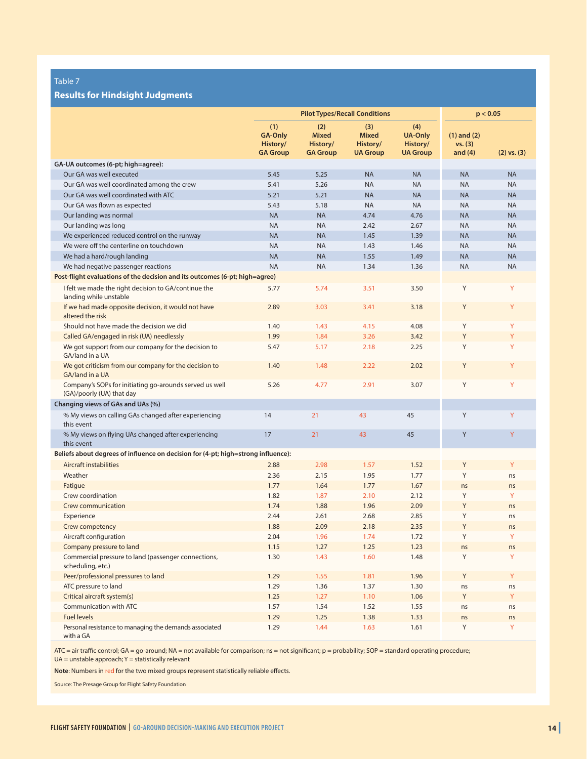#### **Results for Hindsight Judgments**

|                                                                                      | <b>Pilot Types/Recall Conditions</b>                 |                                                    |                                                    |                                                      | p < 0.05                                |                 |
|--------------------------------------------------------------------------------------|------------------------------------------------------|----------------------------------------------------|----------------------------------------------------|------------------------------------------------------|-----------------------------------------|-----------------|
|                                                                                      | (1)<br><b>GA-Only</b><br>History/<br><b>GA Group</b> | (2)<br><b>Mixed</b><br>History/<br><b>GA Group</b> | (3)<br><b>Mixed</b><br>History/<br><b>UA Group</b> | (4)<br><b>UA-Only</b><br>History/<br><b>UA Group</b> | $(1)$ and $(2)$<br>vs. (3)<br>and $(4)$ | $(2)$ vs. $(3)$ |
| GA-UA outcomes (6-pt; high=agree):                                                   |                                                      |                                                    |                                                    |                                                      |                                         |                 |
| Our GA was well executed                                                             | 5.45                                                 | 5.25                                               | <b>NA</b>                                          | <b>NA</b>                                            | <b>NA</b>                               | <b>NA</b>       |
| Our GA was well coordinated among the crew                                           | 5.41                                                 | 5.26                                               | <b>NA</b>                                          | <b>NA</b>                                            | <b>NA</b>                               | <b>NA</b>       |
| Our GA was well coordinated with ATC                                                 | 5.21                                                 | 5.21                                               | <b>NA</b>                                          | <b>NA</b>                                            | <b>NA</b>                               | <b>NA</b>       |
| Our GA was flown as expected                                                         | 5.43                                                 | 5.18                                               | <b>NA</b>                                          | <b>NA</b>                                            | <b>NA</b>                               | <b>NA</b>       |
| Our landing was normal                                                               | <b>NA</b>                                            | <b>NA</b>                                          | 4.74                                               | 4.76                                                 | <b>NA</b>                               | <b>NA</b>       |
| Our landing was long                                                                 | <b>NA</b>                                            | <b>NA</b>                                          | 2.42                                               | 2.67                                                 | <b>NA</b>                               | <b>NA</b>       |
| We experienced reduced control on the runway                                         | <b>NA</b>                                            | <b>NA</b>                                          | 1.45                                               | 1.39                                                 | <b>NA</b>                               | <b>NA</b>       |
| We were off the centerline on touchdown                                              | <b>NA</b>                                            | <b>NA</b>                                          | 1.43                                               | 1.46                                                 | <b>NA</b>                               | <b>NA</b>       |
| We had a hard/rough landing                                                          | <b>NA</b>                                            | <b>NA</b>                                          | 1.55                                               | 1.49                                                 | <b>NA</b>                               | <b>NA</b>       |
| We had negative passenger reactions                                                  | <b>NA</b>                                            | <b>NA</b>                                          | 1.34                                               | 1.36                                                 | <b>NA</b>                               | <b>NA</b>       |
| Post-flight evaluations of the decision and its outcomes (6-pt; high=agree)          |                                                      |                                                    |                                                    |                                                      |                                         |                 |
| I felt we made the right decision to GA/continue the<br>landing while unstable       | 5.77                                                 | 5.74                                               | 3.51                                               | 3.50                                                 | Υ                                       | Y               |
| If we had made opposite decision, it would not have<br>altered the risk              | 2.89                                                 | 3.03                                               | 3.41                                               | 3.18                                                 | Y                                       | Y               |
| Should not have made the decision we did                                             | 1.40                                                 | 1.43                                               | 4.15                                               | 4.08                                                 | Y                                       | Y               |
| Called GA/engaged in risk (UA) needlessly                                            | 1.99                                                 | 1.84                                               | 3.26                                               | 3.42                                                 | Y                                       | Ÿ               |
| We got support from our company for the decision to<br>GA/land in a UA               | 5.47                                                 | 5.17                                               | 2.18                                               | 2.25                                                 | Υ                                       | Ÿ               |
| We got criticism from our company for the decision to<br>GA/land in a UA             | 1.40                                                 | 1.48                                               | 2.22                                               | 2.02                                                 | Y                                       | Y               |
| Company's SOPs for initiating go-arounds served us well<br>(GA)/poorly (UA) that day | 5.26                                                 | 4.77                                               | 2.91                                               | 3.07                                                 | Y                                       | Y               |
| Changing views of GAs and UAs (%)                                                    |                                                      |                                                    |                                                    |                                                      |                                         |                 |
| % My views on calling GAs changed after experiencing<br>this event                   | 14                                                   | 21                                                 | 43                                                 | 45                                                   | Υ                                       | Y               |
| % My views on flying UAs changed after experiencing<br>this event                    | 17                                                   | 21                                                 | 43                                                 | 45                                                   | Υ                                       | Y               |
| Beliefs about degrees of influence on decision for (4-pt; high=strong influence):    |                                                      |                                                    |                                                    |                                                      |                                         |                 |
| Aircraft instabilities                                                               | 2.88                                                 | 2.98                                               | 1.57                                               | 1.52                                                 | Y                                       | Y               |
| Weather                                                                              | 2.36                                                 | 2.15                                               | 1.95                                               | 1.77                                                 | Y                                       | ns              |
| Fatigue                                                                              | 1.77                                                 | 1.64                                               | 1.77                                               | 1.67                                                 | ns                                      | ns              |
| Crew coordination                                                                    | 1.82                                                 | 1.87                                               | 2.10                                               | 2.12                                                 | Y                                       | Y               |
| Crew communication                                                                   | 1.74                                                 | 1.88                                               | 1.96                                               | 2.09                                                 | Y                                       | ns              |
| Experience                                                                           | 2.44                                                 | 2.61                                               | 2.68                                               | 2.85                                                 | Y                                       | ns              |
| Crew competency                                                                      | 1.88                                                 | 2.09                                               | 2.18                                               | 2.35                                                 | Y                                       | ns              |
| Aircraft configuration                                                               | 2.04                                                 | 1.96                                               | 1.74                                               | 1.72                                                 |                                         |                 |
| Company pressure to land                                                             | 1.15                                                 | 1.27                                               | 1.25                                               | 1.23                                                 | ns                                      | ns              |
| Commercial pressure to land (passenger connections,<br>scheduling, etc.)             | 1.30                                                 | 1.43                                               | 1.60                                               | 1.48                                                 | Y                                       | Y               |
| Peer/professional pressures to land                                                  | 1.29                                                 | 1.55                                               | 1.81                                               | 1.96                                                 | Y                                       | Y               |
| ATC pressure to land                                                                 | 1.29                                                 | 1.36                                               | 1.37                                               | 1.30                                                 | ns                                      | ns              |
| Critical aircraft system(s)                                                          | 1.25                                                 | 1.27                                               | 1.10                                               | 1.06                                                 | Y                                       | Y               |
| Communication with ATC                                                               | 1.57                                                 | 1.54                                               | 1.52                                               | 1.55                                                 | ns                                      | ns              |
| <b>Fuel levels</b>                                                                   | 1.29                                                 | 1.25                                               | 1.38                                               | 1.33                                                 | ns                                      | ns              |
| Personal resistance to managing the demands associated<br>with a GA                  | 1.29                                                 | 1.44                                               | 1.63                                               | 1.61                                                 | Y                                       | Y               |

ATC = air traffic control; GA = go-around; NA = not available for comparison; ns = not significant; p = probability; SOP = standard operating procedure; UA = unstable approach; Y = statistically relevant

**Note**: Numbers in red for the two mixed groups represent statistically reliable effects.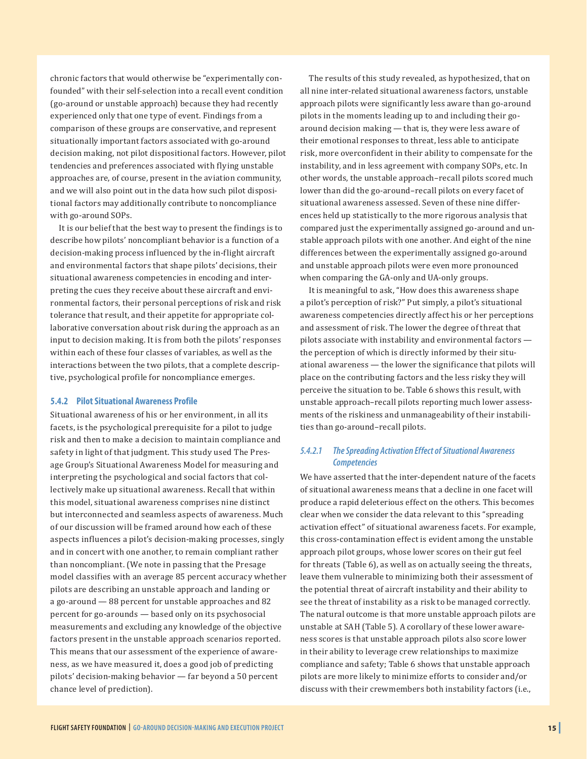chronic factors that would otherwise be "experimentally confounded" with their self-selection into a recall event condition (go-around or unstable approach) because they had recently experienced only that one type of event. Findings from a comparison of these groups are conservative, and represent situationally important factors associated with go-around decision making, not pilot dispositional factors. However, pilot tendencies and preferences associated with flying unstable approaches are, of course, present in the aviation community, and we will also point out in the data how such pilot dispositional factors may additionally contribute to noncompliance with go-around SOPs.

It is our belief that the best way to present the findings is to describe how pilots' noncompliant behavior is a function of a decision-making process influenced by the in-flight aircraft and environmental factors that shape pilots' decisions, their situational awareness competencies in encoding and interpreting the cues they receive about these aircraft and environmental factors, their personal perceptions of risk and risk tolerance that result, and their appetite for appropriate collaborative conversation about risk during the approach as an input to decision making. It is from both the pilots' responses within each of these four classes of variables, as well as the interactions between the two pilots, that a complete descriptive, psychological profile for noncompliance emerges.

#### **5.4.2 Pilot Situational Awareness Profile**

Situational awareness of his or her environment, in all its facets, is the psychological prerequisite for a pilot to judge risk and then to make a decision to maintain compliance and safety in light of that judgment. This study used The Presage Group's Situational Awareness Model for measuring and interpreting the psychological and social factors that collectively make up situational awareness. Recall that within this model, situational awareness comprises nine distinct but interconnected and seamless aspects of awareness. Much of our discussion will be framed around how each of these aspects influences a pilot's decision-making processes, singly and in concert with one another, to remain compliant rather than noncompliant. (We note in passing that the Presage model classifies with an average 85 percent accuracy whether pilots are describing an unstable approach and landing or a go-around — 88 percent for unstable approaches and 82 percent for go-arounds — based only on its psychosocial measurements and excluding any knowledge of the objective factors present in the unstable approach scenarios reported. This means that our assessment of the experience of awareness, as we have measured it, does a good job of predicting pilots' decision-making behavior — far beyond a 50 percent chance level of prediction).

The results of this study revealed, as hypothesized, that on all nine inter-related situational awareness factors, unstable approach pilots were significantly less aware than go-around pilots in the moments leading up to and including their goaround decision making — that is, they were less aware of their emotional responses to threat, less able to anticipate risk, more overconfident in their ability to compensate for the instability, and in less agreement with company SOPs, etc. In other words, the unstable approach–recall pilots scored much lower than did the go-around–recall pilots on every facet of situational awareness assessed. Seven of these nine differences held up statistically to the more rigorous analysis that compared just the experimentally assigned go-around and unstable approach pilots with one another. And eight of the nine differences between the experimentally assigned go-around and unstable approach pilots were even more pronounced when comparing the GA-only and UA-only groups.

It is meaningful to ask, "How does this awareness shape a pilot's perception of risk?" Put simply, a pilot's situational awareness competencies directly affect his or her perceptions and assessment of risk. The lower the degree of threat that pilots associate with instability and environmental factors the perception of which is directly informed by their situational awareness — the lower the significance that pilots will place on the contributing factors and the less risky they will perceive the situation to be. Table 6 shows this result, with unstable approach–recall pilots reporting much lower assessments of the riskiness and unmanageability of their instabilities than go-around–recall pilots.

#### *5.4.2.1 The Spreading Activation Effect of Situational Awareness Competencies*

We have asserted that the inter-dependent nature of the facets of situational awareness means that a decline in one facet will produce a rapid deleterious effect on the others. This becomes clear when we consider the data relevant to this "spreading activation effect" of situational awareness facets. For example, this cross-contamination effect is evident among the unstable approach pilot groups, whose lower scores on their gut feel for threats (Table 6), as well as on actually seeing the threats, leave them vulnerable to minimizing both their assessment of the potential threat of aircraft instability and their ability to see the threat of instability as a risk to be managed correctly. The natural outcome is that more unstable approach pilots are unstable at SAH (Table 5). A corollary of these lower awareness scores is that unstable approach pilots also score lower in their ability to leverage crew relationships to maximize compliance and safety; Table 6 shows that unstable approach pilots are more likely to minimize efforts to consider and/or discuss with their crewmembers both instability factors (i.e.,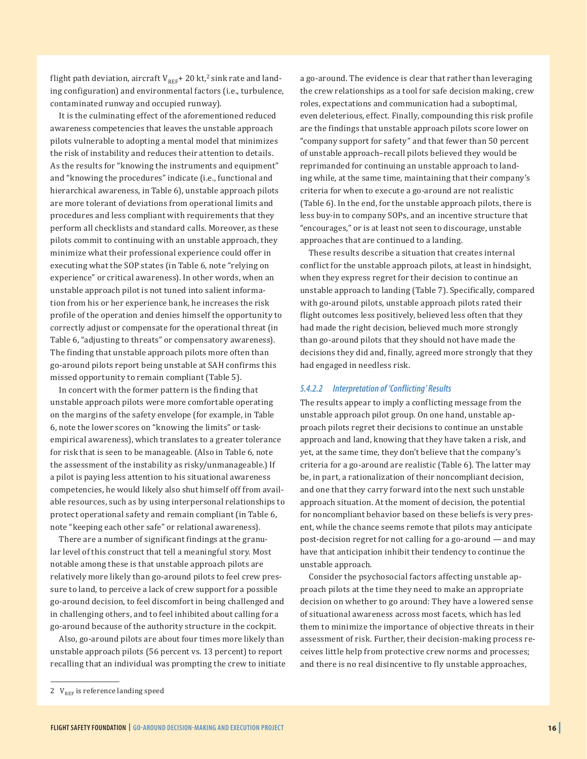flight path deviation, aircraft  $V_{REF}$  + 20 kt,<sup>2</sup> sink rate and landing configuration) and environmental factors (i.e., turbulence, contaminated runway and occupied runway).

It is the culminating effect of the aforementioned reduced awareness competencies that leaves the unstable approach pilots vulnerable to adopting a mental model that minimizes the risk of instability and reduces their attention to details. As the results for "knowing the instruments and equipment" and "knowing the procedures" indicate (i.e., functional and hierarchical awareness, in Table 6), unstable approach pilots are more tolerant of deviations from operational limits and procedures and less compliant with requirements that they perform all checklists and standard calls. Moreover, as these pilots commit to continuing with an unstable approach, they minimize what their professional experience could offer in executing what the SOP states (in Table 6, note "relying on experience" or critical awareness). In other words, when an unstable approach pilot is not tuned into salient information from his or her experience bank, he increases the risk profile of the operation and denies himself the opportunity to correctly adjust or compensate for the operational threat (in Table 6, "adjusting to threats" or compensatory awareness). The finding that unstable approach pilots more often than go-around pilots report being unstable at SAH confirms this missed opportunity to remain compliant (Table 5).

In concert with the former pattern is the finding that unstable approach pilots were more comfortable operating on the margins of the safety envelope (for example, in Table 6, note the lower scores on "knowing the limits" or taskempirical awareness), which translates to a greater tolerance for risk that is seen to be manageable. (Also in Table 6, note the assessment of the instability as risky/unmanageable.) If a pilot is paying less attention to his situational awareness competencies, he would likely also shut himself off from available resources, such as by using interpersonal relationships to protect operational safety and remain compliant (in Table 6, note "keeping each other safe" or relational awareness).

There are a number of significant findings at the granular level of this construct that tell a meaningful story. Most notable among these is that unstable approach pilots are relatively more likely than go-around pilots to feel crew pressure to land, to perceive a lack of crew support for a possible go-around decision, to feel discomfort in being challenged and in challenging others, and to feel inhibited about calling for a go-around because of the authority structure in the cockpit.

Also, go-around pilots are about four times more likely than unstable approach pilots (56 percent vs. 13 percent) to report recalling that an individual was prompting the crew to initiate a go-around. The evidence is clear that rather than leveraging the crew relationships as a tool for safe decision making, crew roles, expectations and communication had a suboptimal, even deleterious, effect. Finally, compounding this risk profile are the findings that unstable approach pilots score lower on "company support for safety" and that fewer than 50 percent of unstable approach–recall pilots believed they would be reprimanded for continuing an unstable approach to landing while, at the same time, maintaining that their company's criteria for when to execute a go-around are not realistic (Table 6). In the end, for the unstable approach pilots, there is less buy-in to company SOPs, and an incentive structure that "encourages," or is at least not seen to discourage, unstable approaches that are continued to a landing.

These results describe a situation that creates internal conflict for the unstable approach pilots, at least in hindsight, when they express regret for their decision to continue an unstable approach to landing (Table 7). Specifically, compared with go-around pilots, unstable approach pilots rated their flight outcomes less positively, believed less often that they had made the right decision, believed much more strongly than go-around pilots that they should not have made the decisions they did and, finally, agreed more strongly that they had engaged in needless risk.

#### *5.4.2.2 Interpretation of 'Conflicting' Results*

The results appear to imply a conflicting message from the unstable approach pilot group. On one hand, unstable approach pilots regret their decisions to continue an unstable approach and land, knowing that they have taken a risk, and yet, at the same time, they don't believe that the company's criteria for a go-around are realistic (Table 6). The latter may be, in part, a rationalization of their noncompliant decision, and one that they carry forward into the next such unstable approach situation. At the moment of decision, the potential for noncompliant behavior based on these beliefs is very present, while the chance seems remote that pilots may anticipate post-decision regret for not calling for a go-around — and may have that anticipation inhibit their tendency to continue the unstable approach.

Consider the psychosocial factors affecting unstable approach pilots at the time they need to make an appropriate decision on whether to go around: They have a lowered sense of situational awareness across most facets, which has led them to minimize the importance of objective threats in their assessment of risk. Further, their decision-making process receives little help from protective crew norms and processes; and there is no real disincentive to fly unstable approaches,

<sup>2</sup>  $V_{REF}$  is reference landing speed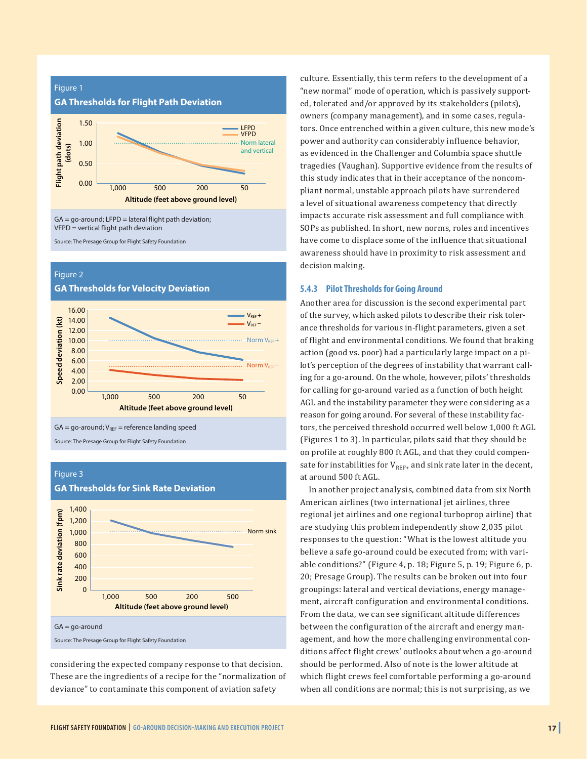

VFPD = vertical flight path deviation

Source: The Presage Group for Flight Safety Foundation

#### Figure 2

**GA Thresholds for Velocity Deviation**





Source: The Presage Group for Flight Safety Foundation

#### Figure 3



**GA Thresholds for Sink Rate Deviation**

Source: The Presage Group for Flight Safety Foundation

considering the expected company response to that decision. These are the ingredients of a recipe for the "normalization of deviance" to contaminate this component of aviation safety

culture. Essentially, this term refers to the development of a "new normal" mode of operation, which is passively supported, tolerated and/or approved by its stakeholders (pilots), owners (company management), and in some cases, regulators. Once entrenched within a given culture, this new mode's power and authority can considerably influence behavior, as evidenced in the Challenger and Columbia space shuttle tragedies (Vaughan). Supportive evidence from the results of this study indicates that in their acceptance of the noncompliant normal, unstable approach pilots have surrendered a level of situational awareness competency that directly impacts accurate risk assessment and full compliance with SOPs as published. In short, new norms, roles and incentives have come to displace some of the influence that situational awareness should have in proximity to risk assessment and decision making.

#### **5.4.3 Pilot Thresholds for Going Around**

Another area for discussion is the second experimental part of the survey, which asked pilots to describe their risk tolerance thresholds for various in-flight parameters, given a set of flight and environmental conditions. We found that braking action (good vs. poor) had a particularly large impact on a pilot's perception of the degrees of instability that warrant calling for a go-around. On the whole, however, pilots' thresholds for calling for go-around varied as a function of both height AGL and the instability parameter they were considering as a reason for going around. For several of these instability factors, the perceived threshold occurred well below 1,000 ft AGL (Figures 1 to 3). In particular, pilots said that they should be on profile at roughly 800 ft AGL, and that they could compensate for instabilities for  $V_{REF+}$  and sink rate later in the decent, at around 500 ft AGL.

In another project analysis, combined data from six North American airlines (two international jet airlines, three regional jet airlines and one regional turboprop airline) that are studying this problem independently show 2,035 pilot responses to the question: "What is the lowest altitude you believe a safe go-around could be executed from; with variable conditions?" (Figure 4, p. 18; Figure 5, p. 19; Figure 6, p. 20; Presage Group). The results can be broken out into four groupings: lateral and vertical deviations, energy management, aircraft configuration and environmental conditions. From the data, we can see significant altitude differences between the configuration of the aircraft and energy management, and how the more challenging environmental conditions affect flight crews' outlooks about when a go-around should be performed. Also of note is the lower altitude at which flight crews feel comfortable performing a go-around when all conditions are normal; this is not surprising, as we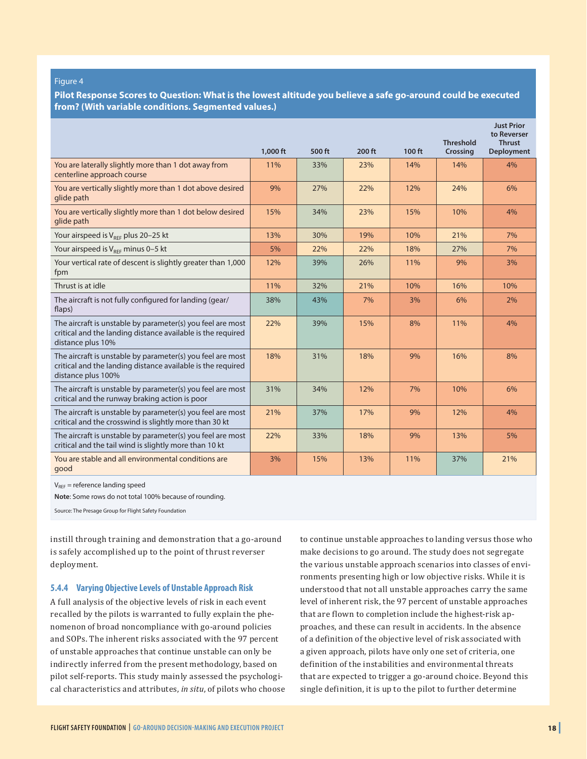#### Figure 4

**Pilot Response Scores to Question: What is the lowest altitude you believe a safe go-around could be executed from? (With variable conditions. Segmented values.)**

|                                                                                                                                                 | $1.000$ ft | 500 ft | 200 ft | 100 ft | <b>Threshold</b><br><b>Crossing</b> | <b>Just Prior</b><br>to Reverser<br><b>Thrust</b><br><b>Deployment</b> |
|-------------------------------------------------------------------------------------------------------------------------------------------------|------------|--------|--------|--------|-------------------------------------|------------------------------------------------------------------------|
| You are laterally slightly more than 1 dot away from<br>centerline approach course                                                              | 11%        | 33%    | 23%    | 14%    | 14%                                 | 4%                                                                     |
| You are vertically slightly more than 1 dot above desired<br>glide path                                                                         | 9%         | 27%    | 22%    | 12%    | 24%                                 | 6%                                                                     |
| You are vertically slightly more than 1 dot below desired<br>glide path                                                                         | 15%        | 34%    | 23%    | 15%    | 10%                                 | 4%                                                                     |
| Your airspeed is $V_{REF}$ plus 20–25 kt                                                                                                        | 13%        | 30%    | 19%    | 10%    | 21%                                 | 7%                                                                     |
| Your airspeed is $V_{RFF}$ minus 0-5 kt                                                                                                         | 5%         | 22%    | 22%    | 18%    | 27%                                 | 7%                                                                     |
| Your vertical rate of descent is slightly greater than 1,000<br>fpm                                                                             | 12%        | 39%    | 26%    | 11%    | 9%                                  | 3%                                                                     |
| Thrust is at idle                                                                                                                               | 11%        | 32%    | 21%    | 10%    | 16%                                 | 10%                                                                    |
| The aircraft is not fully configured for landing (gear/<br>flaps)                                                                               | 38%        | 43%    | 7%     | 3%     | 6%                                  | 2%                                                                     |
| The aircraft is unstable by parameter(s) you feel are most<br>critical and the landing distance available is the required<br>distance plus 10%  | 22%        | 39%    | 15%    | 8%     | 11%                                 | 4%                                                                     |
| The aircraft is unstable by parameter(s) you feel are most<br>critical and the landing distance available is the required<br>distance plus 100% | 18%        | 31%    | 18%    | 9%     | 16%                                 | 8%                                                                     |
| The aircraft is unstable by parameter(s) you feel are most<br>critical and the runway braking action is poor                                    | 31%        | 34%    | 12%    | 7%     | 10%                                 | 6%                                                                     |
| The aircraft is unstable by parameter(s) you feel are most<br>critical and the crosswind is slightly more than 30 kt                            | 21%        | 37%    | 17%    | 9%     | 12%                                 | 4%                                                                     |
| The aircraft is unstable by parameter(s) you feel are most<br>critical and the tail wind is slightly more than 10 kt                            | 22%        | 33%    | 18%    | 9%     | 13%                                 | 5%                                                                     |
| You are stable and all environmental conditions are<br>good                                                                                     | 3%         | 15%    | 13%    | 11%    | 37%                                 | 21%                                                                    |

 $V_{REF}$  = reference landing speed

**Note**: Some rows do not total 100% because of rounding.

Source: The Presage Group for Flight Safety Foundation

instill through training and demonstration that a go-around is safely accomplished up to the point of thrust reverser deployment.

#### **5.4.4 Varying Objective Levels of Unstable Approach Risk**

A full analysis of the objective levels of risk in each event recalled by the pilots is warranted to fully explain the phenomenon of broad noncompliance with go-around policies and SOPs. The inherent risks associated with the 97 percent of unstable approaches that continue unstable can only be indirectly inferred from the present methodology, based on pilot self-reports. This study mainly assessed the psychological characteristics and attributes, *in situ*, of pilots who choose to continue unstable approaches to landing versus those who make decisions to go around. The study does not segregate the various unstable approach scenarios into classes of environments presenting high or low objective risks. While it is understood that not all unstable approaches carry the same level of inherent risk, the 97 percent of unstable approaches that are flown to completion include the highest-risk approaches, and these can result in accidents. In the absence of a definition of the objective level of risk associated with a given approach, pilots have only one set of criteria, one definition of the instabilities and environmental threats that are expected to trigger a go-around choice. Beyond this single definition, it is up to the pilot to further determine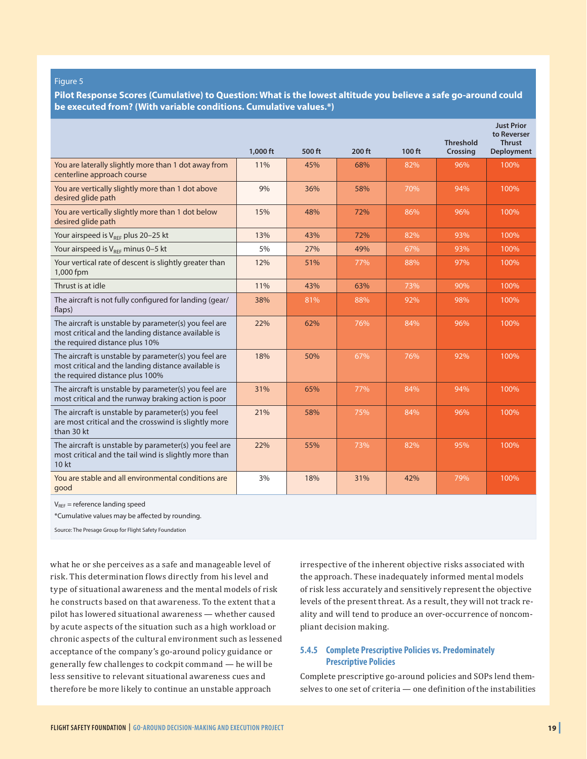#### Figure 5

**Pilot Response Scores (Cumulative) to Question: What is the lowest altitude you believe a safe go-around could be executed from? (With variable conditions. Cumulative values.\*)**

|                                                                                                                                                 | 1,000 ft | 500 ft | 200 ft | 100 ft | <b>Threshold</b><br><b>Crossing</b> | <b>Just Prior</b><br>to Reverser<br><b>Thrust</b><br><b>Deployment</b> |
|-------------------------------------------------------------------------------------------------------------------------------------------------|----------|--------|--------|--------|-------------------------------------|------------------------------------------------------------------------|
| You are laterally slightly more than 1 dot away from<br>centerline approach course                                                              | 11%      | 45%    | 68%    | 82%    | 96%                                 | 100%                                                                   |
| You are vertically slightly more than 1 dot above<br>desired glide path                                                                         | 9%       | 36%    | 58%    | 70%    | 94%                                 | 100%                                                                   |
| You are vertically slightly more than 1 dot below<br>desired glide path                                                                         | 15%      | 48%    | 72%    | 86%    | 96%                                 | 100%                                                                   |
| Your airspeed is $V_{REF}$ plus 20-25 kt                                                                                                        | 13%      | 43%    | 72%    | 82%    | 93%                                 | 100%                                                                   |
| Your airspeed is $V_{REF}$ minus 0-5 kt                                                                                                         | 5%       | 27%    | 49%    | 67%    | 93%                                 | 100%                                                                   |
| Your vertical rate of descent is slightly greater than<br>1,000 fpm                                                                             | 12%      | 51%    | 77%    | 88%    | 97%                                 | 100%                                                                   |
| Thrust is at idle                                                                                                                               | 11%      | 43%    | 63%    | 73%    | 90%                                 | 100%                                                                   |
| The aircraft is not fully configured for landing (gear/<br>flaps)                                                                               | 38%      | 81%    | 88%    | 92%    | 98%                                 | 100%                                                                   |
| The aircraft is unstable by parameter(s) you feel are<br>most critical and the landing distance available is<br>the required distance plus 10%  | 22%      | 62%    | 76%    | 84%    | 96%                                 | 100%                                                                   |
| The aircraft is unstable by parameter(s) you feel are<br>most critical and the landing distance available is<br>the required distance plus 100% | 18%      | 50%    | 67%    | 76%    | 92%                                 | 100%                                                                   |
| The aircraft is unstable by parameter(s) you feel are<br>most critical and the runway braking action is poor                                    | 31%      | 65%    | 77%    | 84%    | 94%                                 | 100%                                                                   |
| The aircraft is unstable by parameter(s) you feel<br>are most critical and the crosswind is slightly more<br>than 30 kt                         | 21%      | 58%    | 75%    | 84%    | 96%                                 | 100%                                                                   |
| The aircraft is unstable by parameter(s) you feel are<br>most critical and the tail wind is slightly more than<br>10 kt                         | 22%      | 55%    | 73%    | 82%    | 95%                                 | 100%                                                                   |
| You are stable and all environmental conditions are<br>good                                                                                     | 3%       | 18%    | 31%    | 42%    | 79%                                 | 100%                                                                   |

 $V_{REF}$  = reference landing speed

\*Cumulative values may be affected by rounding.

Source: The Presage Group for Flight Safety Foundation

what he or she perceives as a safe and manageable level of risk. This determination flows directly from his level and type of situational awareness and the mental models of risk he constructs based on that awareness. To the extent that a pilot has lowered situational awareness — whether caused by acute aspects of the situation such as a high workload or chronic aspects of the cultural environment such as lessened acceptance of the company's go-around policy guidance or generally few challenges to cockpit command — he will be less sensitive to relevant situational awareness cues and therefore be more likely to continue an unstable approach

irrespective of the inherent objective risks associated with the approach. These inadequately informed mental models of risk less accurately and sensitively represent the objective levels of the present threat. As a result, they will not track reality and will tend to produce an over-occurrence of noncompliant decision making.

#### **5.4.5 Complete Prescriptive Policies vs. Predominately Prescriptive Policies**

Complete prescriptive go-around policies and SOPs lend themselves to one set of criteria — one definition of the instabilities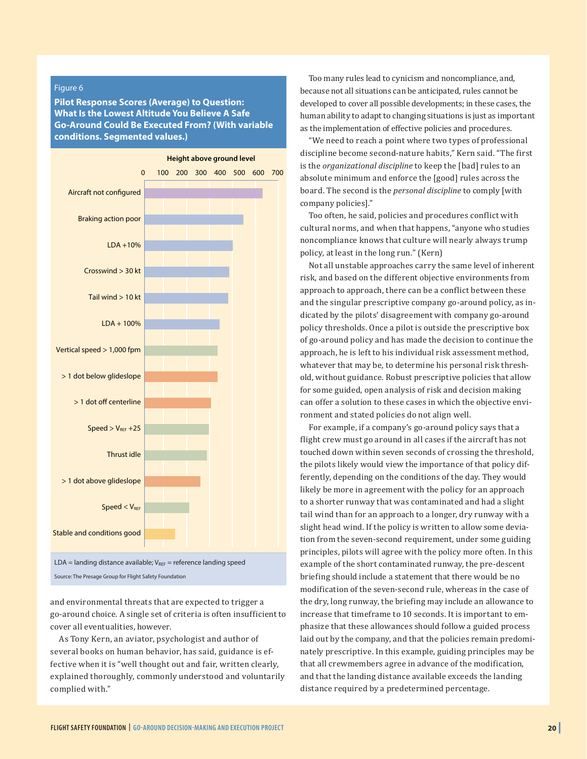#### Figure 6

**Pilot Response Scores (Average) to Question: What Is the Lowest Altitude You Believe A Safe Go-Around Could Be Executed From? (With variable conditions. Segmented values.)**



Source: The Presage Group for Flight Safety Foundation

and environmental threats that are expected to trigger a go-around choice. A single set of criteria is often insufficient to cover all eventualities, however.

As Tony Kern, an aviator, psychologist and author of several books on human behavior, has said, guidance is effective when it is "well thought out and fair, written clearly, explained thoroughly, commonly understood and voluntarily complied with."

Too many rules lead to cynicism and noncompliance, and, because not all situations can be anticipated, rules cannot be developed to cover all possible developments; in these cases, the human ability to adapt to changing situations is just as important as the implementation of effective policies and procedures.

"We need to reach a point where two types of professional discipline become second-nature habits," Kern said. "The first is the *organizational discipline* to keep the [bad] rules to an absolute minimum and enforce the [good] rules across the board. The second is the *personal discipline* to comply [with company policies]."

Too often, he said, policies and procedures conflict with cultural norms, and when that happens, "anyone who studies noncompliance knows that culture will nearly always trump policy, at least in the long run." (Kern)

Not all unstable approaches carry the same level of inherent risk, and based on the different objective environments from approach to approach, there can be a conflict between these and the singular prescriptive company go-around policy, as indicated by the pilots' disagreement with company go-around policy thresholds. Once a pilot is outside the prescriptive box of go-around policy and has made the decision to continue the approach, he is left to his individual risk assessment method, whatever that may be, to determine his personal risk threshold, without guidance. Robust prescriptive policies that allow for some guided, open analysis of risk and decision making can offer a solution to these cases in which the objective environment and stated policies do not align well.

For example, if a company's go-around policy says that a flight crew must go around in all cases if the aircraft has not touched down within seven seconds of crossing the threshold, the pilots likely would view the importance of that policy differently, depending on the conditions of the day. They would likely be more in agreement with the policy for an approach to a shorter runway that was contaminated and had a slight tail wind than for an approach to a longer, dry runway with a slight head wind. If the policy is written to allow some deviation from the seven-second requirement, under some guiding principles, pilots will agree with the policy more often. In this example of the short contaminated runway, the pre-descent briefing should include a statement that there would be no modification of the seven-second rule, whereas in the case of the dry, long runway, the briefing may include an allowance to increase that timeframe to 10 seconds. It is important to emphasize that these allowances should follow a guided process laid out by the company, and that the policies remain predominately prescriptive. In this example, guiding principles may be that all crewmembers agree in advance of the modification, and that the landing distance available exceeds the landing distance required by a predetermined percentage.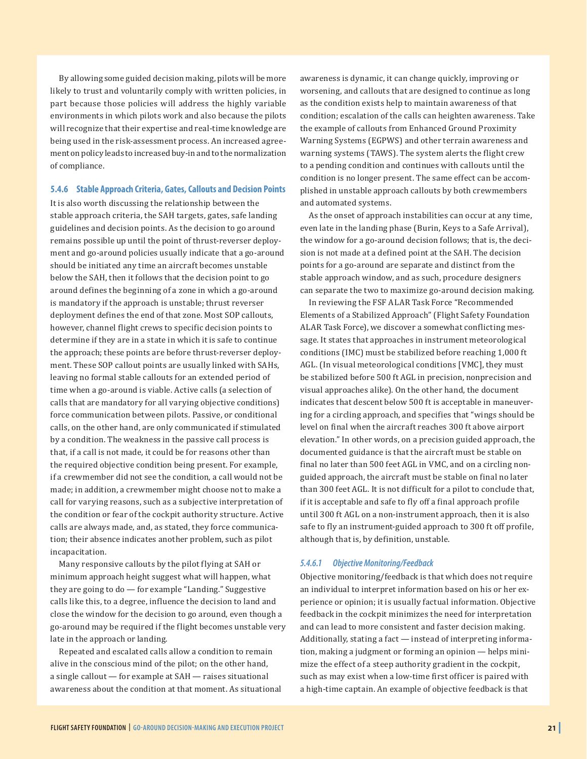By allowing some guided decision making, pilots will be more likely to trust and voluntarily comply with written policies, in part because those policies will address the highly variable environments in which pilots work and also because the pilots will recognize that their expertise and real-time knowledge are being used in the risk-assessment process. An increased agreement on policy leads to increased buy-in and to the normalization of compliance.

#### **5.4.6 Stable Approach Criteria, Gates, Callouts and Decision Points**

It is also worth discussing the relationship between the stable approach criteria, the SAH targets, gates, safe landing guidelines and decision points. As the decision to go around remains possible up until the point of thrust-reverser deployment and go-around policies usually indicate that a go-around should be initiated any time an aircraft becomes unstable below the SAH, then it follows that the decision point to go around defines the beginning of a zone in which a go-around is mandatory if the approach is unstable; thrust reverser deployment defines the end of that zone. Most SOP callouts, however, channel flight crews to specific decision points to determine if they are in a state in which it is safe to continue the approach; these points are before thrust-reverser deployment. These SOP callout points are usually linked with SAHs, leaving no formal stable callouts for an extended period of time when a go-around is viable. Active calls (a selection of calls that are mandatory for all varying objective conditions) force communication between pilots. Passive, or conditional calls, on the other hand, are only communicated if stimulated by a condition. The weakness in the passive call process is that, if a call is not made, it could be for reasons other than the required objective condition being present. For example, if a crewmember did not see the condition, a call would not be made; in addition, a crewmember might choose not to make a call for varying reasons, such as a subjective interpretation of the condition or fear of the cockpit authority structure. Active calls are always made, and, as stated, they force communication; their absence indicates another problem, such as pilot incapacitation.

Many responsive callouts by the pilot flying at SAH or minimum approach height suggest what will happen, what they are going to do — for example "Landing." Suggestive calls like this, to a degree, influence the decision to land and close the window for the decision to go around, even though a go-around may be required if the flight becomes unstable very late in the approach or landing.

Repeated and escalated calls allow a condition to remain alive in the conscious mind of the pilot; on the other hand, a single callout — for example at SAH — raises situational awareness about the condition at that moment. As situational awareness is dynamic, it can change quickly, improving or worsening, and callouts that are designed to continue as long as the condition exists help to maintain awareness of that condition; escalation of the calls can heighten awareness. Take the example of callouts from Enhanced Ground Proximity Warning Systems (EGPWS) and other terrain awareness and warning systems (TAWS). The system alerts the flight crew to a pending condition and continues with callouts until the condition is no longer present. The same effect can be accomplished in unstable approach callouts by both crewmembers and automated systems.

As the onset of approach instabilities can occur at any time, even late in the landing phase (Burin, Keys to a Safe Arrival), the window for a go-around decision follows; that is, the decision is not made at a defined point at the SAH. The decision points for a go-around are separate and distinct from the stable approach window, and as such, procedure designers can separate the two to maximize go-around decision making.

In reviewing the FSF ALAR Task Force "Recommended Elements of a Stabilized Approach" (Flight Safety Foundation ALAR Task Force), we discover a somewhat conflicting message. It states that approaches in instrument meteorological conditions (IMC) must be stabilized before reaching 1,000 ft AGL. (In visual meteorological conditions [VMC], they must be stabilized before 500 ft AGL in precision, nonprecision and visual approaches alike). On the other hand, the document indicates that descent below 500 ft is acceptable in maneuvering for a circling approach, and specifies that "wings should be level on final when the aircraft reaches 300 ft above airport elevation." In other words, on a precision guided approach, the documented guidance is that the aircraft must be stable on final no later than 500 feet AGL in VMC, and on a circling nonguided approach, the aircraft must be stable on final no later than 300 feet AGL. It is not difficult for a pilot to conclude that, if it is acceptable and safe to fly off a final approach profile until 300 ft AGL on a non-instrument approach, then it is also safe to fly an instrument-guided approach to 300 ft off profile, although that is, by definition, unstable.

#### *5.4.6.1 Objective Monitoring/Feedback*

Objective monitoring/feedback is that which does not require an individual to interpret information based on his or her experience or opinion; it is usually factual information. Objective feedback in the cockpit minimizes the need for interpretation and can lead to more consistent and faster decision making. Additionally, stating a fact — instead of interpreting information, making a judgment or forming an opinion — helps minimize the effect of a steep authority gradient in the cockpit, such as may exist when a low-time first officer is paired with a high-time captain. An example of objective feedback is that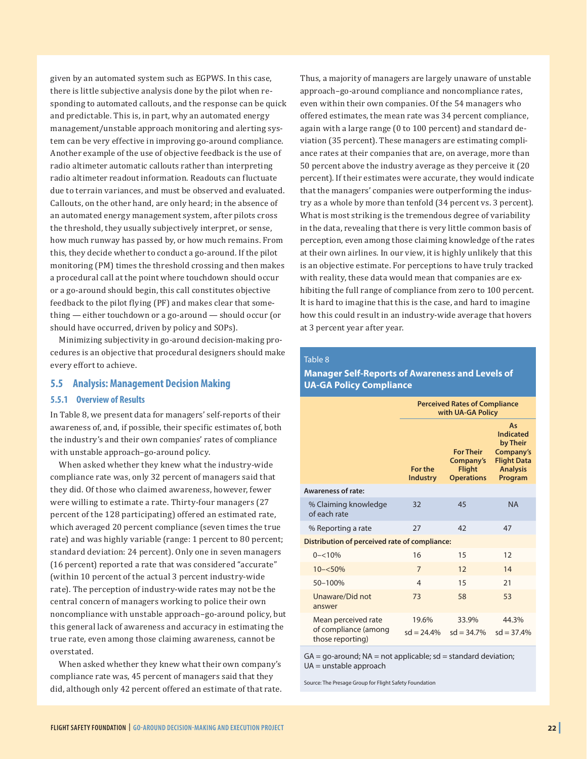given by an automated system such as EGPWS. In this case, there is little subjective analysis done by the pilot when responding to automated callouts, and the response can be quick and predictable. This is, in part, why an automated energy management/unstable approach monitoring and alerting system can be very effective in improving go-around compliance. Another example of the use of objective feedback is the use of radio altimeter automatic callouts rather than interpreting radio altimeter readout information. Readouts can fluctuate due to terrain variances, and must be observed and evaluated. Callouts, on the other hand, are only heard; in the absence of an automated energy management system, after pilots cross the threshold, they usually subjectively interpret, or sense, how much runway has passed by, or how much remains. From this, they decide whether to conduct a go-around. If the pilot monitoring (PM) times the threshold crossing and then makes a procedural call at the point where touchdown should occur or a go-around should begin, this call constitutes objective feedback to the pilot flying (PF) and makes clear that something — either touchdown or a go-around — should occur (or should have occurred, driven by policy and SOPs).

Minimizing subjectivity in go-around decision-making procedures is an objective that procedural designers should make every effort to achieve.

#### **5.5 Analysis: Management Decision Making**

#### **5.5.1 Overview of Results**

In Table 8, we present data for managers' self-reports of their awareness of, and, if possible, their specific estimates of, both the industry's and their own companies' rates of compliance with unstable approach–go-around policy.

When asked whether they knew what the industry-wide compliance rate was, only 32 percent of managers said that they did. Of those who claimed awareness, however, fewer were willing to estimate a rate. Thirty-four managers (27 percent of the 128 participating) offered an estimated rate, which averaged 20 percent compliance (seven times the true rate) and was highly variable (range: 1 percent to 80 percent; standard deviation: 24 percent). Only one in seven managers (16 percent) reported a rate that was considered "accurate" (within 10 percent of the actual 3 percent industry-wide rate). The perception of industry-wide rates may not be the central concern of managers working to police their own noncompliance with unstable approach–go-around policy, but this general lack of awareness and accuracy in estimating the true rate, even among those claiming awareness, cannot be overstated.

When asked whether they knew what their own company's compliance rate was, 45 percent of managers said that they did, although only 42 percent offered an estimate of that rate. Thus, a majority of managers are largely unaware of unstable approach–go-around compliance and noncompliance rates, even within their own companies. Of the 54 managers who offered estimates, the mean rate was 34 percent compliance, again with a large range (0 to 100 percent) and standard deviation (35 percent). These managers are estimating compliance rates at their companies that are, on average, more than 50 percent above the industry average as they perceive it (20 percent). If their estimates were accurate, they would indicate that the managers' companies were outperforming the industry as a whole by more than tenfold (34 percent vs. 3 percent). What is most striking is the tremendous degree of variability in the data, revealing that there is very little common basis of perception, even among those claiming knowledge of the rates at their own airlines. In our view, it is highly unlikely that this is an objective estimate. For perceptions to have truly tracked with reality, these data would mean that companies are exhibiting the full range of compliance from zero to 100 percent. It is hard to imagine that this is the case, and hard to imagine how this could result in an industry-wide average that hovers at 3 percent year after year.

#### Table 8

#### **Manager Self-Reports of Awareness and Levels of UA-GA Policy Compliance**

|                                                                 | <b>Perceived Rates of Compliance</b><br>with UA-GA Policy |                                                                     |                                                                                                     |  |  |  |
|-----------------------------------------------------------------|-----------------------------------------------------------|---------------------------------------------------------------------|-----------------------------------------------------------------------------------------------------|--|--|--|
|                                                                 | For the<br><b>Industry</b>                                | <b>For Their</b><br>Company's<br><b>Flight</b><br><b>Operations</b> | As<br><b>Indicated</b><br>by Their<br>Company's<br><b>Flight Data</b><br><b>Analysis</b><br>Program |  |  |  |
| Awareness of rate:                                              |                                                           |                                                                     |                                                                                                     |  |  |  |
| % Claiming knowledge<br>of each rate                            | 32                                                        | 45                                                                  | <b>NA</b>                                                                                           |  |  |  |
| % Reporting a rate                                              | 27                                                        | 42                                                                  | 47                                                                                                  |  |  |  |
| Distribution of perceived rate of compliance:                   |                                                           |                                                                     |                                                                                                     |  |  |  |
| $0 - 10%$                                                       | 16                                                        | 15                                                                  | 12                                                                                                  |  |  |  |
| $10 - 50\%$                                                     | $\overline{7}$                                            | 12                                                                  | 14                                                                                                  |  |  |  |
| 50-100%                                                         | $\overline{4}$                                            | 15                                                                  | 21                                                                                                  |  |  |  |
| Unaware/Did not<br>answer                                       | 73                                                        | 58                                                                  | 53                                                                                                  |  |  |  |
| Mean perceived rate<br>of compliance (among<br>those reporting) | 19.6%<br>$sd = 24.4\%$                                    | 33.9%<br>$sd = 34.7\%$                                              | 44.3%<br>$sd = 37.4%$                                                                               |  |  |  |

 $GA = go-around; NA = not applicable; sd = standard deviation;$ UA = unstable approach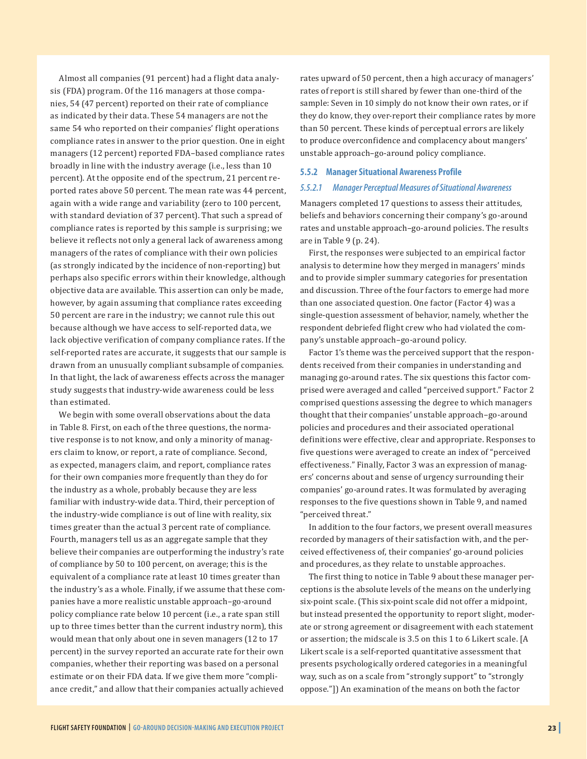Almost all companies (91 percent) had a flight data analysis (FDA) program. Of the 116 managers at those companies, 54 (47 percent) reported on their rate of compliance as indicated by their data. These 54 managers are not the same 54 who reported on their companies' flight operations compliance rates in answer to the prior question. One in eight managers (12 percent) reported FDA–based compliance rates broadly in line with the industry average (i.e., less than 10 percent). At the opposite end of the spectrum, 21 percent reported rates above 50 percent. The mean rate was 44 percent, again with a wide range and variability (zero to 100 percent, with standard deviation of 37 percent). That such a spread of compliance rates is reported by this sample is surprising; we believe it reflects not only a general lack of awareness among managers of the rates of compliance with their own policies (as strongly indicated by the incidence of non-reporting) but perhaps also specific errors within their knowledge, although objective data are available. This assertion can only be made, however, by again assuming that compliance rates exceeding 50 percent are rare in the industry; we cannot rule this out because although we have access to self-reported data, we lack objective verification of company compliance rates. If the self-reported rates are accurate, it suggests that our sample is drawn from an unusually compliant subsample of companies. In that light, the lack of awareness effects across the manager study suggests that industry-wide awareness could be less than estimated.

We begin with some overall observations about the data in Table 8. First, on each of the three questions, the normative response is to not know, and only a minority of managers claim to know, or report, a rate of compliance. Second, as expected, managers claim, and report, compliance rates for their own companies more frequently than they do for the industry as a whole, probably because they are less familiar with industry-wide data. Third, their perception of the industry-wide compliance is out of line with reality, six times greater than the actual 3 percent rate of compliance. Fourth, managers tell us as an aggregate sample that they believe their companies are outperforming the industry's rate of compliance by 50 to 100 percent, on average; this is the equivalent of a compliance rate at least 10 times greater than the industry's as a whole. Finally, if we assume that these companies have a more realistic unstable approach–go-around policy compliance rate below 10 percent (i.e., a rate span still up to three times better than the current industry norm), this would mean that only about one in seven managers (12 to 17 percent) in the survey reported an accurate rate for their own companies, whether their reporting was based on a personal estimate or on their FDA data. If we give them more "compliance credit," and allow that their companies actually achieved

rates upward of 50 percent, then a high accuracy of managers' rates of report is still shared by fewer than one-third of the sample: Seven in 10 simply do not know their own rates, or if they do know, they over-report their compliance rates by more than 50 percent. These kinds of perceptual errors are likely to produce overconfidence and complacency about mangers' unstable approach–go-around policy compliance.

#### **5.5.2 Manager Situational Awareness Profile**

#### *5.5.2.1 Manager Perceptual Measures of Situational Awareness*

Managers completed 17 questions to assess their attitudes, beliefs and behaviors concerning their company's go-around rates and unstable approach–go-around policies. The results are in Table 9 (p. 24).

First, the responses were subjected to an empirical factor analysis to determine how they merged in managers' minds and to provide simpler summary categories for presentation and discussion. Three of the four factors to emerge had more than one associated question. One factor (Factor 4) was a single-question assessment of behavior, namely, whether the respondent debriefed flight crew who had violated the company's unstable approach–go-around policy.

Factor 1's theme was the perceived support that the respondents received from their companies in understanding and managing go-around rates. The six questions this factor comprised were averaged and called "perceived support." Factor 2 comprised questions assessing the degree to which managers thought that their companies' unstable approach–go-around policies and procedures and their associated operational definitions were effective, clear and appropriate. Responses to five questions were averaged to create an index of "perceived effectiveness." Finally, Factor 3 was an expression of managers' concerns about and sense of urgency surrounding their companies' go-around rates. It was formulated by averaging responses to the five questions shown in Table 9, and named "perceived threat."

In addition to the four factors, we present overall measures recorded by managers of their satisfaction with, and the perceived effectiveness of, their companies' go-around policies and procedures, as they relate to unstable approaches.

The first thing to notice in Table 9 about these manager perceptions is the absolute levels of the means on the underlying six-point scale. (This six-point scale did not offer a midpoint, but instead presented the opportunity to report slight, moderate or strong agreement or disagreement with each statement or assertion; the midscale is 3.5 on this 1 to 6 Likert scale. [A Likert scale is a self-reported quantitative assessment that presents psychologically ordered categories in a meaningful way, such as on a scale from "strongly support" to "strongly oppose."]) An examination of the means on both the factor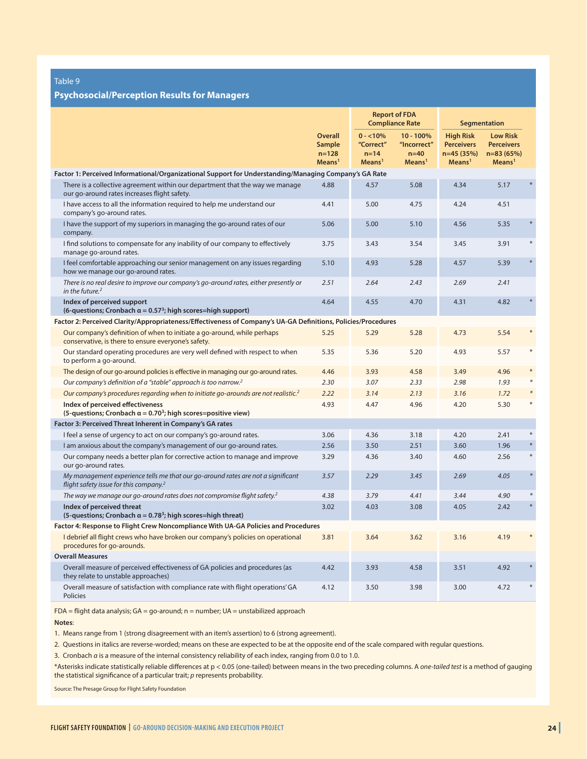#### **Psychosocial/Perception Results for Managers**

|                                                                                                                                        |                                                                    |                                                         | <b>Report of FDA</b><br><b>Compliance Rate</b>            |                                                                          | Segmentation                                                             |        |
|----------------------------------------------------------------------------------------------------------------------------------------|--------------------------------------------------------------------|---------------------------------------------------------|-----------------------------------------------------------|--------------------------------------------------------------------------|--------------------------------------------------------------------------|--------|
|                                                                                                                                        | <b>Overall</b><br><b>Sample</b><br>$n = 128$<br>Means <sup>1</sup> | $0 - 10\%$<br>"Correct"<br>$n=14$<br>Means <sup>1</sup> | $10 - 100%$<br>"Incorrect"<br>$n=40$<br>Mean <sup>1</sup> | <b>High Risk</b><br><b>Perceivers</b><br>n=45 (35%)<br>Mean <sup>1</sup> | <b>Low Risk</b><br><b>Perceivers</b><br>$n=83(65%)$<br>Mean <sup>1</sup> |        |
| Factor 1: Perceived Informational/Organizational Support for Understanding/Managing Company's GA Rate                                  |                                                                    |                                                         |                                                           |                                                                          |                                                                          |        |
| There is a collective agreement within our department that the way we manage<br>our go-around rates increases flight safety.           | 4.88                                                               | 4.57                                                    | 5.08                                                      | 4.34                                                                     | 5.17                                                                     |        |
| I have access to all the information required to help me understand our<br>company's go-around rates.                                  | 4.41                                                               | 5.00                                                    | 4.75                                                      | 4.24                                                                     | 4.51                                                                     |        |
| I have the support of my superiors in managing the go-around rates of our<br>company.                                                  | 5.06                                                               | 5.00                                                    | 5.10                                                      | 4.56                                                                     | 5.35                                                                     |        |
| I find solutions to compensate for any inability of our company to effectively<br>manage go-around rates.                              | 3.75                                                               | 3.43                                                    | 3.54                                                      | 3.45                                                                     | 3.91                                                                     |        |
| I feel comfortable approaching our senior management on any issues regarding<br>how we manage our go-around rates.                     | 5.10                                                               | 4.93                                                    | 5.28                                                      | 4.57                                                                     | 5.39                                                                     |        |
| There is no real desire to improve our company's go-around rates, either presently or<br>in the future. $2$                            | 2.51                                                               | 2.64                                                    | 2.43                                                      | 2.69                                                                     | 2.41                                                                     |        |
| Index of perceived support<br>(6-questions; Cronbach $\alpha = 0.57^3$ ; high scores=high support)                                     | 4.64                                                               | 4.55                                                    | 4.70                                                      | 4.31                                                                     | 4.82                                                                     |        |
| Factor 2: Perceived Clarity/Appropriateness/Effectiveness of Company's UA-GA Definitions, Policies/Procedures                          |                                                                    |                                                         |                                                           |                                                                          |                                                                          |        |
| Our company's definition of when to initiate a go-around, while perhaps<br>conservative, is there to ensure everyone's safety.         | 5.25                                                               | 5.29                                                    | 5.28                                                      | 4.73                                                                     | 5.54                                                                     |        |
| Our standard operating procedures are very well defined with respect to when<br>to perform a go-around.                                | 5.35                                                               | 5.36                                                    | 5.20                                                      | 4.93                                                                     | 5.57                                                                     |        |
| The design of our go-around policies is effective in managing our go-around rates.                                                     | 4.46                                                               | 3.93                                                    | 4.58                                                      | 3.49                                                                     | 4.96                                                                     |        |
| Our company's definition of a "stable" approach is too narrow. <sup>2</sup>                                                            | 2.30                                                               | 3.07                                                    | 2.33                                                      | 2.98                                                                     | 1.93                                                                     |        |
| Our company's procedures regarding when to initiate go-arounds are not realistic. <sup>2</sup>                                         | 2.22                                                               | 3.14                                                    | 2.13                                                      | 3.16                                                                     | 1.72                                                                     |        |
| Index of perceived effectiveness<br>(5-questions; Cronbach $\alpha = 0.70^3$ ; high scores=positive view)                              | 4.93                                                               | 4.47                                                    | 4.96                                                      | 4.20                                                                     | 5.30                                                                     |        |
| Factor 3: Perceived Threat Inherent in Company's GA rates                                                                              |                                                                    |                                                         |                                                           |                                                                          |                                                                          |        |
| I feel a sense of urgency to act on our company's go-around rates.                                                                     | 3.06                                                               | 4.36                                                    | 3.18                                                      | 4.20                                                                     | 2.41                                                                     |        |
| I am anxious about the company's management of our go-around rates.                                                                    | 2.56                                                               | 3.50                                                    | 2.51                                                      | 3.60                                                                     | 1.96                                                                     |        |
| Our company needs a better plan for corrective action to manage and improve<br>our go-around rates.                                    | 3.29                                                               | 4.36                                                    | 3.40                                                      | 4.60                                                                     | 2.56                                                                     | $*$    |
| My management experience tells me that our go-around rates are not a significant<br>flight safety issue for this company. <sup>2</sup> | 3.57                                                               | 2.29                                                    | 3.45                                                      | 2.69                                                                     | 4.05                                                                     | $\ast$ |
| The way we manage our go-around rates does not compromise flight safety. <sup>2</sup>                                                  | 4.38                                                               | 3.79                                                    | 4.41                                                      | 3.44                                                                     | 4.90                                                                     |        |
| Index of perceived threat<br>(5-questions; Cronbach $\alpha = 0.78^3$ ; high scores=high threat)                                       | 3.02                                                               | 4.03                                                    | 3.08                                                      | 4.05                                                                     | 2.42                                                                     |        |
| Factor 4: Response to Flight Crew Noncompliance With UA-GA Policies and Procedures                                                     |                                                                    |                                                         |                                                           |                                                                          |                                                                          |        |
| I debrief all flight crews who have broken our company's policies on operational<br>procedures for go-arounds.                         | 3.81                                                               | 3.64                                                    | 3.62                                                      | 3.16                                                                     | 4.19                                                                     |        |
| <b>Overall Measures</b>                                                                                                                |                                                                    |                                                         |                                                           |                                                                          |                                                                          |        |
| Overall measure of perceived effectiveness of GA policies and procedures (as<br>they relate to unstable approaches)                    | 4.42                                                               | 3.93                                                    | 4.58                                                      | 3.51                                                                     | 4.92                                                                     |        |
| Overall measure of satisfaction with compliance rate with flight operations' GA<br>Policies                                            | 4.12                                                               | 3.50                                                    | 3.98                                                      | 3.00                                                                     | 4.72                                                                     |        |

FDA = flight data analysis; GA = go-around; n = number; UA = unstabilized approach

**Notes**:

1. Means range from 1 (strong disagreement with an item's assertion) to 6 (strong agreement).

2. Questions in italics are reverse-worded; means on these are expected to be at the opposite end of the scale compared with regular questions.

3. Cronbach *α* is a measure of the internal consistency reliability of each index, ranging from 0.0 to 1.0.

\*Asterisks indicate statistically reliable differences at p < 0.05 (one-tailed) between means in the two preceding columns. A *one-tailed test* is a method of gauging the statistical significance of a particular trait; *p* represents probability.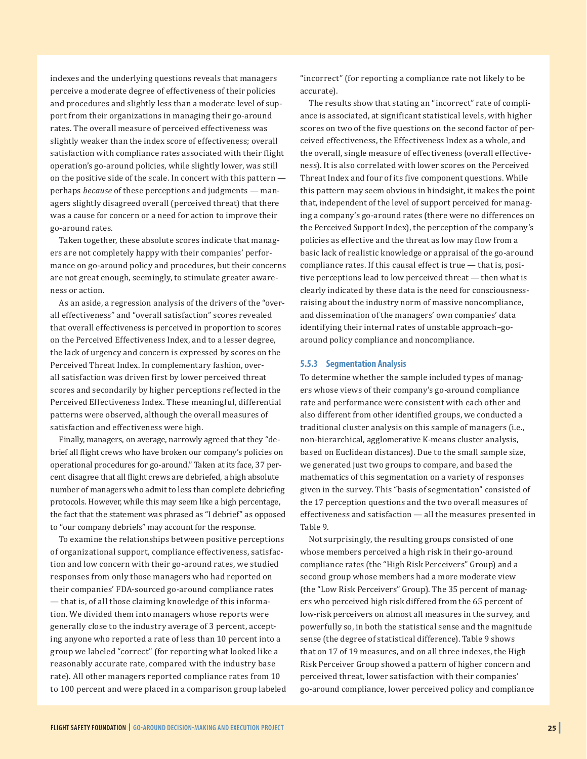indexes and the underlying questions reveals that managers perceive a moderate degree of effectiveness of their policies and procedures and slightly less than a moderate level of support from their organizations in managing their go-around rates. The overall measure of perceived effectiveness was slightly weaker than the index score of effectiveness; overall satisfaction with compliance rates associated with their flight operation's go-around policies, while slightly lower, was still on the positive side of the scale. In concert with this pattern perhaps *because* of these perceptions and judgments — managers slightly disagreed overall (perceived threat) that there was a cause for concern or a need for action to improve their go-around rates.

Taken together, these absolute scores indicate that managers are not completely happy with their companies' performance on go-around policy and procedures, but their concerns are not great enough, seemingly, to stimulate greater awareness or action.

As an aside, a regression analysis of the drivers of the "overall effectiveness" and "overall satisfaction" scores revealed that overall effectiveness is perceived in proportion to scores on the Perceived Effectiveness Index, and to a lesser degree, the lack of urgency and concern is expressed by scores on the Perceived Threat Index. In complementary fashion, overall satisfaction was driven first by lower perceived threat scores and secondarily by higher perceptions reflected in the Perceived Effectiveness Index. These meaningful, differential patterns were observed, although the overall measures of satisfaction and effectiveness were high.

Finally, managers, on average, narrowly agreed that they "debrief all flight crews who have broken our company's policies on operational procedures for go-around." Taken at its face, 37 percent disagree that all flight crews are debriefed, a high absolute number of managers who admit to less than complete debriefing protocols. However, while this may seem like a high percentage, the fact that the statement was phrased as "I debrief" as opposed to "our company debriefs" may account for the response.

To examine the relationships between positive perceptions of organizational support, compliance effectiveness, satisfaction and low concern with their go-around rates, we studied responses from only those managers who had reported on their companies' FDA-sourced go-around compliance rates — that is, of all those claiming knowledge of this information. We divided them into managers whose reports were generally close to the industry average of 3 percent, accepting anyone who reported a rate of less than 10 percent into a group we labeled "correct" (for reporting what looked like a reasonably accurate rate, compared with the industry base rate). All other managers reported compliance rates from 10 to 100 percent and were placed in a comparison group labeled "incorrect" (for reporting a compliance rate not likely to be accurate).

The results show that stating an "incorrect" rate of compliance is associated, at significant statistical levels, with higher scores on two of the five questions on the second factor of perceived effectiveness, the Effectiveness Index as a whole, and the overall, single measure of effectiveness (overall effectiveness). It is also correlated with lower scores on the Perceived Threat Index and four of its five component questions. While this pattern may seem obvious in hindsight, it makes the point that, independent of the level of support perceived for managing a company's go-around rates (there were no differences on the Perceived Support Index), the perception of the company's policies as effective and the threat as low may flow from a basic lack of realistic knowledge or appraisal of the go-around compliance rates. If this causal effect is true  $-$  that is, positive perceptions lead to low perceived threat — then what is clearly indicated by these data is the need for consciousnessraising about the industry norm of massive noncompliance, and dissemination of the managers' own companies' data identifying their internal rates of unstable approach–goaround policy compliance and noncompliance.

#### **5.5.3 Segmentation Analysis**

To determine whether the sample included types of managers whose views of their company's go-around compliance rate and performance were consistent with each other and also different from other identified groups, we conducted a traditional cluster analysis on this sample of managers (i.e., non-hierarchical, agglomerative K-means cluster analysis, based on Euclidean distances). Due to the small sample size, we generated just two groups to compare, and based the mathematics of this segmentation on a variety of responses given in the survey. This "basis of segmentation" consisted of the 17 perception questions and the two overall measures of effectiveness and satisfaction — all the measures presented in Table 9.

Not surprisingly, the resulting groups consisted of one whose members perceived a high risk in their go-around compliance rates (the "High Risk Perceivers" Group) and a second group whose members had a more moderate view (the "Low Risk Perceivers" Group). The 35 percent of managers who perceived high risk differed from the 65 percent of low-risk perceivers on almost all measures in the survey, and powerfully so, in both the statistical sense and the magnitude sense (the degree of statistical difference). Table 9 shows that on 17 of 19 measures, and on all three indexes, the High Risk Perceiver Group showed a pattern of higher concern and perceived threat, lower satisfaction with their companies' go-around compliance, lower perceived policy and compliance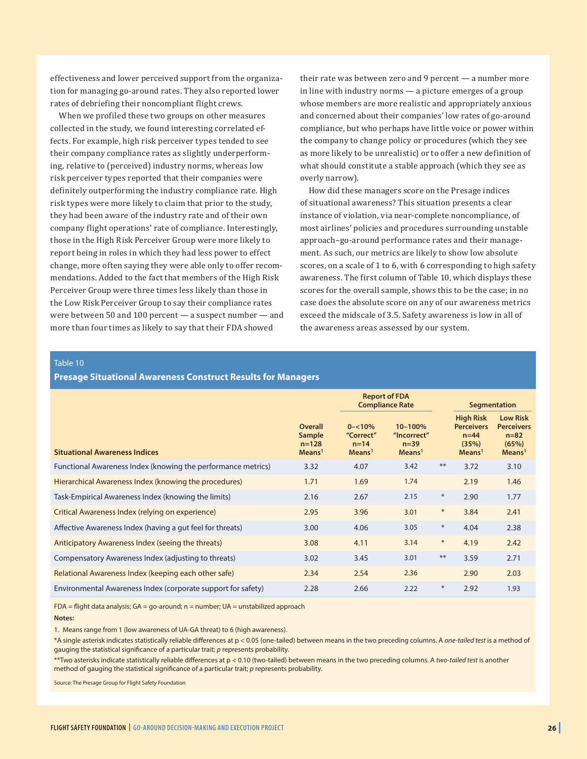effectiveness and lower perceived support from the organization for managing go-around rates. They also reported lower rates of debriefing their noncompliant flight crews.

When we profiled these two groups on other measures collected in the study, we found interesting correlated effects. For example, high risk perceiver types tended to see their company compliance rates as slightly underperforming, relative to (perceived) industry norms, whereas low risk perceiver types reported that their companies were definitely outperforming the industry compliance rate. High risk types were more likely to claim that prior to the study, they had been aware of the industry rate and of their own company flight operations' rate of compliance. Interestingly, those in the High Risk Perceiver Group were more likely to report being in roles in which they had less power to effect change, more often saying they were able only to offer recommendations. Added to the fact that members of the High Risk Perceiver Group were three times less likely than those in the Low Risk Perceiver Group to say their compliance rates were between 50 and 100 percent — a suspect number — and more than four times as likely to say that their FDA showed

their rate was between zero and 9 percent — a number more in line with industry norms — a picture emerges of a group whose members are more realistic and appropriately anxious and concerned about their companies' low rates of go-around compliance, but who perhaps have little voice or power within the company to change policy or procedures (which they see as more likely to be unrealistic) or to offer a new definition of what should constitute a stable approach (which they see as overly narrow).

How did these managers score on the Presage indices of situational awareness? This situation presents a clear instance of violation, via near-complete noncompliance, of most airlines' policies and procedures surrounding unstable approach–go-around performance rates and their management. As such, our metrics are likely to show low absolute scores, on a scale of 1 to 6, with 6 corresponding to high safety awareness. The first column of Table 10, which displays these scores for the overall sample, shows this to be the case; in no case does the absolute score on any of our awareness metrics exceed the midscale of 3.5. Safety awareness is low in all of the awareness areas assessed by our system.

Table 10

#### **Presage Situational Awareness Construct Results for Managers**

|                                                              |                                                                   |                                                          | <b>Report of FDA</b><br><b>Compliance Rate</b>        |        |                                                                               | <b>Segmentation</b>                                                            |
|--------------------------------------------------------------|-------------------------------------------------------------------|----------------------------------------------------------|-------------------------------------------------------|--------|-------------------------------------------------------------------------------|--------------------------------------------------------------------------------|
| <b>Situational Awareness Indices</b>                         | <b>Overall</b><br><b>Sample</b><br>$n = 128$<br>Mean <sup>1</sup> | $0 - 10\%$<br>"Correct"<br>$n = 14$<br>Mean <sup>1</sup> | 10-100%<br>"Incorrect"<br>$n=39$<br>Mean <sup>1</sup> |        | <b>High Risk</b><br><b>Perceivers</b><br>$n=44$<br>(35%)<br>Mean <sup>1</sup> | <b>Low Risk</b><br><b>Perceivers</b><br>$n = 82$<br>(65%)<br>Mean <sup>1</sup> |
| Functional Awareness Index (knowing the performance metrics) | 3.32                                                              | 4.07                                                     | 3.42                                                  | $***$  | 3.72                                                                          | 3.10                                                                           |
| Hierarchical Awareness Index (knowing the procedures)        | 1.71                                                              | 1.69                                                     | 1.74                                                  |        | 2.19                                                                          | 1.46                                                                           |
| Task-Empirical Awareness Index (knowing the limits)          | 2.16                                                              | 2.67                                                     | 2.15                                                  | $\ast$ | 2.90                                                                          | 1.77                                                                           |
| Critical Awareness Index (relying on experience)             | 2.95                                                              | 3.96                                                     | 3.01                                                  | $\ast$ | 3.84                                                                          | 2.41                                                                           |
| Affective Awareness Index (having a gut feel for threats)    | 3.00                                                              | 4.06                                                     | 3.05                                                  | $\ast$ | 4.04                                                                          | 2.38                                                                           |
| Anticipatory Awareness Index (seeing the threats)            | 3.08                                                              | 4.11                                                     | 3.14                                                  | $\ast$ | 4.19                                                                          | 2.42                                                                           |
| Compensatory Awareness Index (adjusting to threats)          | 3.02                                                              | 3.45                                                     | 3.01                                                  | $***$  | 3.59                                                                          | 2.71                                                                           |
| Relational Awareness Index (keeping each other safe)         | 2.34                                                              | 2.54                                                     | 2.36                                                  |        | 2.90                                                                          | 2.03                                                                           |
| Environmental Awareness Index (corporate support for safety) | 2.28                                                              | 2.66                                                     | 2.22                                                  | $\ast$ | 2.92                                                                          | 1.93                                                                           |

 $FDA = flight$  data analysis;  $GA = go$ -around; n = number;  $UA =$  unstabilized approach

#### **Notes:**

1. Means range from 1 (low awareness of UA-GA threat) to 6 (high awareness).

\*A single asterisk indicates statistically reliable differences at p < 0.05 (one-tailed) between means in the two preceding columns. A *one-tailed test* is a method of gauging the statistical significance of a particular trait; *p* represents probability.

\*\*Two asterisks indicate statistically reliable differences at p < 0.10 (two-tailed) between means in the two preceding columns. A *two-tailed test* is another method of gauging the statistical significance of a particular trait; *p* represents probability.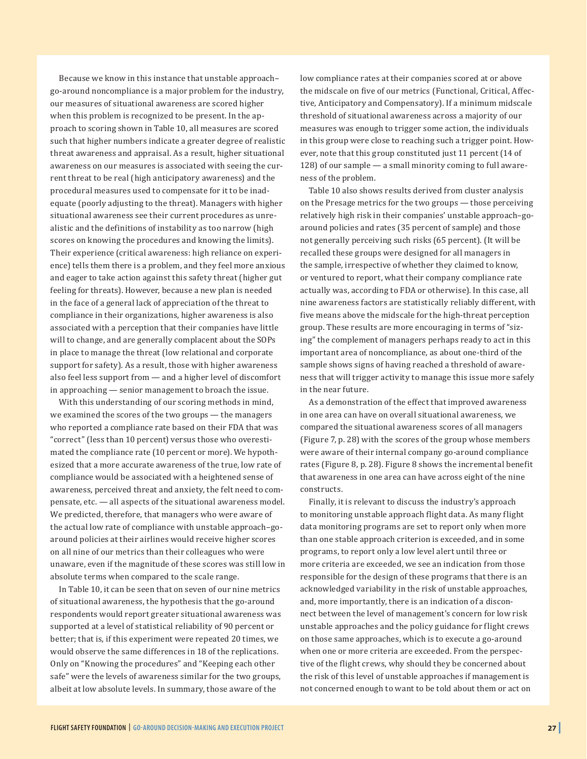Because we know in this instance that unstable approach– go-around noncompliance is a major problem for the industry, our measures of situational awareness are scored higher when this problem is recognized to be present. In the approach to scoring shown in Table 10, all measures are scored such that higher numbers indicate a greater degree of realistic threat awareness and appraisal. As a result, higher situational awareness on our measures is associated with seeing the current threat to be real (high anticipatory awareness) and the procedural measures used to compensate for it to be inadequate (poorly adjusting to the threat). Managers with higher situational awareness see their current procedures as unrealistic and the definitions of instability as too narrow (high scores on knowing the procedures and knowing the limits). Their experience (critical awareness: high reliance on experience) tells them there is a problem, and they feel more anxious and eager to take action against this safety threat (higher gut feeling for threats). However, because a new plan is needed in the face of a general lack of appreciation of the threat to compliance in their organizations, higher awareness is also associated with a perception that their companies have little will to change, and are generally complacent about the SOPs in place to manage the threat (low relational and corporate support for safety). As a result, those with higher awareness also feel less support from — and a higher level of discomfort in approaching — senior management to broach the issue.

With this understanding of our scoring methods in mind, we examined the scores of the two groups — the managers who reported a compliance rate based on their FDA that was "correct" (less than 10 percent) versus those who overestimated the compliance rate (10 percent or more). We hypothesized that a more accurate awareness of the true, low rate of compliance would be associated with a heightened sense of awareness, perceived threat and anxiety, the felt need to compensate, etc. — all aspects of the situational awareness model. We predicted, therefore, that managers who were aware of the actual low rate of compliance with unstable approach–goaround policies at their airlines would receive higher scores on all nine of our metrics than their colleagues who were unaware, even if the magnitude of these scores was still low in absolute terms when compared to the scale range.

In Table 10, it can be seen that on seven of our nine metrics of situational awareness, the hypothesis that the go-around respondents would report greater situational awareness was supported at a level of statistical reliability of 90 percent or better; that is, if this experiment were repeated 20 times, we would observe the same differences in 18 of the replications. Only on "Knowing the procedures" and "Keeping each other safe" were the levels of awareness similar for the two groups, albeit at low absolute levels. In summary, those aware of the

low compliance rates at their companies scored at or above the midscale on five of our metrics (Functional, Critical, Affective, Anticipatory and Compensatory). If a minimum midscale threshold of situational awareness across a majority of our measures was enough to trigger some action, the individuals in this group were close to reaching such a trigger point. However, note that this group constituted just 11 percent (14 of 128) of our sample — a small minority coming to full awareness of the problem.

Table 10 also shows results derived from cluster analysis on the Presage metrics for the two groups — those perceiving relatively high risk in their companies' unstable approach–goaround policies and rates (35 percent of sample) and those not generally perceiving such risks (65 percent). (It will be recalled these groups were designed for all managers in the sample, irrespective of whether they claimed to know, or ventured to report, what their company compliance rate actually was, according to FDA or otherwise). In this case, all nine awareness factors are statistically reliably different, with five means above the midscale for the high-threat perception group. These results are more encouraging in terms of "sizing" the complement of managers perhaps ready to act in this important area of noncompliance, as about one-third of the sample shows signs of having reached a threshold of awareness that will trigger activity to manage this issue more safely in the near future.

As a demonstration of the effect that improved awareness in one area can have on overall situational awareness, we compared the situational awareness scores of all managers (Figure 7, p. 28) with the scores of the group whose members were aware of their internal company go-around compliance rates (Figure 8, p. 28). Figure 8 shows the incremental benefit that awareness in one area can have across eight of the nine constructs.

Finally, it is relevant to discuss the industry's approach to monitoring unstable approach flight data. As many flight data monitoring programs are set to report only when more than one stable approach criterion is exceeded, and in some programs, to report only a low level alert until three or more criteria are exceeded, we see an indication from those responsible for the design of these programs that there is an acknowledged variability in the risk of unstable approaches, and, more importantly, there is an indication of a disconnect between the level of management's concern for low risk unstable approaches and the policy guidance for flight crews on those same approaches, which is to execute a go-around when one or more criteria are exceeded. From the perspective of the flight crews, why should they be concerned about the risk of this level of unstable approaches if management is not concerned enough to want to be told about them or act on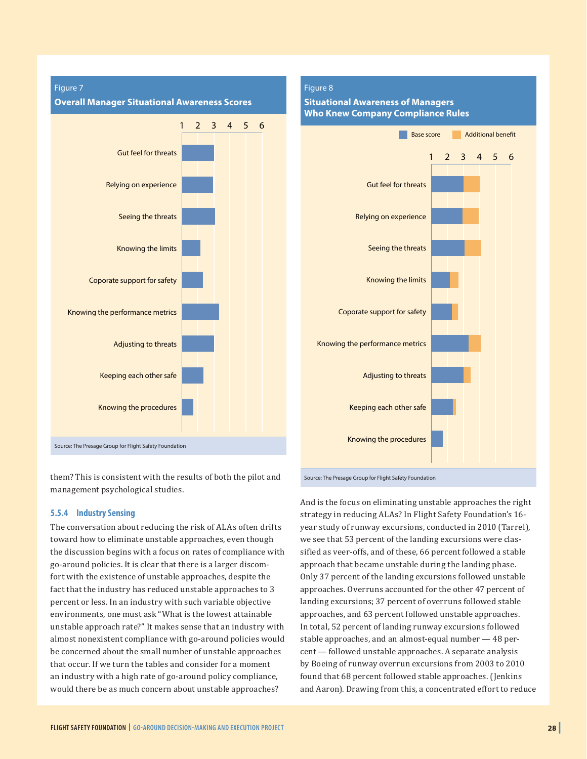

them? This is consistent with the results of both the pilot and Source: The Presage Group for Flight Safety Foundation management psychological studies.

#### **5.5.4 Industry Sensing**

The conversation about reducing the risk of ALAs often drifts toward how to eliminate unstable approaches, even though the discussion begins with a focus on rates of compliance with go-around policies. It is clear that there is a larger discomfort with the existence of unstable approaches, despite the fact that the industry has reduced unstable approaches to 3 percent or less. In an industry with such variable objective environments, one must ask "What is the lowest attainable unstable approach rate?" It makes sense that an industry with almost nonexistent compliance with go-around policies would be concerned about the small number of unstable approaches that occur. If we turn the tables and consider for a moment an industry with a high rate of go-around policy compliance, would there be as much concern about unstable approaches?

## **Situational Awareness of Managers Who Knew Company Compliance Rules** 1 2 3 4 5 6 Gut feel for threats Relying on experience Seeing the threats Knowing the limits Coporate support for safety Knowing the performance metrics Base score Additional benefit

Adjusting to threats

Keeping each other safe

Knowing the procedures

And is the focus on eliminating unstable approaches the right strategy in reducing ALAs? In Flight Safety Foundation's 16 year study of runway excursions, conducted in 2010 (Tarrel), we see that 53 percent of the landing excursions were classified as veer-offs, and of these, 66 percent followed a stable approach that became unstable during the landing phase. Only 37 percent of the landing excursions followed unstable approaches. Overruns accounted for the other 47 percent of landing excursions; 37 percent of overruns followed stable approaches, and 63 percent followed unstable approaches. In total, 52 percent of landing runway excursions followed stable approaches, and an almost-equal number — 48 percent — followed unstable approaches. A separate analysis by Boeing of runway overrun excursions from 2003 to 2010 found that 68 percent followed stable approaches. (Jenkins and Aaron). Drawing from this, a concentrated effort to reduce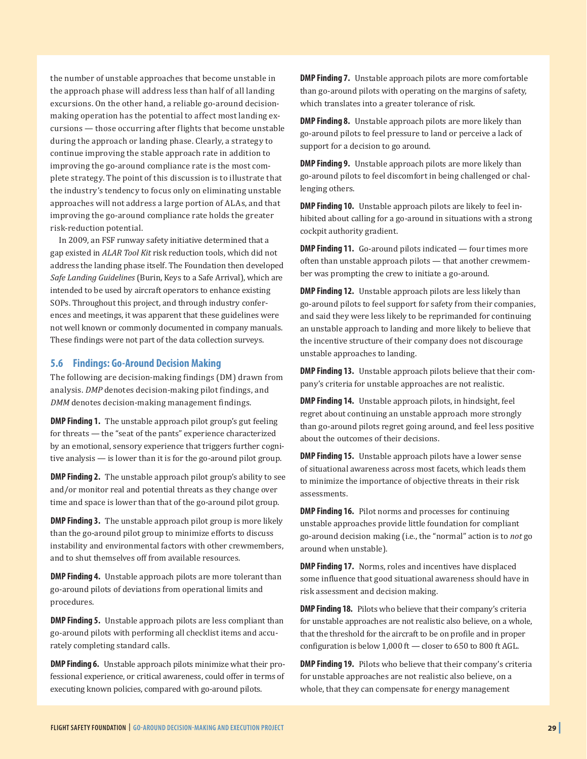the number of unstable approaches that become unstable in the approach phase will address less than half of all landing excursions. On the other hand, a reliable go-around decisionmaking operation has the potential to affect most landing excursions — those occurring after flights that become unstable during the approach or landing phase. Clearly, a strategy to continue improving the stable approach rate in addition to improving the go-around compliance rate is the most complete strategy. The point of this discussion is to illustrate that the industry's tendency to focus only on eliminating unstable approaches will not address a large portion of ALAs, and that improving the go-around compliance rate holds the greater risk-reduction potential.

In 2009, an FSF runway safety initiative determined that a gap existed in *ALAR Tool Kit* risk reduction tools, which did not address the landing phase itself. The Foundation then developed *Safe Landing Guidelines* (Burin, Keys to a Safe Arrival), which are intended to be used by aircraft operators to enhance existing SOPs. Throughout this project, and through industry conferences and meetings, it was apparent that these guidelines were not well known or commonly documented in company manuals. These findings were not part of the data collection surveys.

#### **5.6 Findings: Go-Around Decision Making**

The following are decision-making findings (DM) drawn from analysis. *DMP* denotes decision-making pilot findings, and *DMM* denotes decision-making management findings.

**DMP Finding 1.** The unstable approach pilot group's gut feeling for threats — the "seat of the pants" experience characterized by an emotional, sensory experience that triggers further cognitive analysis — is lower than it is for the go-around pilot group.

**DMP Finding 2.** The unstable approach pilot group's ability to see and/or monitor real and potential threats as they change over time and space is lower than that of the go-around pilot group.

**DMP Finding 3.** The unstable approach pilot group is more likely than the go-around pilot group to minimize efforts to discuss instability and environmental factors with other crewmembers, and to shut themselves off from available resources.

**DMP Finding 4.** Unstable approach pilots are more tolerant than go-around pilots of deviations from operational limits and procedures.

**DMP Finding 5.** Unstable approach pilots are less compliant than go-around pilots with performing all checklist items and accurately completing standard calls.

**DMP Finding 6.** Unstable approach pilots minimize what their professional experience, or critical awareness, could offer in terms of executing known policies, compared with go-around pilots.

**DMP Finding 7.** Unstable approach pilots are more comfortable than go-around pilots with operating on the margins of safety, which translates into a greater tolerance of risk.

**DMP Finding 8.** Unstable approach pilots are more likely than go-around pilots to feel pressure to land or perceive a lack of support for a decision to go around.

**DMP Finding 9.** Unstable approach pilots are more likely than go-around pilots to feel discomfort in being challenged or challenging others.

**DMP Finding 10.** Unstable approach pilots are likely to feel inhibited about calling for a go-around in situations with a strong cockpit authority gradient.

**DMP Finding 11.** Go-around pilots indicated — four times more often than unstable approach pilots — that another crewmember was prompting the crew to initiate a go-around.

**DMP Finding 12.** Unstable approach pilots are less likely than go-around pilots to feel support for safety from their companies, and said they were less likely to be reprimanded for continuing an unstable approach to landing and more likely to believe that the incentive structure of their company does not discourage unstable approaches to landing.

**DMP Finding 13.** Unstable approach pilots believe that their company's criteria for unstable approaches are not realistic.

**DMP Finding 14.** Unstable approach pilots, in hindsight, feel regret about continuing an unstable approach more strongly than go-around pilots regret going around, and feel less positive about the outcomes of their decisions.

**DMP Finding 15.** Unstable approach pilots have a lower sense of situational awareness across most facets, which leads them to minimize the importance of objective threats in their risk assessments.

**DMP Finding 16.** Pilot norms and processes for continuing unstable approaches provide little foundation for compliant go-around decision making (i.e., the "normal" action is to *not* go around when unstable).

**DMP Finding 17.** Norms, roles and incentives have displaced some influence that good situational awareness should have in risk assessment and decision making.

**DMP Finding 18.** Pilots who believe that their company's criteria for unstable approaches are not realistic also believe, on a whole, that the threshold for the aircraft to be on profile and in proper configuration is below 1,000 ft — closer to 650 to 800 ft AGL.

**DMP Finding 19.** Pilots who believe that their company's criteria for unstable approaches are not realistic also believe, on a whole, that they can compensate for energy management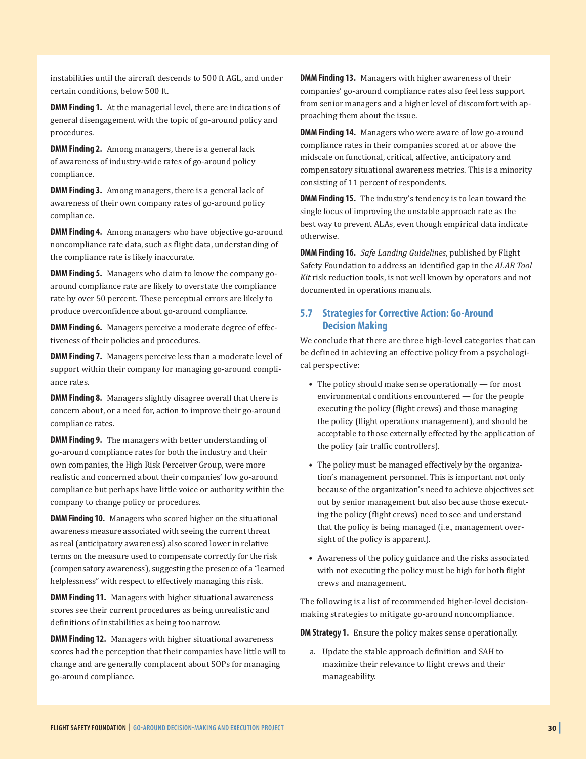instabilities until the aircraft descends to 500 ft AGL, and under certain conditions, below 500 ft.

**DMM Finding 1.** At the managerial level, there are indications of general disengagement with the topic of go-around policy and procedures.

**DMM Finding 2.** Among managers, there is a general lack of awareness of industry-wide rates of go-around policy compliance.

**DMM Finding 3.** Among managers, there is a general lack of awareness of their own company rates of go-around policy compliance.

**DMM Finding 4.** Among managers who have objective go-around noncompliance rate data, such as flight data, understanding of the compliance rate is likely inaccurate.

**DMM Finding 5.** Managers who claim to know the company goaround compliance rate are likely to overstate the compliance rate by over 50 percent. These perceptual errors are likely to produce overconfidence about go-around compliance.

**DMM Finding 6.** Managers perceive a moderate degree of effectiveness of their policies and procedures.

**DMM Finding 7.** Managers perceive less than a moderate level of support within their company for managing go-around compliance rates.

**DMM Finding 8.** Managers slightly disagree overall that there is concern about, or a need for, action to improve their go-around compliance rates.

**DMM Finding 9.** The managers with better understanding of go-around compliance rates for both the industry and their own companies, the High Risk Perceiver Group, were more realistic and concerned about their companies' low go-around compliance but perhaps have little voice or authority within the company to change policy or procedures.

**DMM Finding 10.** Managers who scored higher on the situational awareness measure associated with seeing the current threat as real (anticipatory awareness) also scored lower in relative terms on the measure used to compensate correctly for the risk (compensatory awareness), suggesting the presence of a "learned helplessness" with respect to effectively managing this risk.

**DMM Finding 11.** Managers with higher situational awareness scores see their current procedures as being unrealistic and definitions of instabilities as being too narrow.

**DMM Finding 12.** Managers with higher situational awareness scores had the perception that their companies have little will to change and are generally complacent about SOPs for managing go-around compliance.

**DMM Finding 13.** Managers with higher awareness of their companies' go-around compliance rates also feel less support from senior managers and a higher level of discomfort with approaching them about the issue.

**DMM Finding 14.** Managers who were aware of low go-around compliance rates in their companies scored at or above the midscale on functional, critical, affective, anticipatory and compensatory situational awareness metrics. This is a minority consisting of 11 percent of respondents.

**DMM Finding 15.** The industry's tendency is to lean toward the single focus of improving the unstable approach rate as the best way to prevent ALAs, even though empirical data indicate otherwise.

**DMM Finding 16.** *Safe Landing Guidelines*, published by Flight Safety Foundation to address an identified gap in the *ALAR Tool Kit* risk reduction tools, is not well known by operators and not documented in operations manuals.

#### **5.7 Strategies for Corrective Action: Go-Around Decision Making**

We conclude that there are three high-level categories that can be defined in achieving an effective policy from a psychological perspective:

- The policy should make sense operationally for most environmental conditions encountered — for the people executing the policy (flight crews) and those managing the policy (flight operations management), and should be acceptable to those externally effected by the application of the policy (air traffic controllers).
- The policy must be managed effectively by the organization's management personnel. This is important not only because of the organization's need to achieve objectives set out by senior management but also because those executing the policy (flight crews) need to see and understand that the policy is being managed (i.e., management oversight of the policy is apparent).
- Awareness of the policy guidance and the risks associated with not executing the policy must be high for both flight crews and management.

The following is a list of recommended higher-level decisionmaking strategies to mitigate go-around noncompliance.

**DM Strategy 1.** Ensure the policy makes sense operationally.

a. Update the stable approach definition and SAH to maximize their relevance to flight crews and their manageability.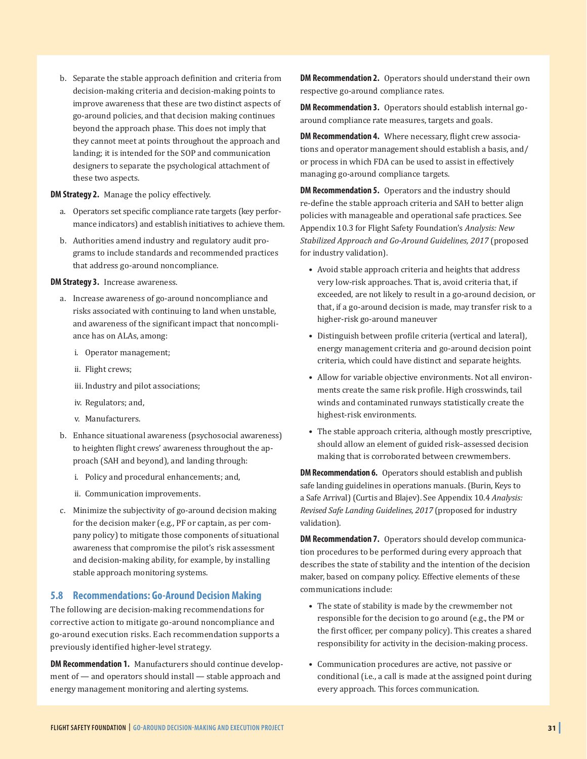b. Separate the stable approach definition and criteria from decision-making criteria and decision-making points to improve awareness that these are two distinct aspects of go-around policies, and that decision making continues beyond the approach phase. This does not imply that they cannot meet at points throughout the approach and landing; it is intended for the SOP and communication designers to separate the psychological attachment of these two aspects.

#### **DM Strategy 2.** Manage the policy effectively.

- a. Operators set specific compliance rate targets (key performance indicators) and establish initiatives to achieve them.
- b. Authorities amend industry and regulatory audit programs to include standards and recommended practices that address go-around noncompliance.

#### **DM Strategy 3.** Increase awareness.

- a. Increase awareness of go-around noncompliance and risks associated with continuing to land when unstable, and awareness of the significant impact that noncompliance has on ALAs, among:
	- i. Operator management;
	- ii. Flight crews;
	- iii. Industry and pilot associations;
	- iv. Regulators; and,
	- v. Manufacturers.
- b. Enhance situational awareness (psychosocial awareness) to heighten flight crews' awareness throughout the approach (SAH and beyond), and landing through:
	- i. Policy and procedural enhancements; and,
	- ii. Communication improvements.
- c. Minimize the subjectivity of go-around decision making for the decision maker (e.g., PF or captain, as per company policy) to mitigate those components of situational awareness that compromise the pilot's risk assessment and decision-making ability, for example, by installing stable approach monitoring systems.

#### **5.8 Recommendations: Go-Around Decision Making**

The following are decision-making recommendations for corrective action to mitigate go-around noncompliance and go-around execution risks. Each recommendation supports a previously identified higher-level strategy.

**DM Recommendation 1.** Manufacturers should continue development of — and operators should install — stable approach and energy management monitoring and alerting systems.

**DM Recommendation 2.** Operators should understand their own respective go-around compliance rates.

**DM Recommendation 3.** Operators should establish internal goaround compliance rate measures, targets and goals.

**DM Recommendation 4.** Where necessary, flight crew associations and operator management should establish a basis, and/ or process in which FDA can be used to assist in effectively managing go-around compliance targets.

**DM Recommendation 5.** Operators and the industry should re-define the stable approach criteria and SAH to better align policies with manageable and operational safe practices. See Appendix 10.3 for Flight Safety Foundation's *Analysis: New Stabilized Approach and Go-Around Guidelines, 2017* (proposed for industry validation).

- Avoid stable approach criteria and heights that address very low-risk approaches. That is, avoid criteria that, if exceeded, are not likely to result in a go-around decision, or that, if a go-around decision is made, may transfer risk to a higher-risk go-around maneuver
- Distinguish between profile criteria (vertical and lateral), energy management criteria and go-around decision point criteria, which could have distinct and separate heights.
- Allow for variable objective environments. Not all environments create the same risk profile. High crosswinds, tail winds and contaminated runways statistically create the highest-risk environments.
- The stable approach criteria, although mostly prescriptive, should allow an element of guided risk–assessed decision making that is corroborated between crewmembers.

**DM Recommendation 6.** Operators should establish and publish safe landing guidelines in operations manuals. (Burin, Keys to a Safe Arrival) (Curtis and Blajev). See Appendix 10.4 *Analysis: Revised Safe Landing Guidelines, 2017* (proposed for industry validation).

**DM Recommendation 7.** Operators should develop communication procedures to be performed during every approach that describes the state of stability and the intention of the decision maker, based on company policy. Effective elements of these communications include:

- The state of stability is made by the crewmember not responsible for the decision to go around (e.g., the PM or the first officer, per company policy). This creates a shared responsibility for activity in the decision-making process.
- Communication procedures are active, not passive or conditional (i.e., a call is made at the assigned point during every approach. This forces communication.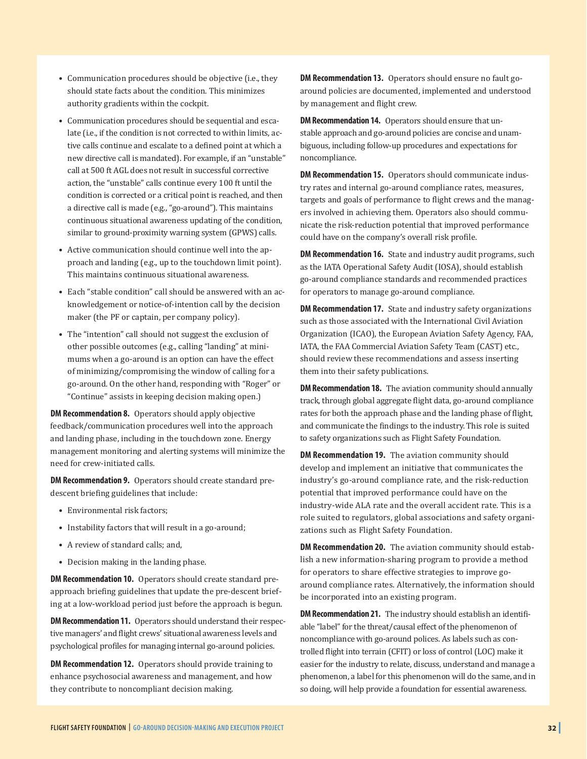- Communication procedures should be objective (i.e., they should state facts about the condition. This minimizes authority gradients within the cockpit.
- Communication procedures should be sequential and escalate (i.e., if the condition is not corrected to within limits, active calls continue and escalate to a defined point at which a new directive call is mandated). For example, if an "unstable" call at 500 ft AGL does not result in successful corrective action, the "unstable" calls continue every 100 ft until the condition is corrected or a critical point is reached, and then a directive call is made (e.g., "go-around"). This maintains continuous situational awareness updating of the condition, similar to ground-proximity warning system (GPWS) calls.
- Active communication should continue well into the approach and landing (e.g., up to the touchdown limit point). This maintains continuous situational awareness.
- Each "stable condition" call should be answered with an acknowledgement or notice-of-intention call by the decision maker (the PF or captain, per company policy).
- The "intention" call should not suggest the exclusion of other possible outcomes (e.g., calling "landing" at minimums when a go-around is an option can have the effect of minimizing/compromising the window of calling for a go-around. On the other hand, responding with "Roger" or "Continue" assists in keeping decision making open.)

**DM Recommendation 8.** Operators should apply objective feedback/communication procedures well into the approach and landing phase, including in the touchdown zone. Energy management monitoring and alerting systems will minimize the need for crew-initiated calls.

**DM Recommendation 9.** Operators should create standard predescent briefing guidelines that include:

- Environmental risk factors;
- Instability factors that will result in a go-around;
- A review of standard calls; and,
- Decision making in the landing phase.

**DM Recommendation 10.** Operators should create standard preapproach briefing guidelines that update the pre-descent briefing at a low-workload period just before the approach is begun.

**DM Recommendation 11.** Operators should understand their respective managers' and flight crews' situational awareness levels and psychological profiles for managing internal go-around policies.

**DM Recommendation 12.** Operators should provide training to enhance psychosocial awareness and management, and how they contribute to noncompliant decision making.

**DM Recommendation 13.** Operators should ensure no fault goaround policies are documented, implemented and understood by management and flight crew.

**DM Recommendation 14.** Operators should ensure that unstable approach and go-around policies are concise and unambiguous, including follow-up procedures and expectations for noncompliance.

**DM Recommendation 15.** Operators should communicate industry rates and internal go-around compliance rates, measures, targets and goals of performance to flight crews and the managers involved in achieving them. Operators also should communicate the risk-reduction potential that improved performance could have on the company's overall risk profile.

**DM Recommendation 16.** State and industry audit programs, such as the IATA Operational Safety Audit (IOSA), should establish go-around compliance standards and recommended practices for operators to manage go-around compliance.

**DM Recommendation 17.** State and industry safety organizations such as those associated with the International Civil Aviation Organization (ICAO), the European Aviation Safety Agency, FAA, IATA, the FAA Commercial Aviation Safety Team (CAST) etc., should review these recommendations and assess inserting them into their safety publications.

**DM Recommendation 18.** The aviation community should annually track, through global aggregate flight data, go-around compliance rates for both the approach phase and the landing phase of flight, and communicate the findings to the industry. This role is suited to safety organizations such as Flight Safety Foundation.

**DM Recommendation 19.** The aviation community should develop and implement an initiative that communicates the industry's go-around compliance rate, and the risk-reduction potential that improved performance could have on the industry-wide ALA rate and the overall accident rate. This is a role suited to regulators, global associations and safety organizations such as Flight Safety Foundation.

**DM Recommendation 20.** The aviation community should establish a new information-sharing program to provide a method for operators to share effective strategies to improve goaround compliance rates. Alternatively, the information should be incorporated into an existing program.

**DM Recommendation 21.** The industry should establish an identifiable "label" for the threat/causal effect of the phenomenon of noncompliance with go-around polices. As labels such as controlled flight into terrain (CFIT) or loss of control (LOC) make it easier for the industry to relate, discuss, understand and manage a phenomenon, a label for this phenomenon will do the same, and in so doing, will help provide a foundation for essential awareness.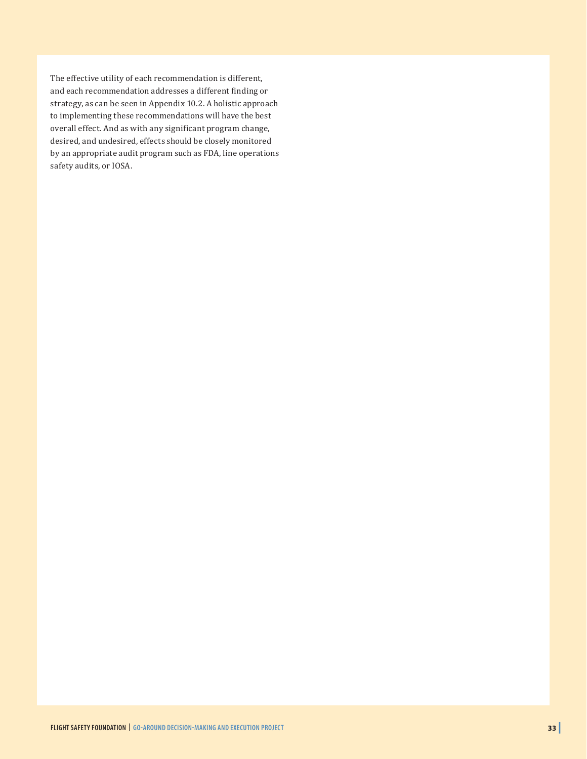The effective utility of each recommendation is different, and each recommendation addresses a different finding or strategy, as can be seen in Appendix 10.2. A holistic approach to implementing these recommendations will have the best overall effect. And as with any significant program change, desired, and undesired, effects should be closely monitored by an appropriate audit program such as FDA, line operations safety audits, or IOSA.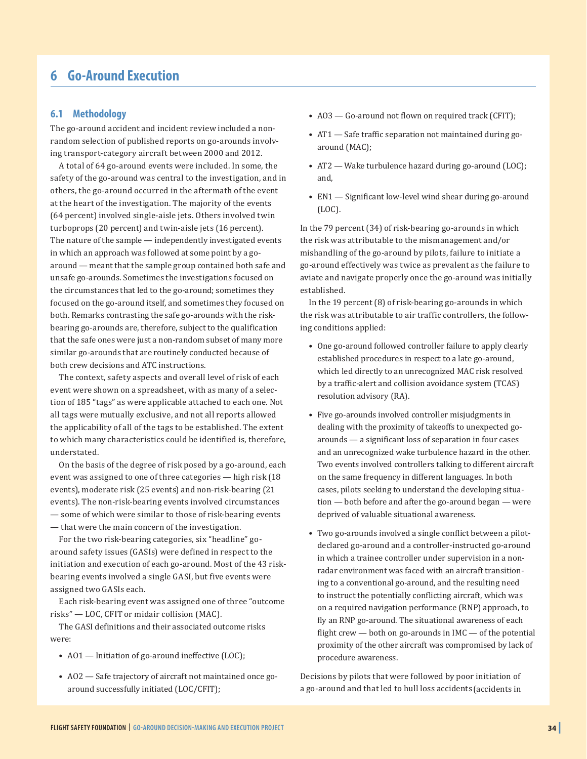## **6 Go-Around Execution**

#### **6.1 Methodology**

The go-around accident and incident review included a nonrandom selection of published reports on go-arounds involving transport-category aircraft between 2000 and 2012.

A total of 64 go-around events were included. In some, the safety of the go-around was central to the investigation, and in others, the go-around occurred in the aftermath of the event at the heart of the investigation. The majority of the events (64 percent) involved single-aisle jets. Others involved twin turboprops (20 percent) and twin-aisle jets (16 percent). The nature of the sample — independently investigated events in which an approach was followed at some point by a goaround — meant that the sample group contained both safe and unsafe go-arounds. Sometimes the investigations focused on the circumstances that led to the go-around; sometimes they focused on the go-around itself, and sometimes they focused on both. Remarks contrasting the safe go-arounds with the riskbearing go-arounds are, therefore, subject to the qualification that the safe ones were just a non-random subset of many more similar go-arounds that are routinely conducted because of both crew decisions and ATC instructions.

The context, safety aspects and overall level of risk of each event were shown on a spreadsheet, with as many of a selection of 185 "tags" as were applicable attached to each one. Not all tags were mutually exclusive, and not all reports allowed the applicability of all of the tags to be established. The extent to which many characteristics could be identified is, therefore, understated.

On the basis of the degree of risk posed by a go-around, each event was assigned to one of three categories — high risk (18 events), moderate risk (25 events) and non-risk-bearing (21 events). The non-risk-bearing events involved circumstances — some of which were similar to those of risk-bearing events — that were the main concern of the investigation.

For the two risk-bearing categories, six "headline" goaround safety issues (GASIs) were defined in respect to the initiation and execution of each go-around. Most of the 43 riskbearing events involved a single GASI, but five events were assigned two GASIs each.

Each risk-bearing event was assigned one of three "outcome risks" — LOC, CFIT or midair collision (MAC).

The GASI definitions and their associated outcome risks were:

- AO1 Initiation of go-around ineffective (LOC);
- AO2 Safe trajectory of aircraft not maintained once goaround successfully initiated (LOC/CFIT);
- AO3 Go-around not flown on required track (CFIT);
- AT1 Safe traffic separation not maintained during goaround (MAC);
- AT2 Wake turbulence hazard during go-around (LOC); and,
- EN1 Significant low-level wind shear during go-around (LOC).

In the 79 percent (34) of risk-bearing go-arounds in which the risk was attributable to the mismanagement and/or mishandling of the go-around by pilots, failure to initiate a go-around effectively was twice as prevalent as the failure to aviate and navigate properly once the go-around was initially established.

In the 19 percent (8) of risk-bearing go-arounds in which the risk was attributable to air traffic controllers, the following conditions applied:

- One go-around followed controller failure to apply clearly established procedures in respect to a late go-around, which led directly to an unrecognized MAC risk resolved by a traffic-alert and collision avoidance system (TCAS) resolution advisory (RA).
- Five go-arounds involved controller misjudgments in dealing with the proximity of takeoffs to unexpected goarounds — a significant loss of separation in four cases and an unrecognized wake turbulence hazard in the other. Two events involved controllers talking to different aircraft on the same frequency in different languages. In both cases, pilots seeking to understand the developing situation — both before and after the go-around began — were deprived of valuable situational awareness.
- Two go-arounds involved a single conflict between a pilotdeclared go-around and a controller-instructed go-around in which a trainee controller under supervision in a nonradar environment was faced with an aircraft transitioning to a conventional go-around, and the resulting need to instruct the potentially conflicting aircraft, which was on a required navigation performance (RNP) approach, to fly an RNP go-around. The situational awareness of each flight crew  $-$  both on go-arounds in IMC  $-$  of the potential proximity of the other aircraft was compromised by lack of procedure awareness.

Decisions by pilots that were followed by poor initiation of a go-around and that led to hull loss accidents (accidents in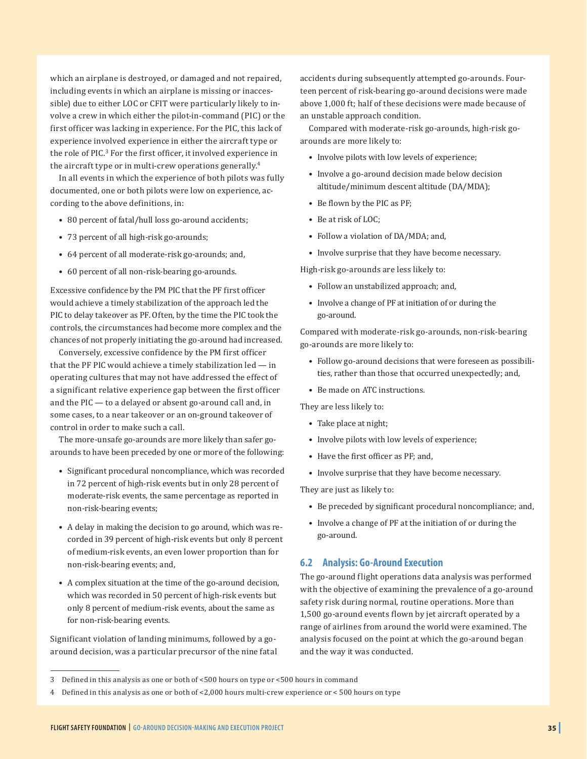which an airplane is destroyed, or damaged and not repaired, including events in which an airplane is missing or inaccessible) due to either LOC or CFIT were particularly likely to involve a crew in which either the pilot-in-command (PIC) or the first officer was lacking in experience. For the PIC, this lack of experience involved experience in either the aircraft type or the role of PIC.<sup>3</sup> For the first officer, it involved experience in the aircraft type or in multi-crew operations generally.<sup>4</sup>

In all events in which the experience of both pilots was fully documented, one or both pilots were low on experience, according to the above definitions, in:

- 80 percent of fatal/hull loss go-around accidents;
- 73 percent of all high-risk go-arounds;
- 64 percent of all moderate-risk go-arounds; and,
- 60 percent of all non-risk-bearing go-arounds.

Excessive confidence by the PM PIC that the PF first officer would achieve a timely stabilization of the approach led the PIC to delay takeover as PF. Often, by the time the PIC took the controls, the circumstances had become more complex and the chances of not properly initiating the go-around had increased.

Conversely, excessive confidence by the PM first officer that the PF PIC would achieve a timely stabilization led — in operating cultures that may not have addressed the effect of a significant relative experience gap between the first officer and the PIC — to a delayed or absent go-around call and, in some cases, to a near takeover or an on-ground takeover of control in order to make such a call.

The more-unsafe go-arounds are more likely than safer goarounds to have been preceded by one or more of the following:

- Significant procedural noncompliance, which was recorded in 72 percent of high-risk events but in only 28 percent of moderate-risk events, the same percentage as reported in non-risk-bearing events;
- A delay in making the decision to go around, which was recorded in 39 percent of high-risk events but only 8 percent of medium-risk events, an even lower proportion than for non-risk-bearing events; and,
- A complex situation at the time of the go-around decision, which was recorded in 50 percent of high-risk events but only 8 percent of medium-risk events, about the same as for non-risk-bearing events.

Significant violation of landing minimums, followed by a goaround decision, was a particular precursor of the nine fatal accidents during subsequently attempted go-arounds. Fourteen percent of risk-bearing go-around decisions were made above 1,000 ft; half of these decisions were made because of an unstable approach condition.

Compared with moderate-risk go-arounds, high-risk goarounds are more likely to:

- Involve pilots with low levels of experience;
- Involve a go-around decision made below decision altitude/minimum descent altitude (DA/MDA);
- Be flown by the PIC as PF;
- Be at risk of LOC;
- Follow a violation of DA/MDA; and,
- Involve surprise that they have become necessary.

High-risk go-arounds are less likely to:

- Follow an unstabilized approach; and,
- Involve a change of PF at initiation of or during the go-around.

Compared with moderate-risk go-arounds, non-risk-bearing go-arounds are more likely to:

- Follow go-around decisions that were foreseen as possibilities, rather than those that occurred unexpectedly; and,
- Be made on ATC instructions.

They are less likely to:

- Take place at night;
- Involve pilots with low levels of experience;
- Have the first officer as PF; and,
- Involve surprise that they have become necessary.

They are just as likely to:

- Be preceded by significant procedural noncompliance; and,
- Involve a change of PF at the initiation of or during the go-around.

#### **6.2 Analysis: Go-Around Execution**

The go-around flight operations data analysis was performed with the objective of examining the prevalence of a go-around safety risk during normal, routine operations. More than 1,500 go-around events flown by jet aircraft operated by a range of airlines from around the world were examined. The analysis focused on the point at which the go-around began and the way it was conducted.

<sup>3</sup> Defined in this analysis as one or both of <500 hours on type or <500 hours in command

<sup>4</sup> Defined in this analysis as one or both of <2,000 hours multi-crew experience or < 500 hours on type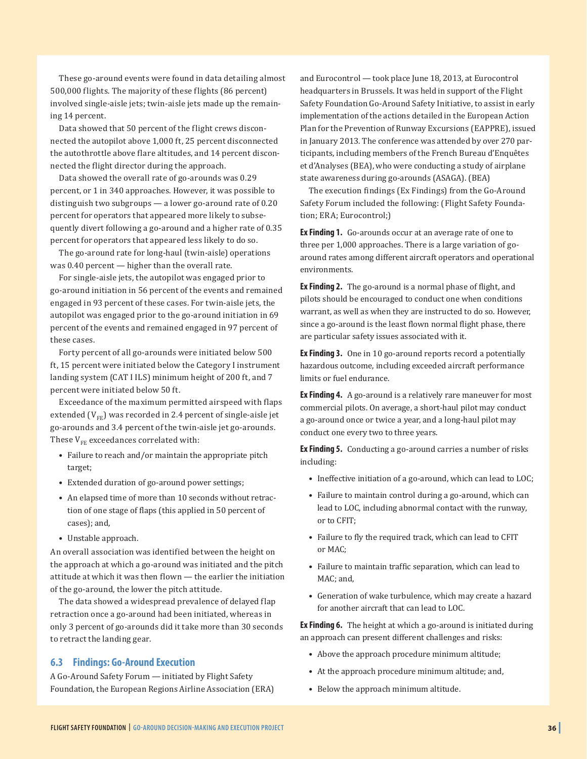These go-around events were found in data detailing almost 500,000 flights. The majority of these flights (86 percent) involved single-aisle jets; twin-aisle jets made up the remaining 14 percent.

Data showed that 50 percent of the flight crews disconnected the autopilot above 1,000 ft, 25 percent disconnected the autothrottle above flare altitudes, and 14 percent disconnected the flight director during the approach.

Data showed the overall rate of go-arounds was 0.29 percent, or 1 in 340 approaches. However, it was possible to distinguish two subgroups — a lower go-around rate of 0.20 percent for operators that appeared more likely to subsequently divert following a go-around and a higher rate of 0.35 percent for operators that appeared less likely to do so.

The go-around rate for long-haul (twin-aisle) operations was 0.40 percent — higher than the overall rate.

For single-aisle jets, the autopilot was engaged prior to go-around initiation in 56 percent of the events and remained engaged in 93 percent of these cases. For twin-aisle jets, the autopilot was engaged prior to the go-around initiation in 69 percent of the events and remained engaged in 97 percent of these cases.

Forty percent of all go-arounds were initiated below 500 ft, 15 percent were initiated below the Category I instrument landing system (CAT I ILS) minimum height of 200 ft, and 7 percent were initiated below 50 ft.

Exceedance of the maximum permitted airspeed with flaps extended  $(V_{FF})$  was recorded in 2.4 percent of single-aisle jet go-arounds and 3.4 percent of the twin-aisle jet go-arounds. These  $V_{FE}$  exceedances correlated with:

- Failure to reach and/or maintain the appropriate pitch target;
- Extended duration of go-around power settings;
- An elapsed time of more than 10 seconds without retraction of one stage of flaps (this applied in 50 percent of cases); and,
- Unstable approach.

An overall association was identified between the height on the approach at which a go-around was initiated and the pitch attitude at which it was then flown — the earlier the initiation of the go-around, the lower the pitch attitude.

The data showed a widespread prevalence of delayed flap retraction once a go-around had been initiated, whereas in only 3 percent of go-arounds did it take more than 30 seconds to retract the landing gear.

#### **6.3 Findings: Go-Around Execution**

A Go-Around Safety Forum — initiated by Flight Safety Foundation, the European Regions Airline Association (ERA) and Eurocontrol — took place June 18, 2013, at Eurocontrol headquarters in Brussels. It was held in support of the Flight Safety Foundation Go-Around Safety Initiative, to assist in early implementation of the actions detailed in the European Action Plan for the Prevention of Runway Excursions (EAPPRE), issued in January 2013. The conference was attended by over 270 participants, including members of the French Bureau d'Enquêtes et d'Analyses (BEA), who were conducting a study of airplane state awareness during go-arounds (ASAGA). (BEA)

The execution findings (Ex Findings) from the Go-Around Safety Forum included the following: (Flight Safety Foundation; ERA; Eurocontrol;)

**Ex Finding 1.** Go-arounds occur at an average rate of one to three per 1,000 approaches. There is a large variation of goaround rates among different aircraft operators and operational environments.

**Ex Finding 2.** The go-around is a normal phase of flight, and pilots should be encouraged to conduct one when conditions warrant, as well as when they are instructed to do so. However, since a go-around is the least flown normal flight phase, there are particular safety issues associated with it.

**Ex Finding 3.** One in 10 go-around reports record a potentially hazardous outcome, including exceeded aircraft performance limits or fuel endurance.

**Ex Finding 4.** A go-around is a relatively rare maneuver for most commercial pilots. On average, a short-haul pilot may conduct a go-around once or twice a year, and a long-haul pilot may conduct one every two to three years.

**Ex Finding 5.** Conducting a go-around carries a number of risks including:

- Ineffective initiation of a go-around, which can lead to LOC;
- Failure to maintain control during a go-around, which can lead to LOC, including abnormal contact with the runway, or to CFIT;
- Failure to fly the required track, which can lead to CFIT or MAC;
- Failure to maintain traffic separation, which can lead to MAC; and,
- Generation of wake turbulence, which may create a hazard for another aircraft that can lead to LOC.

**Ex Finding 6.** The height at which a go-around is initiated during an approach can present different challenges and risks:

- Above the approach procedure minimum altitude;
- At the approach procedure minimum altitude; and,
- Below the approach minimum altitude.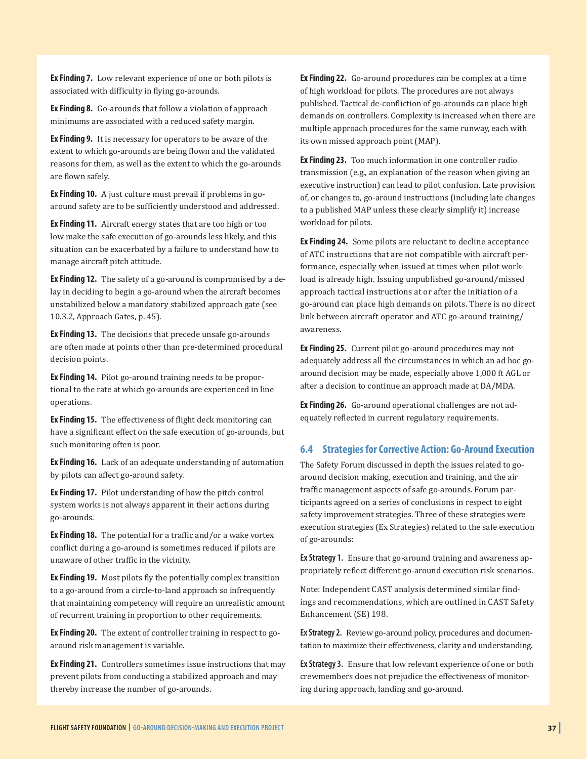**Ex Finding 7.** Low relevant experience of one or both pilots is associated with difficulty in flying go-arounds.

**Ex Finding 8.** Go-arounds that follow a violation of approach minimums are associated with a reduced safety margin.

**Ex Finding 9.** It is necessary for operators to be aware of the extent to which go-arounds are being flown and the validated reasons for them, as well as the extent to which the go-arounds are flown safely.

**Ex Finding 10.** A just culture must prevail if problems in goaround safety are to be sufficiently understood and addressed.

**Ex Finding 11.** Aircraft energy states that are too high or too low make the safe execution of go-arounds less likely, and this situation can be exacerbated by a failure to understand how to manage aircraft pitch attitude.

**Ex Finding 12.** The safety of a go-around is compromised by a delay in deciding to begin a go-around when the aircraft becomes unstabilized below a mandatory stabilized approach gate (see 10.3.2, Approach Gates, p. 45).

**Ex Finding 13.** The decisions that precede unsafe go-arounds are often made at points other than pre-determined procedural decision points.

**Ex Finding 14.** Pilot go-around training needs to be proportional to the rate at which go-arounds are experienced in line operations.

**Ex Finding 15.** The effectiveness of flight deck monitoring can have a significant effect on the safe execution of go-arounds, but such monitoring often is poor.

**Ex Finding 16.** Lack of an adequate understanding of automation by pilots can affect go-around safety.

**Ex Finding 17.** Pilot understanding of how the pitch control system works is not always apparent in their actions during go-arounds.

**Ex Finding 18.** The potential for a traffic and/or a wake vortex conflict during a go-around is sometimes reduced if pilots are unaware of other traffic in the vicinity.

**Ex Finding 19.** Most pilots fly the potentially complex transition to a go-around from a circle-to-land approach so infrequently that maintaining competency will require an unrealistic amount of recurrent training in proportion to other requirements.

**Ex Finding 20.** The extent of controller training in respect to goaround risk management is variable.

**Ex Finding 21.** Controllers sometimes issue instructions that may prevent pilots from conducting a stabilized approach and may thereby increase the number of go-arounds.

**Ex Finding 22.** Go-around procedures can be complex at a time of high workload for pilots. The procedures are not always published. Tactical de-confliction of go-arounds can place high demands on controllers. Complexity is increased when there are multiple approach procedures for the same runway, each with its own missed approach point (MAP).

**Ex Finding 23.** Too much information in one controller radio transmission (e.g., an explanation of the reason when giving an executive instruction) can lead to pilot confusion. Late provision of, or changes to, go-around instructions (including late changes to a published MAP unless these clearly simplify it) increase workload for pilots.

**Ex Finding 24.** Some pilots are reluctant to decline acceptance of ATC instructions that are not compatible with aircraft performance, especially when issued at times when pilot workload is already high. Issuing unpublished go-around/missed approach tactical instructions at or after the initiation of a go-around can place high demands on pilots. There is no direct link between aircraft operator and ATC go-around training/ awareness.

**Ex Finding 25.** Current pilot go-around procedures may not adequately address all the circumstances in which an ad hoc goaround decision may be made, especially above 1,000 ft AGL or after a decision to continue an approach made at DA/MDA.

**Ex Finding 26.** Go-around operational challenges are not adequately reflected in current regulatory requirements.

#### **6.4 Strategies for Corrective Action: Go-Around Execution**

The Safety Forum discussed in depth the issues related to goaround decision making, execution and training, and the air traffic management aspects of safe go-arounds. Forum participants agreed on a series of conclusions in respect to eight safety improvement strategies. Three of these strategies were execution strategies (Ex Strategies) related to the safe execution of go-arounds:

**Ex Strategy 1.** Ensure that go-around training and awareness appropriately reflect different go-around execution risk scenarios.

Note: Independent CAST analysis determined similar findings and recommendations, which are outlined in CAST Safety Enhancement (SE) 198.

**Ex Strategy 2.** Review go-around policy, procedures and documentation to maximize their effectiveness, clarity and understanding.

**Ex Strategy 3.** Ensure that low relevant experience of one or both crewmembers does not prejudice the effectiveness of monitoring during approach, landing and go-around.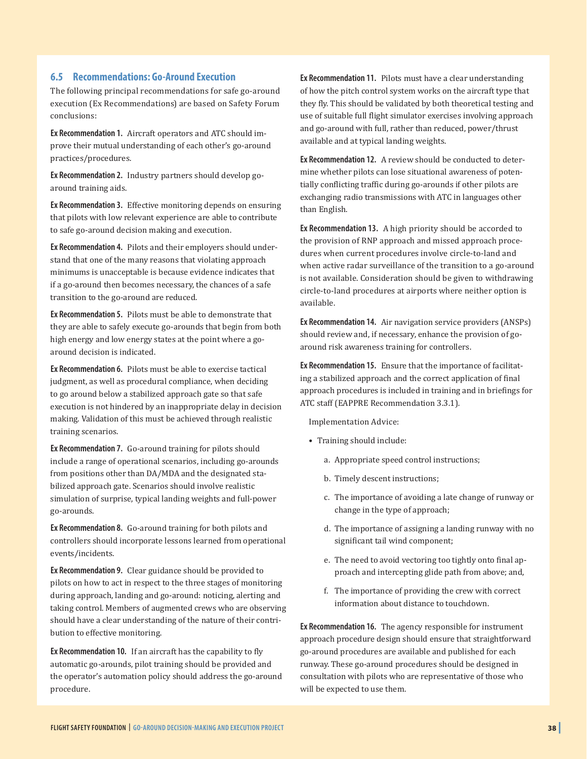#### **6.5 Recommendations: Go-Around Execution**

The following principal recommendations for safe go-around execution (Ex Recommendations) are based on Safety Forum conclusions:

**Ex Recommendation 1.** Aircraft operators and ATC should improve their mutual understanding of each other's go-around practices/procedures.

**Ex Recommendation 2.** Industry partners should develop goaround training aids.

**Ex Recommendation 3.** Effective monitoring depends on ensuring that pilots with low relevant experience are able to contribute to safe go-around decision making and execution.

**Ex Recommendation 4.** Pilots and their employers should understand that one of the many reasons that violating approach minimums is unacceptable is because evidence indicates that if a go-around then becomes necessary, the chances of a safe transition to the go-around are reduced.

**Ex Recommendation 5.** Pilots must be able to demonstrate that they are able to safely execute go-arounds that begin from both high energy and low energy states at the point where a goaround decision is indicated.

**Ex Recommendation 6.** Pilots must be able to exercise tactical judgment, as well as procedural compliance, when deciding to go around below a stabilized approach gate so that safe execution is not hindered by an inappropriate delay in decision making. Validation of this must be achieved through realistic training scenarios.

**Ex Recommendation 7.** Go-around training for pilots should include a range of operational scenarios, including go-arounds from positions other than DA/MDA and the designated stabilized approach gate. Scenarios should involve realistic simulation of surprise, typical landing weights and full-power go-arounds.

**Ex Recommendation 8.** Go-around training for both pilots and controllers should incorporate lessons learned from operational events/incidents.

**Ex Recommendation 9.** Clear guidance should be provided to pilots on how to act in respect to the three stages of monitoring during approach, landing and go-around: noticing, alerting and taking control. Members of augmented crews who are observing should have a clear understanding of the nature of their contribution to effective monitoring.

**Ex Recommendation 10.** If an aircraft has the capability to fly automatic go-arounds, pilot training should be provided and the operator's automation policy should address the go-around procedure.

**Ex Recommendation 11.** Pilots must have a clear understanding of how the pitch control system works on the aircraft type that they fly. This should be validated by both theoretical testing and use of suitable full flight simulator exercises involving approach and go-around with full, rather than reduced, power/thrust available and at typical landing weights.

**Ex Recommendation 12.** A review should be conducted to determine whether pilots can lose situational awareness of potentially conflicting traffic during go-arounds if other pilots are exchanging radio transmissions with ATC in languages other than English.

**Ex Recommendation 13.** A high priority should be accorded to the provision of RNP approach and missed approach procedures when current procedures involve circle-to-land and when active radar surveillance of the transition to a go-around is not available. Consideration should be given to withdrawing circle-to-land procedures at airports where neither option is available.

**Ex Recommendation 14.** Air navigation service providers (ANSPs) should review and, if necessary, enhance the provision of goaround risk awareness training for controllers.

**Ex Recommendation 15.** Ensure that the importance of facilitating a stabilized approach and the correct application of final approach procedures is included in training and in briefings for ATC staff (EAPPRE Recommendation 3.3.1).

Implementation Advice:

- Training should include:
	- a. Appropriate speed control instructions;
	- b. Timely descent instructions;
	- c. The importance of avoiding a late change of runway or change in the type of approach;
	- d. The importance of assigning a landing runway with no significant tail wind component;
	- e. The need to avoid vectoring too tightly onto final approach and intercepting glide path from above; and,
	- f. The importance of providing the crew with correct information about distance to touchdown.

**Ex Recommendation 16.** The agency responsible for instrument approach procedure design should ensure that straightforward go-around procedures are available and published for each runway. These go-around procedures should be designed in consultation with pilots who are representative of those who will be expected to use them.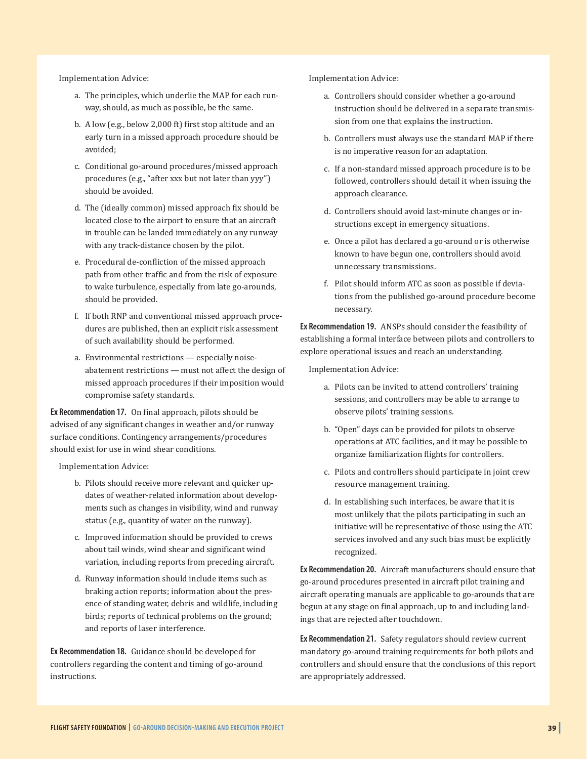Implementation Advice:

- a. The principles, which underlie the MAP for each runway, should, as much as possible, be the same.
- b. A low (e.g., below 2,000 ft) first stop altitude and an early turn in a missed approach procedure should be avoided;
- c. Conditional go-around procedures/missed approach procedures (e.g., "after xxx but not later than yyy") should be avoided.
- d. The (ideally common) missed approach fix should be located close to the airport to ensure that an aircraft in trouble can be landed immediately on any runway with any track-distance chosen by the pilot.
- e. Procedural de-confliction of the missed approach path from other traffic and from the risk of exposure to wake turbulence, especially from late go-arounds, should be provided.
- f. If both RNP and conventional missed approach procedures are published, then an explicit risk assessment of such availability should be performed.
- a. Environmental restrictions especially noiseabatement restrictions — must not affect the design of missed approach procedures if their imposition would compromise safety standards.

**Ex Recommendation 17.** On final approach, pilots should be advised of any significant changes in weather and/or runway surface conditions. Contingency arrangements/procedures should exist for use in wind shear conditions.

Implementation Advice:

- b. Pilots should receive more relevant and quicker updates of weather-related information about developments such as changes in visibility, wind and runway status (e.g., quantity of water on the runway).
- c. Improved information should be provided to crews about tail winds, wind shear and significant wind variation, including reports from preceding aircraft.
- d. Runway information should include items such as braking action reports; information about the presence of standing water, debris and wildlife, including birds; reports of technical problems on the ground; and reports of laser interference.

**Ex Recommendation 18.** Guidance should be developed for controllers regarding the content and timing of go-around instructions.

Implementation Advice:

- a. Controllers should consider whether a go-around instruction should be delivered in a separate transmission from one that explains the instruction.
- b. Controllers must always use the standard MAP if there is no imperative reason for an adaptation.
- c. If a non-standard missed approach procedure is to be followed, controllers should detail it when issuing the approach clearance.
- d. Controllers should avoid last-minute changes or instructions except in emergency situations.
- e. Once a pilot has declared a go-around or is otherwise known to have begun one, controllers should avoid unnecessary transmissions.
- f. Pilot should inform ATC as soon as possible if deviations from the published go-around procedure become necessary.

**Ex Recommendation 19.** ANSPs should consider the feasibility of establishing a formal interface between pilots and controllers to explore operational issues and reach an understanding.

Implementation Advice:

- a. Pilots can be invited to attend controllers' training sessions, and controllers may be able to arrange to observe pilots' training sessions.
- b. "Open" days can be provided for pilots to observe operations at ATC facilities, and it may be possible to organize familiarization flights for controllers.
- c. Pilots and controllers should participate in joint crew resource management training.
- d. In establishing such interfaces, be aware that it is most unlikely that the pilots participating in such an initiative will be representative of those using the ATC services involved and any such bias must be explicitly recognized.

**Ex Recommendation 20.** Aircraft manufacturers should ensure that go-around procedures presented in aircraft pilot training and aircraft operating manuals are applicable to go-arounds that are begun at any stage on final approach, up to and including landings that are rejected after touchdown.

**Ex Recommendation 21.** Safety regulators should review current mandatory go-around training requirements for both pilots and controllers and should ensure that the conclusions of this report are appropriately addressed.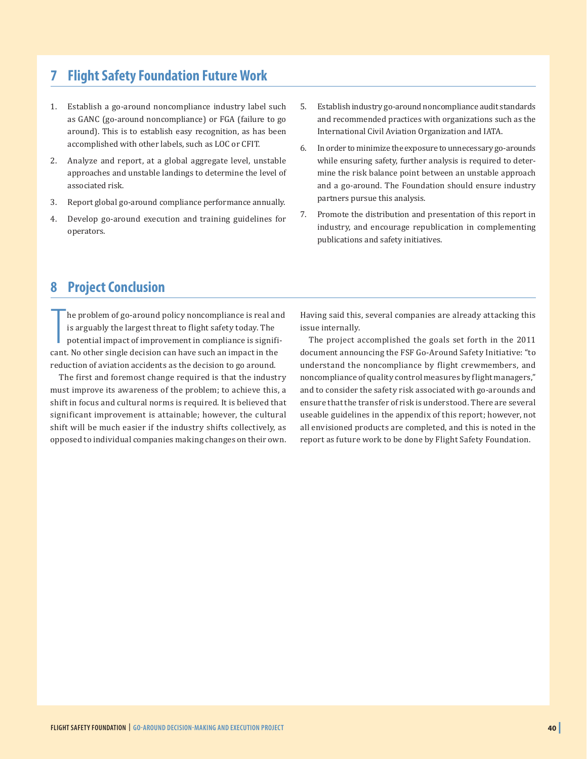## **7 Flight Safety Foundation Future Work**

- 1. Establish a go-around noncompliance industry label such as GANC (go-around noncompliance) or FGA (failure to go around). This is to establish easy recognition, as has been accomplished with other labels, such as LOC or CFIT.
- 2. Analyze and report, at a global aggregate level, unstable approaches and unstable landings to determine the level of associated risk.
- 3. Report global go-around compliance performance annually.
- 4. Develop go-around execution and training guidelines for operators.
- 5. Establish industry go-around noncompliance audit standards and recommended practices with organizations such as the International Civil Aviation Organization and IATA.
- 6. In order to minimize the exposure to unnecessary go-arounds while ensuring safety, further analysis is required to determine the risk balance point between an unstable approach and a go-around. The Foundation should ensure industry partners pursue this analysis.
- 7. Promote the distribution and presentation of this report in industry, and encourage republication in complementing publications and safety initiatives.

## **8 Project Conclusion**

The problem of go-around policy noncompliance is real an is arguably the largest threat to flight safety today. The potential impact of improvement in compliance is significant. No other single decision can have such an im he problem of go-around policy noncompliance is real and is arguably the largest threat to flight safety today. The potential impact of improvement in compliance is signifireduction of aviation accidents as the decision to go around.

The first and foremost change required is that the industry must improve its awareness of the problem; to achieve this, a shift in focus and cultural norms is required. It is believed that significant improvement is attainable; however, the cultural shift will be much easier if the industry shifts collectively, as opposed to individual companies making changes on their own.

Having said this, several companies are already attacking this issue internally.

The project accomplished the goals set forth in the 2011 document announcing the FSF Go-Around Safety Initiative: "to understand the noncompliance by flight crewmembers, and noncompliance of quality control measures by flight managers," and to consider the safety risk associated with go-arounds and ensure that the transfer of risk is understood*.* There are several useable guidelines in the appendix of this report; however, not all envisioned products are completed, and this is noted in the report as future work to be done by Flight Safety Foundation.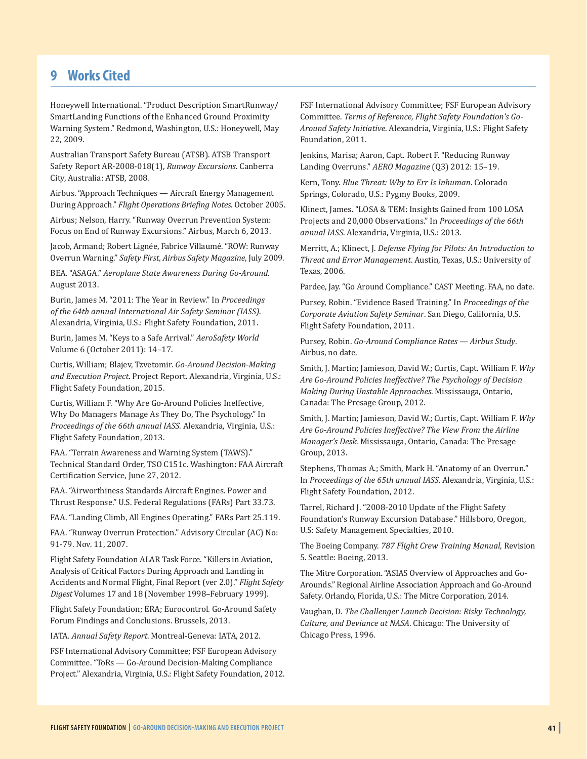### **9 Works Cited**

Honeywell International. "Product Description SmartRunway/ SmartLanding Functions of the Enhanced Ground Proximity Warning System." Redmond, Washington, U.S.: Honeywell, May 22, 2009.

Australian Transport Safety Bureau (ATSB). ATSB Transport Safety Report AR-2008-018(1), *Runway Excursions*. Canberra City, Australia: ATSB, 2008.

Airbus. "Approach Techniques — Aircraft Energy Management During Approach." *Flight Operations Briefing Notes*. October 2005.

Airbus; Nelson, Harry. "Runway Overrun Prevention System: Focus on End of Runway Excursions." Airbus, March 6, 2013.

Jacob, Armand; Robert Lignée, Fabrice Villaumé. "ROW: Runway Overrun Warning." *Safety First, Airbus Safety Magazine*, July 2009.

BEA. "ASAGA." *Aeroplane State Awareness During Go-Around*. August 2013.

Burin, James M. "2011: The Year in Review." In *Proceedings of the 64th annual International Air Safety Seminar (IASS)*. Alexandria, Virginia, U.S.: Flight Safety Foundation, 2011.

Burin, James M. "Keys to a Safe Arrival." *AeroSafety World* Volume 6 (October 2011): 14–17.

Curtis, William; Blajev, Tzvetomir. *Go-Around Decision-Making and Execution Project*. Project Report. Alexandria, Virginia, U.S.: Flight Safety Foundation, 2015.

Curtis, William F. "Why Are Go-Around Policies Ineffective, Why Do Managers Manage As They Do, The Psychology." In *Proceedings of the 66th annual IASS*. Alexandria, Virginia, U.S.: Flight Safety Foundation, 2013.

FAA. "Terrain Awareness and Warning System (TAWS)." Technical Standard Order, TSO C151c. Washington: FAA Aircraft Certification Service, June 27, 2012.

FAA. "Airworthiness Standards Aircraft Engines. Power and Thrust Response." U.S. Federal Regulations (FARs) Part 33.73.

FAA. "Landing Climb, All Engines Operating." FARs Part 25.119.

FAA. "Runway Overrun Protection." Advisory Circular (AC) No: 91-79. Nov. 11, 2007.

Flight Safety Foundation ALAR Task Force. "Killers in Aviation, Analysis of Critical Factors During Approach and Landing in Accidents and Normal Flight, Final Report (ver 2.0)." *Flight Safety Digest* Volumes 17 and 18 (November 1998–February 1999).

Flight Safety Foundation; ERA; Eurocontrol. Go-Around Safety Forum Findings and Conclusions. Brussels, 2013.

IATA. *Annual Safety Report*. Montreal-Geneva: IATA, 2012.

FSF International Advisory Committee; FSF European Advisory Committee. "ToRs — Go-Around Decision-Making Compliance Project." Alexandria, Virginia, U.S.: Flight Safety Foundation, 2012. FSF International Advisory Committee; FSF European Advisory Committee. *Terms of Reference, Flight Safety Foundation's Go-Around Safety Initiative*. Alexandria, Virginia, U.S.: Flight Safety Foundation, 2011.

Jenkins, Marisa; Aaron, Capt. Robert F. "Reducing Runway Landing Overruns." *AERO Magazine* (Q3) 2012: 15–19.

Kern, Tony. *Blue Threat: Why to Err Is Inhuman*. Colorado Springs, Colorado, U.S.: Pygmy Books, 2009.

Klinect, James. "LOSA & TEM: Insights Gained from 100 LOSA Projects and 20,000 Observations." In *Proceedings of the 66th annual IASS*. Alexandria, Virginia, U.S.: 2013.

Merritt, A.; Klinect, J. *Defense Flying for Pilots: An Introduction to Threat and Error Management*. Austin, Texas, U.S.: University of Texas, 2006.

Pardee, Jay. "Go Around Compliance." CAST Meeting. FAA, no date.

Pursey, Robin. "Evidence Based Training." In *Proceedings of the Corporate Aviation Safety Seminar*. San Diego, California, U.S. Flight Safety Foundation, 2011.

Pursey, Robin. *Go-Around Compliance Rates — Airbus Study*. Airbus, no date.

Smith, J. Martin; Jamieson, David W.; Curtis, Capt. William F. *Why Are Go-Around Policies Ineffective? The Psychology of Decision Making During Unstable Approaches*. Mississauga, Ontario, Canada: The Presage Group, 2012.

Smith, J. Martin; Jamieson, David W.; Curtis, Capt. William F. *Why Are Go-Around Policies Ineffective? The View From the Airline Manager's Desk*. Mississauga, Ontario, Canada: The Presage Group, 2013.

Stephens, Thomas A.; Smith, Mark H. "Anatomy of an Overrun." In *Proceedings of the 65th annual IASS*. Alexandria, Virginia, U.S.: Flight Safety Foundation, 2012.

Tarrel, Richard J. "2008-2010 Update of the Flight Safety Foundation's Runway Excursion Database." Hillsboro, Oregon, U.S: Safety Management Specialties, 2010.

The Boeing Company. *787 Flight Crew Training Manual*, Revision 5. Seattle: Boeing, 2013.

The Mitre Corporation. "ASIAS Overview of Approaches and Go-Arounds." Regional Airline Association Approach and Go-Around Safety. Orlando, Florida, U.S.: The Mitre Corporation, 2014.

Vaughan, D. *The Challenger Launch Decision: Risky Technology, Culture, and Deviance at NASA*. Chicago: The University of Chicago Press, 1996.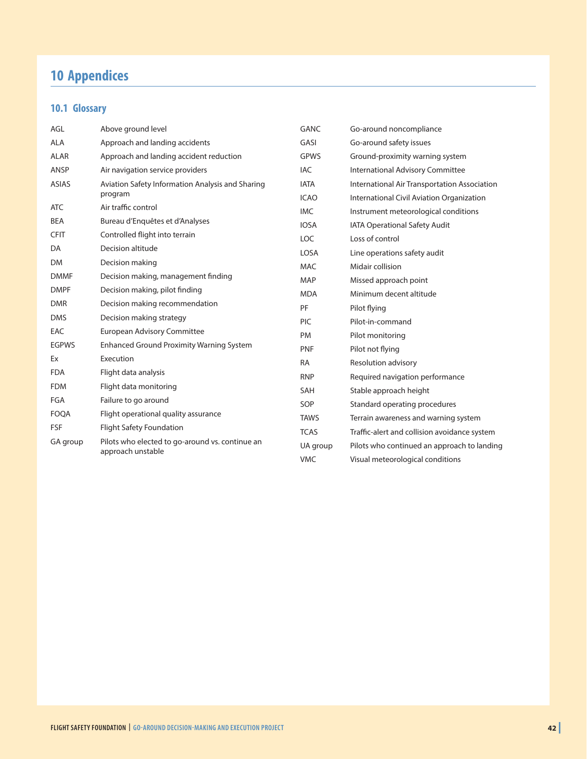## **10 Appendices**

## **10.1 Glossary**

| AGL          | Above ground level                               | <b>GANC</b> | Go-around noncompliance                      |
|--------------|--------------------------------------------------|-------------|----------------------------------------------|
| <b>ALA</b>   | Approach and landing accidents                   | GASI        | Go-around safety issues                      |
| <b>ALAR</b>  | Approach and landing accident reduction          | <b>GPWS</b> | Ground-proximity warning system              |
| ANSP         | Air navigation service providers                 | <b>IAC</b>  | International Advisory Committee             |
| <b>ASIAS</b> | Aviation Safety Information Analysis and Sharing | <b>IATA</b> | International Air Transportation Association |
|              | program                                          | <b>ICAO</b> | International Civil Aviation Organization    |
| <b>ATC</b>   | Air traffic control                              | <b>IMC</b>  | Instrument meteorological conditions         |
| <b>BEA</b>   | Bureau d'Enquêtes et d'Analyses                  | <b>IOSA</b> | <b>IATA Operational Safety Audit</b>         |
| <b>CFIT</b>  | Controlled flight into terrain                   | <b>LOC</b>  | Loss of control                              |
| DA           | Decision altitude                                | <b>LOSA</b> | Line operations safety audit                 |
| <b>DM</b>    | Decision making                                  | <b>MAC</b>  | Midair collision                             |
| <b>DMMF</b>  | Decision making, management finding              | <b>MAP</b>  | Missed approach point                        |
| <b>DMPF</b>  | Decision making, pilot finding                   | <b>MDA</b>  | Minimum decent altitude                      |
| <b>DMR</b>   | Decision making recommendation                   | PF          | Pilot flying                                 |
| <b>DMS</b>   | Decision making strategy                         | PIC         | Pilot-in-command                             |
| EAC          | <b>European Advisory Committee</b>               | <b>PM</b>   | Pilot monitoring                             |
| <b>EGPWS</b> | <b>Enhanced Ground Proximity Warning System</b>  | <b>PNF</b>  | Pilot not flying                             |
| Ex           | Execution                                        | <b>RA</b>   | Resolution advisory                          |
| <b>FDA</b>   | Flight data analysis                             | <b>RNP</b>  | Required navigation performance              |
| <b>FDM</b>   | Flight data monitoring                           | SAH         | Stable approach height                       |
| FGA          | Failure to go around                             | SOP         | Standard operating procedures                |
| <b>FOQA</b>  | Flight operational quality assurance             | <b>TAWS</b> | Terrain awareness and warning system         |
| <b>FSF</b>   | Flight Safety Foundation                         | <b>TCAS</b> | Traffic-alert and collision avoidance system |
| GA group     | Pilots who elected to go-around vs. continue an  | UA group    | Pilots who continued an approach to landing  |
|              | approach unstable                                | <b>VMC</b>  | Visual meteorological conditions             |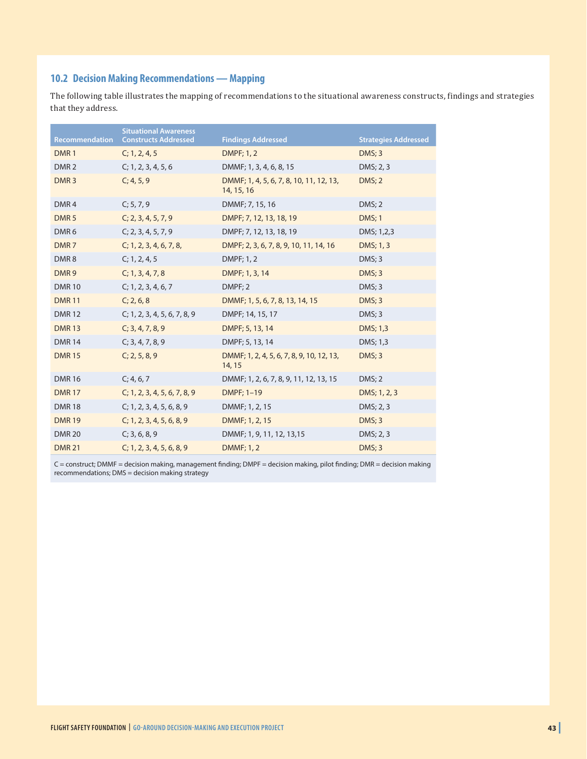#### **10.2 Decision Making Recommendations — Mapping**

The following table illustrates the mapping of recommendations to the situational awareness constructs, findings and strategies that they address.

| <b>Recommendation</b> | <b>Situational Awareness</b><br><b>Constructs Addressed</b> | <b>Findings Addressed</b>                             | <b>Strategies Addressed</b> |
|-----------------------|-------------------------------------------------------------|-------------------------------------------------------|-----------------------------|
| DMR <sub>1</sub>      | C; 1, 2, 4, 5                                               | <b>DMPF</b> ; 1, 2                                    | DMS; 3                      |
| DMR <sub>2</sub>      | C; 1, 2, 3, 4, 5, 6                                         | DMMF; 1, 3, 4, 6, 8, 15                               | DMS; 2, 3                   |
| DMR <sub>3</sub>      | C; 4, 5, 9                                                  | DMMF; 1, 4, 5, 6, 7, 8, 10, 11, 12, 13,<br>14, 15, 16 | DMS; 2                      |
| DMR <sub>4</sub>      | C; 5, 7, 9                                                  | DMMF; 7, 15, 16                                       | DMS; 2                      |
| DMR <sub>5</sub>      | C; 2, 3, 4, 5, 7, 9                                         | DMPF; 7, 12, 13, 18, 19                               | <b>DMS</b> ; 1              |
| DMR <sub>6</sub>      | C; 2, 3, 4, 5, 7, 9                                         | DMPF; 7, 12, 13, 18, 19                               | DMS; 1,2,3                  |
| DMR <sub>7</sub>      | C; 1, 2, 3, 4, 6, 7, 8,                                     | DMPF; 2, 3, 6, 7, 8, 9, 10, 11, 14, 16                | DMS; 1, 3                   |
| DMR8                  | C; 1, 2, 4, 5                                               | DMPF; 1, 2                                            | DMS; 3                      |
| DMR9                  | C; 1, 3, 4, 7, 8                                            | DMPF; 1, 3, 14                                        | DMS; 3                      |
| <b>DMR10</b>          | C; 1, 2, 3, 4, 6, 7                                         | DMPF; 2                                               | DMS; 3                      |
| <b>DMR11</b>          | C; 2, 6, 8                                                  | DMMF; 1, 5, 6, 7, 8, 13, 14, 15                       | DMS; 3                      |
| <b>DMR12</b>          | C; 1, 2, 3, 4, 5, 6, 7, 8, 9                                | DMPF; 14, 15, 17                                      | DMS; 3                      |
| <b>DMR13</b>          | C; 3, 4, 7, 8, 9                                            | DMPF; 5, 13, 14                                       | DMS; 1,3                    |
| <b>DMR14</b>          | C; 3, 4, 7, 8, 9                                            | DMPF; 5, 13, 14                                       | DMS; 1,3                    |
| <b>DMR15</b>          | C; 2, 5, 8, 9                                               | DMMF; 1, 2, 4, 5, 6, 7, 8, 9, 10, 12, 13,<br>14, 15   | DMS; 3                      |
| <b>DMR16</b>          | C; 4, 6, 7                                                  | DMMF; 1, 2, 6, 7, 8, 9, 11, 12, 13, 15                | DMS: 2                      |
| <b>DMR17</b>          | C; 1, 2, 3, 4, 5, 6, 7, 8, 9                                | DMPF; 1-19                                            | DMS; 1, 2, 3                |
| <b>DMR18</b>          | C; 1, 2, 3, 4, 5, 6, 8, 9                                   | DMMF; 1, 2, 15                                        | DMS; 2, 3                   |
| <b>DMR19</b>          | C; 1, 2, 3, 4, 5, 6, 8, 9                                   | DMMF; 1, 2, 15                                        | DMS; 3                      |
| <b>DMR 20</b>         | C; 3, 6, 8, 9                                               | DMMF; 1, 9, 11, 12, 13, 15                            | DMS; 2, 3                   |
| <b>DMR 21</b>         | C; 1, 2, 3, 4, 5, 6, 8, 9                                   | DMMF; 1, 2                                            | DMS; 3                      |

C = construct; DMMF = decision making, management finding; DMPF = decision making, pilot finding; DMR = decision making recommendations; DMS = decision making strategy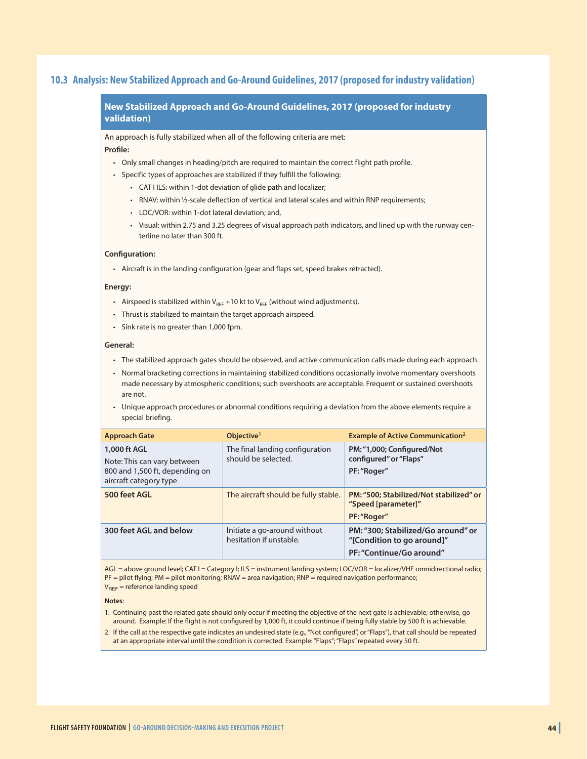#### **10.3 Analysis: New Stabilized Approach and Go-Around Guidelines, 2017 (proposed for industry validation)**

#### **New Stabilized Approach and Go-Around Guidelines, 2017 (proposed for industry validation)**

An approach is fully stabilized when all of the following criteria are met: **Profile:**

- Only small changes in heading/pitch are required to maintain the correct flight path profile.
- Specific types of approaches are stabilized if they fulfill the following:
	- CAT I ILS: within 1-dot deviation of glide path and localizer;
	- RNAV: within ½-scale deflection of vertical and lateral scales and within RNP requirements;
	- LOC/VOR: within 1-dot lateral deviation; and,
	- Visual: within 2.75 and 3.25 degrees of visual approach path indicators, and lined up with the runway centerline no later than 300 ft.

#### **Configuration:**

• Aircraft is in the landing configuration (gear and flaps set, speed brakes retracted).

#### **Energy:**

- Airspeed is stabilized within  $V_{REF}$  +10 kt to  $V_{REF}$  (without wind adjustments).
- Thrust is stabilized to maintain the target approach airspeed.
- Sink rate is no greater than 1,000 fpm.

#### **General:**

- The stabilized approach gates should be observed, and active communication calls made during each approach.
- Normal bracketing corrections in maintaining stabilized conditions occasionally involve momentary overshoots made necessary by atmospheric conditions; such overshoots are acceptable. Frequent or sustained overshoots are not.
- Unique approach procedures or abnormal conditions requiring a deviation from the above elements require a special briefing.

| <b>Approach Gate</b>                                                                                    | Objective <sup>1</sup>                                  | <b>Example of Active Communication<sup>2</sup></b>                                           |
|---------------------------------------------------------------------------------------------------------|---------------------------------------------------------|----------------------------------------------------------------------------------------------|
| 1,000 ft AGL<br>Note: This can vary between<br>800 and 1,500 ft, depending on<br>aircraft category type | The final landing configuration<br>should be selected.  | PM: "1,000; Configured/Not<br>configured" or "Flaps"<br>PF: "Roger"                          |
| 500 feet AGL                                                                                            | The aircraft should be fully stable.                    | PM: "500; Stabilized/Not stabilized" or<br>"Speed [parameter]"<br>PF: "Roger"                |
| 300 feet AGL and below                                                                                  | Initiate a go-around without<br>hesitation if unstable. | PM: "300; Stabilized/Go around" or<br>"[Condition to go around]"<br>PF: "Continue/Go around" |

AGL = above ground level; CAT I = Category I; ILS = instrument landing system; LOC/VOR = localizer/VHF omnidirectional radio; PF = pilot flying; PM = pilot monitoring; RNAV = area navigation; RNP = required navigation performance;  $V_{BEF}$  = reference landing speed

#### **Notes**:

- 1. Continuing past the related gate should only occur if meeting the objective of the next gate is achievable; otherwise, go around. Example: If the flight is not configured by 1,000 ft, it could continue if being fully stable by 500 ft is achievable.
- 2. If the call at the respective gate indicates an undesired state (e.g., "Not configured", or "Flaps"), that call should be repeated at an appropriate interval until the condition is corrected. Example: "Flaps"; "Flaps" repeated every 50 ft.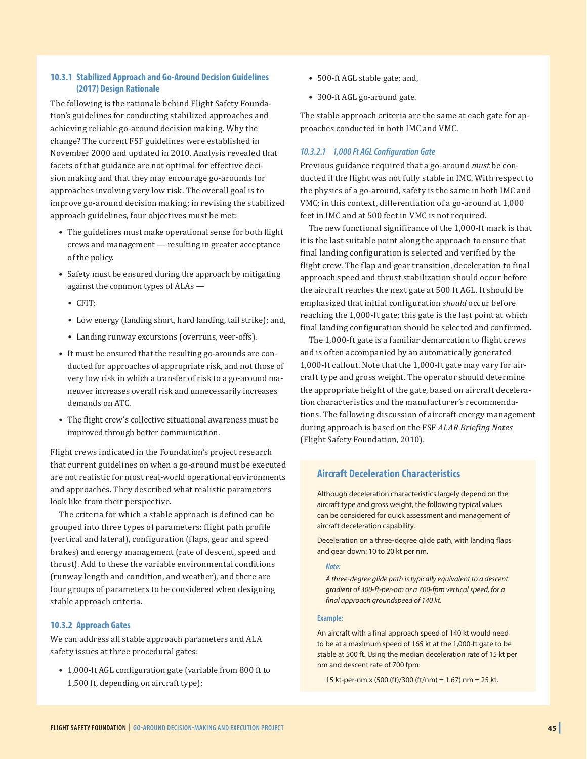#### **10.3.1 Stabilized Approach and Go-Around Decision Guidelines (2017) Design Rationale**

The following is the rationale behind Flight Safety Foundation's guidelines for conducting stabilized approaches and achieving reliable go-around decision making. Why the change? The current FSF guidelines were established in November 2000 and updated in 2010. Analysis revealed that facets of that guidance are not optimal for effective decision making and that they may encourage go-arounds for approaches involving very low risk. The overall goal is to improve go-around decision making; in revising the stabilized approach guidelines, four objectives must be met:

- The guidelines must make operational sense for both flight crews and management — resulting in greater acceptance of the policy.
- Safety must be ensured during the approach by mitigating against the common types of ALAs —
	- CFIT;
	- Low energy (landing short, hard landing, tail strike); and,
	- Landing runway excursions (overruns, veer-offs).
- It must be ensured that the resulting go-arounds are conducted for approaches of appropriate risk, and not those of very low risk in which a transfer of risk to a go-around maneuver increases overall risk and unnecessarily increases demands on ATC.
- The flight crew's collective situational awareness must be improved through better communication.

Flight crews indicated in the Foundation's project research that current guidelines on when a go-around must be executed are not realistic for most real-world operational environments and approaches. They described what realistic parameters look like from their perspective.

The criteria for which a stable approach is defined can be grouped into three types of parameters: flight path profile (vertical and lateral), configuration (flaps, gear and speed brakes) and energy management (rate of descent, speed and thrust). Add to these the variable environmental conditions (runway length and condition, and weather), and there are four groups of parameters to be considered when designing stable approach criteria.

#### **10.3.2 Approach Gates**

We can address all stable approach parameters and ALA safety issues at three procedural gates:

• 1,000-ft AGL configuration gate (variable from 800 ft to 1,500 ft, depending on aircraft type);

- 500-ft AGL stable gate; and,
- 300-ft AGL go-around gate.

The stable approach criteria are the same at each gate for approaches conducted in both IMC and VMC.

#### *10.3.2.1 1,000 Ft AGL Configuration Gate*

Previous guidance required that a go-around *must* be conducted if the flight was not fully stable in IMC. With respect to the physics of a go-around, safety is the same in both IMC and VMC; in this context, differentiation of a go-around at 1,000 feet in IMC and at 500 feet in VMC is not required.

The new functional significance of the 1,000-ft mark is that it is the last suitable point along the approach to ensure that final landing configuration is selected and verified by the flight crew. The flap and gear transition, deceleration to final approach speed and thrust stabilization should occur before the aircraft reaches the next gate at 500 ft AGL. It should be emphasized that initial configuration *should* occur before reaching the 1,000-ft gate; this gate is the last point at which final landing configuration should be selected and confirmed.

The 1,000-ft gate is a familiar demarcation to flight crews and is often accompanied by an automatically generated 1,000-ft callout. Note that the 1,000-ft gate may vary for aircraft type and gross weight. The operator should determine the appropriate height of the gate, based on aircraft deceleration characteristics and the manufacturer's recommendations. The following discussion of aircraft energy management during approach is based on the FSF *ALAR Briefing Notes* (Flight Safety Foundation, 2010).

#### **Aircraft Deceleration Characteristics**

Although deceleration characteristics largely depend on the aircraft type and gross weight, the following typical values can be considered for quick assessment and management of aircraft deceleration capability.

Deceleration on a three-degree glide path, with landing flaps and gear down: 10 to 20 kt per nm.

#### *Note:*

*A three-degree glide path is typically equivalent to a descent gradient of 300-ft-per-nm or a 700-fpm vertical speed, for a final approach groundspeed of 140 kt.*

#### **Example:**

An aircraft with a final approach speed of 140 kt would need to be at a maximum speed of 165 kt at the 1,000-ft gate to be stable at 500 ft. Using the median deceleration rate of 15 kt per nm and descent rate of 700 fpm:

15 kt-per-nm x (500 (ft)/300 (ft/nm) = 1.67) nm = 25 kt.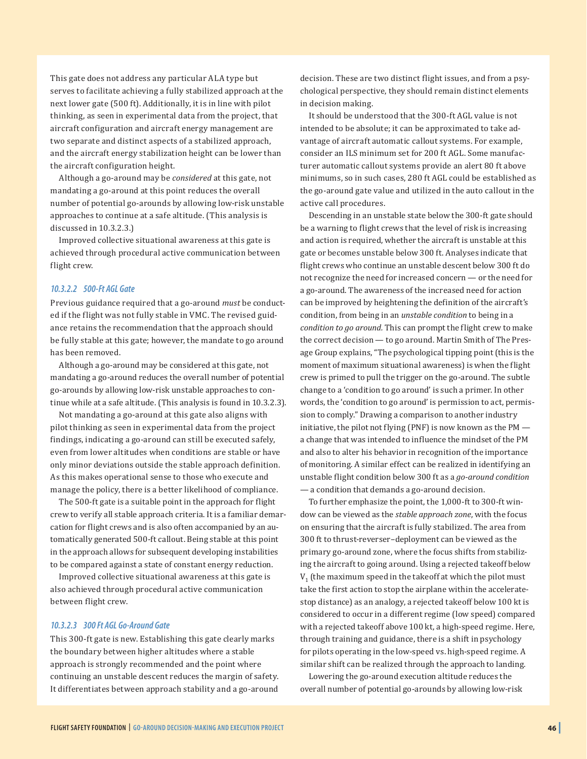This gate does not address any particular ALA type but serves to facilitate achieving a fully stabilized approach at the next lower gate (500 ft). Additionally, it is in line with pilot thinking, as seen in experimental data from the project, that aircraft configuration and aircraft energy management are two separate and distinct aspects of a stabilized approach, and the aircraft energy stabilization height can be lower than the aircraft configuration height.

Although a go-around may be *considered* at this gate, not mandating a go-around at this point reduces the overall number of potential go-arounds by allowing low-risk unstable approaches to continue at a safe altitude. (This analysis is discussed in 10.3.2.3.)

Improved collective situational awareness at this gate is achieved through procedural active communication between flight crew.

#### *10.3.2.2 500-Ft AGL Gate*

Previous guidance required that a go-around *must* be conducted if the flight was not fully stable in VMC. The revised guidance retains the recommendation that the approach should be fully stable at this gate; however, the mandate to go around has been removed.

Although a go-around may be considered at this gate, not mandating a go-around reduces the overall number of potential go-arounds by allowing low-risk unstable approaches to continue while at a safe altitude. (This analysis is found in 10.3.2.3).

Not mandating a go-around at this gate also aligns with pilot thinking as seen in experimental data from the project findings, indicating a go-around can still be executed safely, even from lower altitudes when conditions are stable or have only minor deviations outside the stable approach definition. As this makes operational sense to those who execute and manage the policy, there is a better likelihood of compliance.

The 500-ft gate is a suitable point in the approach for flight crew to verify all stable approach criteria. It is a familiar demarcation for flight crews and is also often accompanied by an automatically generated 500-ft callout. Being stable at this point in the approach allows for subsequent developing instabilities to be compared against a state of constant energy reduction.

Improved collective situational awareness at this gate is also achieved through procedural active communication between flight crew.

#### *10.3.2.3 300 Ft AGL Go-Around Gate*

This 300-ft gate is new. Establishing this gate clearly marks the boundary between higher altitudes where a stable approach is strongly recommended and the point where continuing an unstable descent reduces the margin of safety. It differentiates between approach stability and a go-around decision. These are two distinct flight issues, and from a psychological perspective, they should remain distinct elements in decision making.

It should be understood that the 300-ft AGL value is not intended to be absolute; it can be approximated to take advantage of aircraft automatic callout systems. For example, consider an ILS minimum set for 200 ft AGL. Some manufacturer automatic callout systems provide an alert 80 ft above minimums, so in such cases, 280 ft AGL could be established as the go-around gate value and utilized in the auto callout in the active call procedures.

Descending in an unstable state below the 300-ft gate should be a warning to flight crews that the level of risk is increasing and action is required, whether the aircraft is unstable at this gate or becomes unstable below 300 ft. Analyses indicate that flight crews who continue an unstable descent below 300 ft do not recognize the need for increased concern — or the need for a go-around. The awareness of the increased need for action can be improved by heightening the definition of the aircraft's condition, from being in an *unstable condition* to being in a *condition to go around.* This can prompt the flight crew to make the correct decision — to go around. Martin Smith of The Presage Group explains, "The psychological tipping point (this is the moment of maximum situational awareness) is when the flight crew is primed to pull the trigger on the go-around. The subtle change to a 'condition to go around' is such a primer. In other words, the 'condition to go around' is permission to act, permission to comply." Drawing a comparison to another industry initiative, the pilot not flying (PNF) is now known as the PM a change that was intended to influence the mindset of the PM and also to alter his behavior in recognition of the importance of monitoring. A similar effect can be realized in identifying an unstable flight condition below 300 ft as a *go-around condition* — a condition that demands a go-around decision.

To further emphasize the point, the 1,000-ft to 300-ft window can be viewed as the *stable approach zone*, with the focus on ensuring that the aircraft is fully stabilized. The area from 300 ft to thrust-reverser–deployment can be viewed as the primary go-around zone, where the focus shifts from stabilizing the aircraft to going around. Using a rejected takeoff below  $V_1$  (the maximum speed in the takeoff at which the pilot must take the first action to stop the airplane within the acceleratestop distance) as an analogy, a rejected takeoff below 100 kt is considered to occur in a different regime (low speed) compared with a rejected takeoff above 100 kt, a high-speed regime. Here, through training and guidance, there is a shift in psychology for pilots operating in the low-speed vs. high-speed regime. A similar shift can be realized through the approach to landing.

Lowering the go-around execution altitude reduces the overall number of potential go-arounds by allowing low-risk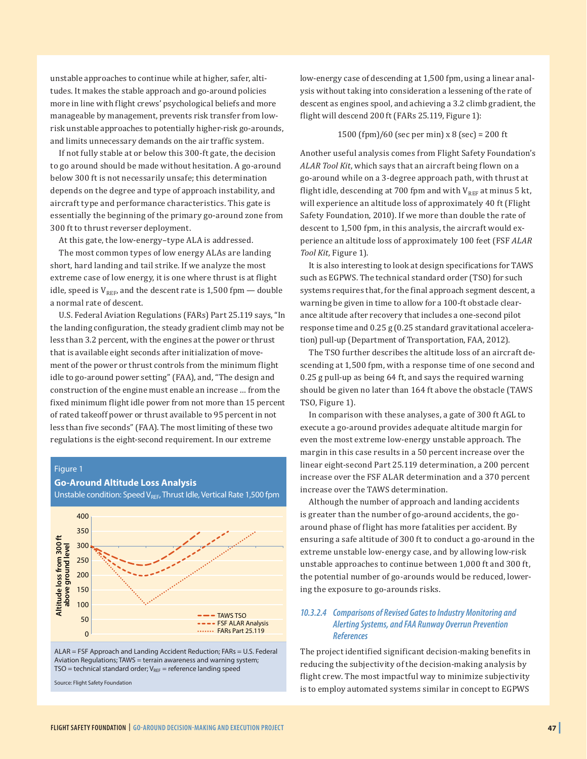unstable approaches to continue while at higher, safer, altitudes. It makes the stable approach and go-around policies more in line with flight crews' psychological beliefs and more manageable by management, prevents risk transfer from lowrisk unstable approaches to potentially higher-risk go-arounds, and limits unnecessary demands on the air traffic system.

If not fully stable at or below this 300-ft gate, the decision to go around should be made without hesitation. A go-around below 300 ft is not necessarily unsafe; this determination depends on the degree and type of approach instability, and aircraft type and performance characteristics. This gate is essentially the beginning of the primary go-around zone from 300 ft to thrust reverser deployment.

At this gate, the low-energy–type ALA is addressed.

The most common types of low energy ALAs are landing short, hard landing and tail strike. If we analyze the most extreme case of low energy, it is one where thrust is at flight idle, speed is  $V_{REF}$ , and the descent rate is 1,500 fpm — double a normal rate of descent.

U.S. Federal Aviation Regulations (FARs) Part 25.119 says, "In the landing configuration, the steady gradient climb may not be less than 3.2 percent, with the engines at the power or thrust that is available eight seconds after initialization of movement of the power or thrust controls from the minimum flight idle to go-around power setting" (FAA), and, "The design and construction of the engine must enable an increase … from the fixed minimum flight idle power from not more than 15 percent of rated takeoff power or thrust available to 95 percent in not less than five seconds" (FAA). The most limiting of these two regulations is the eight-second requirement. In our extreme

#### Figure 1

#### **Go-Around Altitude Loss Analysis**

Unstable condition: Speed VREF, Thrust Idle, Vertical Rate 1,500 fpm



ALAR = FSF Approach and Landing Accident Reduction; FARs = U.S. Federal Aviation Regulations; TAWS = terrain awareness and warning system;  $TSO =$  technical standard order;  $V_{REF} =$  reference landing speed

Source: Flight Safety Foundation

low-energy case of descending at 1,500 fpm, using a linear analysis without taking into consideration a lessening of the rate of descent as engines spool, and achieving a 3.2 climb gradient, the flight will descend 200 ft (FARs 25.119, Figure 1):

#### 1500 (fpm)/60 (sec per min) x 8 (sec) = 200 ft

Another useful analysis comes from Flight Safety Foundation's *ALAR Tool Kit*, which says that an aircraft being flown on a go-around while on a 3-degree approach path, with thrust at flight idle, descending at 700 fpm and with  $V_{REF}$  at minus 5 kt, will experience an altitude loss of approximately 40 ft (Flight Safety Foundation, 2010). If we more than double the rate of descent to 1,500 fpm, in this analysis, the aircraft would experience an altitude loss of approximately 100 feet (FSF *ALAR Tool Kit,* Figure 1).

It is also interesting to look at design specifications for TAWS such as EGPWS. The technical standard order (TSO) for such systems requires that, for the final approach segment descent, a warning be given in time to allow for a 100-ft obstacle clearance altitude after recovery that includes a one-second pilot response time and 0.25 g (0.25 standard gravitational acceleration) pull-up (Department of Transportation, FAA, 2012).

The TSO further describes the altitude loss of an aircraft descending at 1,500 fpm, with a response time of one second and 0.25 g pull-up as being 64 ft, and says the required warning should be given no later than 164 ft above the obstacle (TAWS TSO, Figure 1).

In comparison with these analyses, a gate of 300 ft AGL to execute a go-around provides adequate altitude margin for even the most extreme low-energy unstable approach. The margin in this case results in a 50 percent increase over the linear eight-second Part 25.119 determination, a 200 percent increase over the FSF ALAR determination and a 370 percent increase over the TAWS determination.

Although the number of approach and landing accidents is greater than the number of go-around accidents, the goaround phase of flight has more fatalities per accident. By ensuring a safe altitude of 300 ft to conduct a go-around in the extreme unstable low-energy case, and by allowing low-risk unstable approaches to continue between 1,000 ft and 300 ft, the potential number of go-arounds would be reduced, lowering the exposure to go-arounds risks.

#### *10.3.2.4 Comparisons of Revised Gates to Industry Monitoring and Alerting Systems, and FAA Runway Overrun Prevention References*

The project identified significant decision-making benefits in reducing the subjectivity of the decision-making analysis by flight crew. The most impactful way to minimize subjectivity is to employ automated systems similar in concept to EGPWS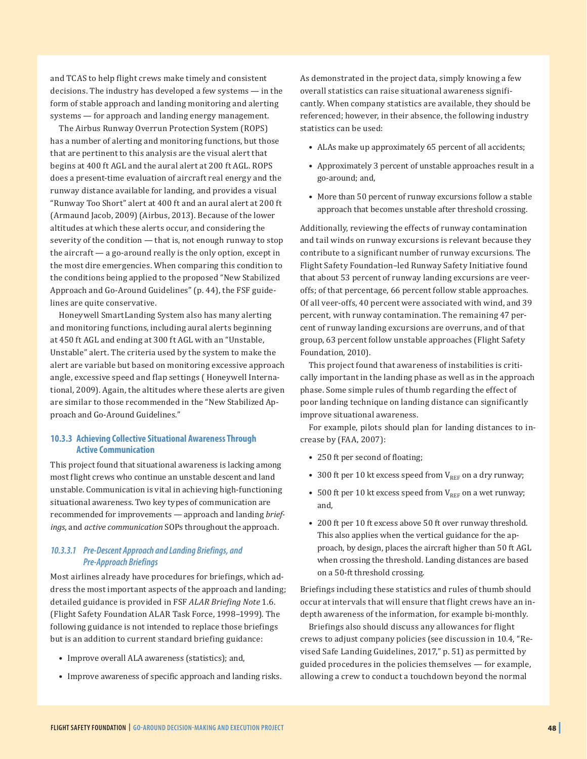and TCAS to help flight crews make timely and consistent decisions. The industry has developed a few systems — in the form of stable approach and landing monitoring and alerting systems — for approach and landing energy management.

The Airbus Runway Overrun Protection System (ROPS) has a number of alerting and monitoring functions, but those that are pertinent to this analysis are the visual alert that begins at 400 ft AGL and the aural alert at 200 ft AGL. ROPS does a present-time evaluation of aircraft real energy and the runway distance available for landing, and provides a visual "Runway Too Short" alert at 400 ft and an aural alert at 200 ft (Armaund Jacob, 2009) (Airbus, 2013). Because of the lower altitudes at which these alerts occur, and considering the severity of the condition — that is, not enough runway to stop the aircraft — a go-around really is the only option, except in the most dire emergencies. When comparing this condition to the conditions being applied to the proposed "New Stabilized Approach and Go-Around Guidelines" (p. 44), the FSF guidelines are quite conservative.

Honeywell SmartLanding System also has many alerting and monitoring functions, including aural alerts beginning at 450 ft AGL and ending at 300 ft AGL with an "Unstable, Unstable" alert. The criteria used by the system to make the alert are variable but based on monitoring excessive approach angle, excessive speed and flap settings ( Honeywell International, 2009). Again, the altitudes where these alerts are given are similar to those recommended in the "New Stabilized Approach and Go-Around Guidelines."

#### **10.3.3 Achieving Collective Situational Awareness Through Active Communication**

This project found that situational awareness is lacking among most flight crews who continue an unstable descent and land unstable. Communication is vital in achieving high-functioning situational awareness. Two key types of communication are recommended for improvements — approach and landing *briefings,* and *active communication* SOPs throughout the approach.

#### *10.3.3.1 Pre-Descent Approach and Landing Briefings, and Pre-Approach Briefings*

Most airlines already have procedures for briefings, which address the most important aspects of the approach and landing; detailed guidance is provided in FSF *ALAR Briefing Note* 1.6. (Flight Safety Foundation ALAR Task Force, 1998–1999). The following guidance is not intended to replace those briefings but is an addition to current standard briefing guidance:

- Improve overall ALA awareness (statistics); and,
- Improve awareness of specific approach and landing risks.

As demonstrated in the project data, simply knowing a few overall statistics can raise situational awareness significantly. When company statistics are available, they should be referenced; however, in their absence, the following industry statistics can be used:

- ALAs make up approximately 65 percent of all accidents;
- Approximately 3 percent of unstable approaches result in a go-around; and,
- More than 50 percent of runway excursions follow a stable approach that becomes unstable after threshold crossing.

Additionally, reviewing the effects of runway contamination and tail winds on runway excursions is relevant because they contribute to a significant number of runway excursions. The Flight Safety Foundation–led Runway Safety Initiative found that about 53 percent of runway landing excursions are veeroffs; of that percentage, 66 percent follow stable approaches. Of all veer-offs, 40 percent were associated with wind, and 39 percent, with runway contamination. The remaining 47 percent of runway landing excursions are overruns, and of that group, 63 percent follow unstable approaches (Flight Safety Foundation, 2010).

This project found that awareness of instabilities is critically important in the landing phase as well as in the approach phase. Some simple rules of thumb regarding the effect of poor landing technique on landing distance can significantly improve situational awareness.

For example, pilots should plan for landing distances to increase by (FAA, 2007):

- 250 ft per second of floating;
- 300 ft per 10 kt excess speed from  $V_{REF}$  on a dry runway;
- 500 ft per 10 kt excess speed from  $V_{REF}$  on a wet runway; and,
- 200 ft per 10 ft excess above 50 ft over runway threshold. This also applies when the vertical guidance for the approach, by design, places the aircraft higher than 50 ft AGL when crossing the threshold. Landing distances are based on a 50-ft threshold crossing.

Briefings including these statistics and rules of thumb should occur at intervals that will ensure that flight crews have an indepth awareness of the information, for example bi-monthly.

Briefings also should discuss any allowances for flight crews to adjust company policies (see discussion in 10.4, "Revised Safe Landing Guidelines, 2017," p. 51) as permitted by guided procedures in the policies themselves — for example, allowing a crew to conduct a touchdown beyond the normal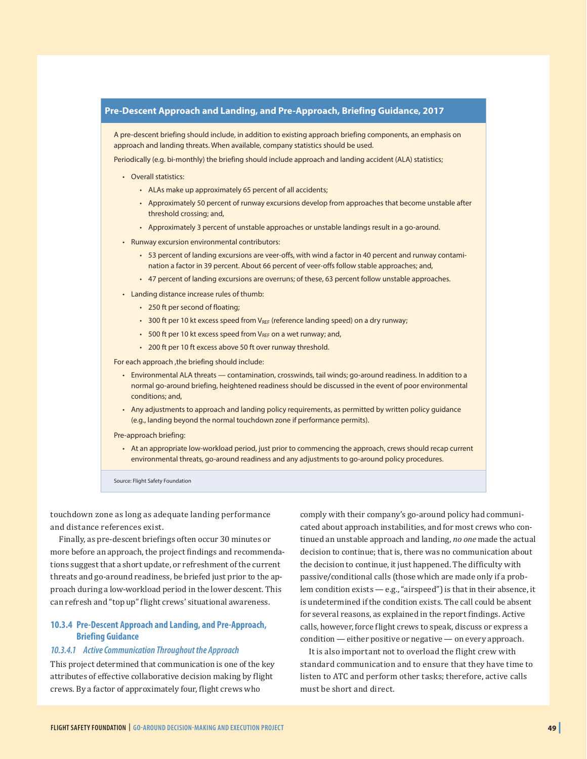

touchdown zone as long as adequate landing performance and distance references exist.

Finally, as pre-descent briefings often occur 30 minutes or more before an approach, the project findings and recommendations suggest that a short update, or refreshment of the current threats and go-around readiness, be briefed just prior to the approach during a low-workload period in the lower descent. This can refresh and "top up" flight crews' situational awareness.

#### **10.3.4 Pre-Descent Approach and Landing, and Pre-Approach, Briefing Guidance**

#### *10.3.4.1 Active Communication Throughout the Approach*

This project determined that communication is one of the key attributes of effective collaborative decision making by flight crews. By a factor of approximately four, flight crews who

comply with their company's go-around policy had communicated about approach instabilities, and for most crews who continued an unstable approach and landing, *no one* made the actual decision to continue; that is, there was no communication about the decision to continue, it just happened. The difficulty with passive/conditional calls (those which are made only if a problem condition exists — e.g., "airspeed") is that in their absence, it is undetermined if the condition exists. The call could be absent for several reasons, as explained in the report findings. Active calls, however, force flight crews to speak, discuss or express a condition — either positive or negative — on every approach.

It is also important not to overload the flight crew with standard communication and to ensure that they have time to listen to ATC and perform other tasks; therefore, active calls must be short and direct.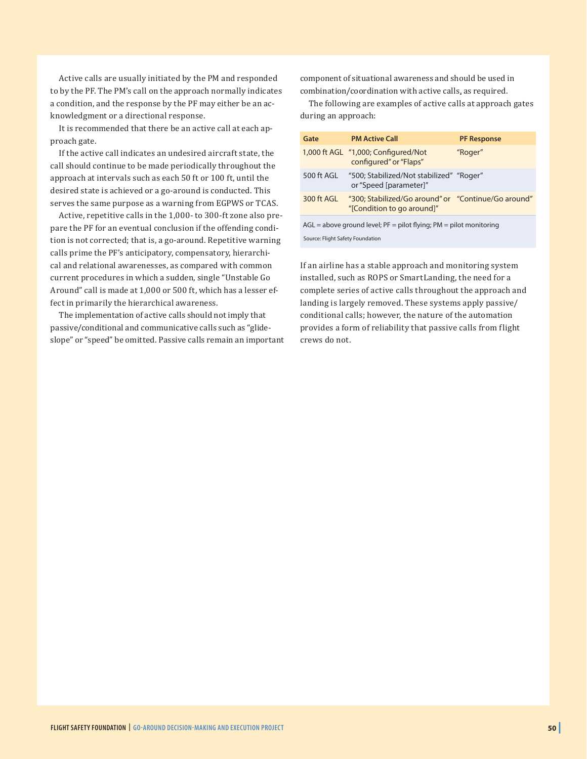Active calls are usually initiated by the PM and responded to by the PF. The PM's call on the approach normally indicates a condition, and the response by the PF may either be an acknowledgment or a directional response.

It is recommended that there be an active call at each approach gate.

If the active call indicates an undesired aircraft state, the call should continue to be made periodically throughout the approach at intervals such as each 50 ft or 100 ft, until the desired state is achieved or a go-around is conducted. This serves the same purpose as a warning from EGPWS or TCAS.

Active, repetitive calls in the 1,000- to 300-ft zone also prepare the PF for an eventual conclusion if the offending condition is not corrected; that is, a go-around. Repetitive warning calls prime the PF's anticipatory, compensatory, hierarchical and relational awarenesses, as compared with common current procedures in which a sudden, single "Unstable Go Around" call is made at 1,000 or 500 ft, which has a lesser effect in primarily the hierarchical awareness.

The implementation of active calls should not imply that passive/conditional and communicative calls such as "glideslope" or "speed" be omitted. Passive calls remain an important component of situational awareness and should be used in combination/coordination with active calls, as required.

The following are examples of active calls at approach gates during an approach:

| Gate                             | <b>PM Active Call</b>                                                             | <b>PF Response</b> |
|----------------------------------|-----------------------------------------------------------------------------------|--------------------|
|                                  | 1,000 ft AGL "1,000; Configured/Not<br>configured" or "Flaps"                     | "Roger"            |
| 500 ft AGL                       | "500; Stabilized/Not stabilized" "Roger"<br>or "Speed [parameter]"                |                    |
| 300 ft AGL                       | "300; Stabilized/Go around" or "Continue/Go around"<br>"[Condition to go around]" |                    |
|                                  | $AGL = above$ ground level; $PF = pilot$ flying; $PM = pilot$ monitoring          |                    |
| Source: Flight Safety Foundation |                                                                                   |                    |

If an airline has a stable approach and monitoring system installed, such as ROPS or SmartLanding, the need for a complete series of active calls throughout the approach and landing is largely removed. These systems apply passive/ conditional calls; however, the nature of the automation provides a form of reliability that passive calls from flight crews do not.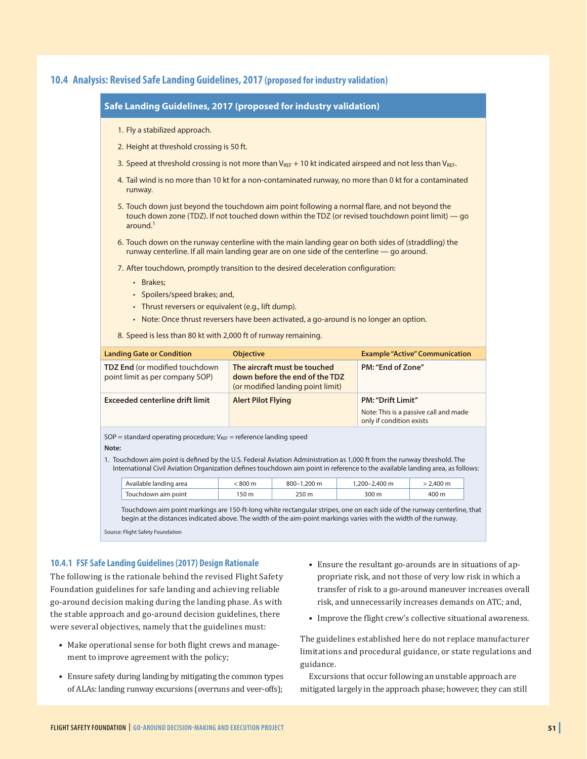#### **10.4 Analysis: Revised Safe Landing Guidelines, 2017 (proposed for industry validation)**

| Safe Landing Guidelines, 2017 (proposed for industry validation)<br>1. Fly a stabilized approach.<br>2. Height at threshold crossing is 50 ft.<br>3. Speed at threshold crossing is not more than $V_{REF}$ + 10 kt indicated airspeed and not less than $V_{REF}$ .<br>4. Tail wind is no more than 10 kt for a non-contaminated runway, no more than 0 kt for a contaminated<br>runway.<br>5. Touch down just beyond the touchdown aim point following a normal flare, and not beyond the<br>touch down zone (TDZ). If not touched down within the TDZ (or revised touchdown point limit) - go<br>around. $1$<br>6. Touch down on the runway centerline with the main landing gear on both sides of (straddling) the<br>runway centerline. If all main landing gear are on one side of the centerline - go around. |                           |                                                                                                     |                                                                           |                                                                                                                                                                                                                                                           |
|----------------------------------------------------------------------------------------------------------------------------------------------------------------------------------------------------------------------------------------------------------------------------------------------------------------------------------------------------------------------------------------------------------------------------------------------------------------------------------------------------------------------------------------------------------------------------------------------------------------------------------------------------------------------------------------------------------------------------------------------------------------------------------------------------------------------|---------------------------|-----------------------------------------------------------------------------------------------------|---------------------------------------------------------------------------|-----------------------------------------------------------------------------------------------------------------------------------------------------------------------------------------------------------------------------------------------------------|
|                                                                                                                                                                                                                                                                                                                                                                                                                                                                                                                                                                                                                                                                                                                                                                                                                      |                           |                                                                                                     |                                                                           |                                                                                                                                                                                                                                                           |
|                                                                                                                                                                                                                                                                                                                                                                                                                                                                                                                                                                                                                                                                                                                                                                                                                      |                           |                                                                                                     |                                                                           |                                                                                                                                                                                                                                                           |
|                                                                                                                                                                                                                                                                                                                                                                                                                                                                                                                                                                                                                                                                                                                                                                                                                      |                           |                                                                                                     |                                                                           |                                                                                                                                                                                                                                                           |
|                                                                                                                                                                                                                                                                                                                                                                                                                                                                                                                                                                                                                                                                                                                                                                                                                      |                           |                                                                                                     |                                                                           |                                                                                                                                                                                                                                                           |
|                                                                                                                                                                                                                                                                                                                                                                                                                                                                                                                                                                                                                                                                                                                                                                                                                      |                           |                                                                                                     |                                                                           |                                                                                                                                                                                                                                                           |
|                                                                                                                                                                                                                                                                                                                                                                                                                                                                                                                                                                                                                                                                                                                                                                                                                      |                           |                                                                                                     |                                                                           |                                                                                                                                                                                                                                                           |
|                                                                                                                                                                                                                                                                                                                                                                                                                                                                                                                                                                                                                                                                                                                                                                                                                      |                           |                                                                                                     |                                                                           |                                                                                                                                                                                                                                                           |
| 7. After touchdown, promptly transition to the desired deceleration configuration:<br>• Brakes:<br>• Spoilers/speed brakes; and,<br>• Thrust reversers or equivalent (e.g., lift dump).<br>• Note: Once thrust reversers have been activated, a go-around is no longer an option.<br>8. Speed is less than 80 kt with 2,000 ft of runway remaining.                                                                                                                                                                                                                                                                                                                                                                                                                                                                  |                           |                                                                                                     |                                                                           |                                                                                                                                                                                                                                                           |
| <b>Landing Gate or Condition</b>                                                                                                                                                                                                                                                                                                                                                                                                                                                                                                                                                                                                                                                                                                                                                                                     | Objective                 |                                                                                                     |                                                                           | <b>Example "Active" Communication</b>                                                                                                                                                                                                                     |
| <b>TDZ End (or modified touchdown</b><br>point limit as per company SOP)                                                                                                                                                                                                                                                                                                                                                                                                                                                                                                                                                                                                                                                                                                                                             |                           | The aircraft must be touched<br>down before the end of the TDZ<br>(or modified landing point limit) | PM: "End of Zone"                                                         |                                                                                                                                                                                                                                                           |
| <b>Exceeded centerline drift limit</b>                                                                                                                                                                                                                                                                                                                                                                                                                                                                                                                                                                                                                                                                                                                                                                               | <b>Alert Pilot Flying</b> |                                                                                                     | PM: "Drift Limit"                                                         | Note: This is a passive call and made<br>only if condition exists                                                                                                                                                                                         |
|                                                                                                                                                                                                                                                                                                                                                                                                                                                                                                                                                                                                                                                                                                                                                                                                                      |                           |                                                                                                     |                                                                           |                                                                                                                                                                                                                                                           |
|                                                                                                                                                                                                                                                                                                                                                                                                                                                                                                                                                                                                                                                                                                                                                                                                                      |                           |                                                                                                     | $SOP =$ standard operating procedure; $V_{RFF} =$ reference landing speed | 1. Touchdown aim point is defined by the U.S. Federal Aviation Administration as 1,000 ft from the runway threshold. The<br>International Civil Aviation Organization defines touchdown aim point in reference to the available landing area, as follows: |

Source: Flight Safety Foundation

#### **10.4.1 FSF Safe Landing Guidelines (2017) Design Rationale**

The following is the rationale behind the revised Flight Safety Foundation guidelines for safe landing and achieving reliable go-around decision making during the landing phase. As with the stable approach and go-around decision guidelines, there were several objectives, namely that the guidelines must:

- Make operational sense for both flight crews and management to improve agreement with the policy;
- Ensure safety during landing by mitigating the common types of ALAs: landing runway excursions (overruns and veer-offs);
- Ensure the resultant go-arounds are in situations of appropriate risk, and not those of very low risk in which a transfer of risk to a go-around maneuver increases overall risk, and unnecessarily increases demands on ATC; and,
- Improve the flight crew's collective situational awareness.

The guidelines established here do not replace manufacturer limitations and procedural guidance, or state regulations and guidance.

Excursions that occur following an unstable approach are mitigated largely in the approach phase; however, they can still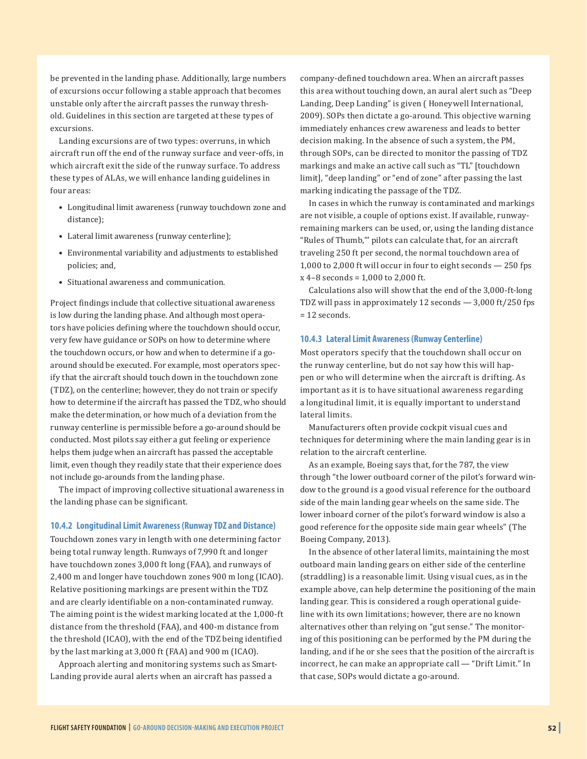be prevented in the landing phase. Additionally, large numbers of excursions occur following a stable approach that becomes unstable only after the aircraft passes the runway threshold. Guidelines in this section are targeted at these types of excursions.

Landing excursions are of two types: overruns, in which aircraft run off the end of the runway surface and veer-offs, in which aircraft exit the side of the runway surface. To address these types of ALAs, we will enhance landing guidelines in four areas:

- Longitudinal limit awareness (runway touchdown zone and distance);
- Lateral limit awareness (runway centerline);
- Environmental variability and adjustments to established policies; and,
- Situational awareness and communication.

Project findings include that collective situational awareness is low during the landing phase. And although most operators have policies defining where the touchdown should occur, very few have guidance or SOPs on how to determine where the touchdown occurs, or how and when to determine if a goaround should be executed. For example, most operators specify that the aircraft should touch down in the touchdown zone (TDZ), on the centerline; however, they do not train or specify how to determine if the aircraft has passed the TDZ, who should make the determination, or how much of a deviation from the runway centerline is permissible before a go-around should be conducted. Most pilots say either a gut feeling or experience helps them judge when an aircraft has passed the acceptable limit, even though they readily state that their experience does not include go-arounds from the landing phase.

The impact of improving collective situational awareness in the landing phase can be significant.

#### **10.4.2 Longitudinal Limit Awareness (Runway TDZ and Distance)**

Touchdown zones vary in length with one determining factor being total runway length. Runways of 7,990 ft and longer have touchdown zones 3,000 ft long (FAA), and runways of 2,400 m and longer have touchdown zones 900 m long (ICAO). Relative positioning markings are present within the TDZ and are clearly identifiable on a non-contaminated runway. The aiming point is the widest marking located at the 1,000-ft distance from the threshold (FAA), and 400-m distance from the threshold (ICAO), with the end of the TDZ being identified by the last marking at 3,000 ft (FAA) and 900 m (ICAO).

Approach alerting and monitoring systems such as Smart-Landing provide aural alerts when an aircraft has passed a

company-defined touchdown area. When an aircraft passes this area without touching down, an aural alert such as "Deep Landing, Deep Landing" is given ( Honeywell International, 2009). SOPs then dictate a go-around. This objective warning immediately enhances crew awareness and leads to better decision making. In the absence of such a system, the PM, through SOPs, can be directed to monitor the passing of TDZ markings and make an active call such as "TL" [touchdown limit], "deep landing" or "end of zone" after passing the last marking indicating the passage of the TDZ.

In cases in which the runway is contaminated and markings are not visible, a couple of options exist. If available, runwayremaining markers can be used, or, using the landing distance "Rules of Thumb,"' pilots can calculate that, for an aircraft traveling 250 ft per second, the normal touchdown area of 1,000 to 2,000 ft will occur in four to eight seconds — 250 fps x 4–8 seconds = 1,000 to 2,000 ft.

Calculations also will show that the end of the 3,000-ft-long TDZ will pass in approximately 12 seconds — 3,000 ft/250 fps = 12 seconds.

#### **10.4.3 Lateral Limit Awareness (Runway Centerline)**

Most operators specify that the touchdown shall occur on the runway centerline, but do not say how this will happen or who will determine when the aircraft is drifting. As important as it is to have situational awareness regarding a longitudinal limit, it is equally important to understand lateral limits.

Manufacturers often provide cockpit visual cues and techniques for determining where the main landing gear is in relation to the aircraft centerline.

As an example, Boeing says that, for the 787, the view through "the lower outboard corner of the pilot's forward window to the ground is a good visual reference for the outboard side of the main landing gear wheels on the same side. The lower inboard corner of the pilot's forward window is also a good reference for the opposite side main gear wheels" (The Boeing Company, 2013).

In the absence of other lateral limits, maintaining the most outboard main landing gears on either side of the centerline (straddling) is a reasonable limit. Using visual cues, as in the example above, can help determine the positioning of the main landing gear. This is considered a rough operational guideline with its own limitations; however, there are no known alternatives other than relying on "gut sense." The monitoring of this positioning can be performed by the PM during the landing, and if he or she sees that the position of the aircraft is incorrect, he can make an appropriate call — "Drift Limit." In that case, SOPs would dictate a go-around.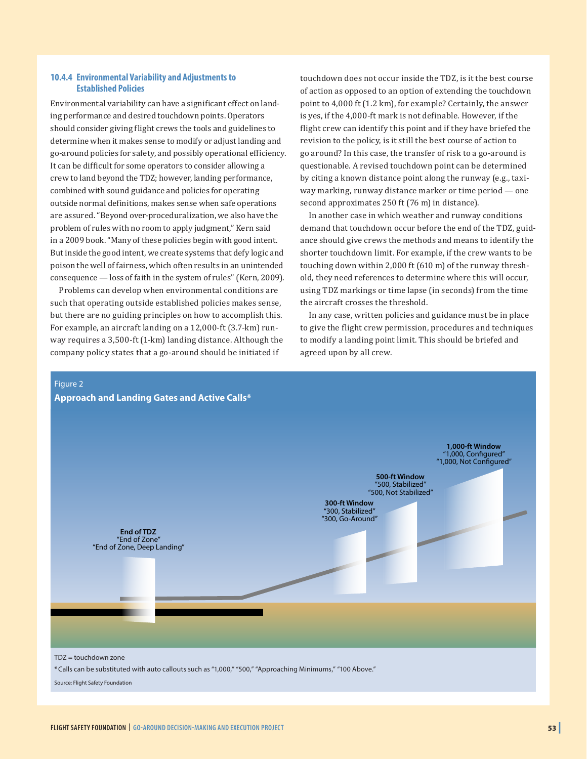#### **10.4.4 Environmental Variability and Adjustments to Established Policies**

Environmental variability can have a significant effect on landing performance and desired touchdown points. Operators should consider giving flight crews the tools and guidelines to determine when it makes sense to modify or adjust landing and go-around policies for safety, and possibly operational efficiency. It can be difficult for some operators to consider allowing a crew to land beyond the TDZ; however, landing performance, combined with sound guidance and policies for operating outside normal definitions, makes sense when safe operations are assured. "Beyond over-proceduralization, we also have the problem of rules with no room to apply judgment," Kern said in a 2009 book. "Many of these policies begin with good intent. But inside the good intent, we create systems that defy logic and poison the well of fairness, which often results in an unintended consequence — loss of faith in the system of rules" (Kern, 2009).

Problems can develop when environmental conditions are such that operating outside established policies makes sense, but there are no guiding principles on how to accomplish this. For example, an aircraft landing on a 12,000-ft (3.7-km) runway requires a 3,500-ft (1-km) landing distance. Although the company policy states that a go-around should be initiated if

touchdown does not occur inside the TDZ, is it the best course of action as opposed to an option of extending the touchdown point to 4,000 ft (1.2 km), for example? Certainly, the answer is yes, if the 4,000-ft mark is not definable. However, if the flight crew can identify this point and if they have briefed the revision to the policy, is it still the best course of action to go around? In this case, the transfer of risk to a go-around is questionable. A revised touchdown point can be determined by citing a known distance point along the runway (e.g., taxiway marking, runway distance marker or time period — one second approximates 250 ft (76 m) in distance).

In another case in which weather and runway conditions demand that touchdown occur before the end of the TDZ, guidance should give crews the methods and means to identify the shorter touchdown limit. For example, if the crew wants to be touching down within 2,000 ft (610 m) of the runway threshold, they need references to determine where this will occur, using TDZ markings or time lapse (in seconds) from the time the aircraft crosses the threshold.

In any case, written policies and guidance must be in place to give the flight crew permission, procedures and techniques to modify a landing point limit. This should be briefed and agreed upon by all crew.